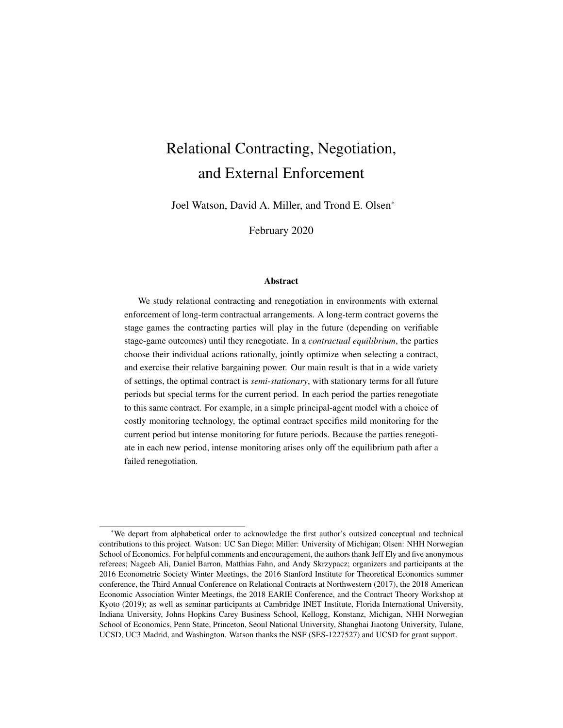# Relational Contracting, Negotiation, and External Enforcement

Joel Watson, David A. Miller, and Trond E. Olsen\*

February 2020

#### Abstract

We study relational contracting and renegotiation in environments with external enforcement of long-term contractual arrangements. A long-term contract governs the stage games the contracting parties will play in the future (depending on verifiable stage-game outcomes) until they renegotiate. In a *contractual equilibrium*, the parties choose their individual actions rationally, jointly optimize when selecting a contract, and exercise their relative bargaining power. Our main result is that in a wide variety of settings, the optimal contract is *semi-stationary*, with stationary terms for all future periods but special terms for the current period. In each period the parties renegotiate to this same contract. For example, in a simple principal-agent model with a choice of costly monitoring technology, the optimal contract specifies mild monitoring for the current period but intense monitoring for future periods. Because the parties renegotiate in each new period, intense monitoring arises only off the equilibrium path after a failed renegotiation.

<sup>\*</sup>We depart from alphabetical order to acknowledge the first author's outsized conceptual and technical contributions to this project. Watson: UC San Diego; Miller: University of Michigan; Olsen: NHH Norwegian School of Economics. For helpful comments and encouragement, the authors thank Jeff Ely and five anonymous referees; Nageeb Ali, Daniel Barron, Matthias Fahn, and Andy Skrzypacz; organizers and participants at the 2016 Econometric Society Winter Meetings, the 2016 Stanford Institute for Theoretical Economics summer conference, the Third Annual Conference on Relational Contracts at Northwestern (2017), the 2018 American Economic Association Winter Meetings, the 2018 EARIE Conference, and the Contract Theory Workshop at Kyoto (2019); as well as seminar participants at Cambridge INET Institute, Florida International University, Indiana University, Johns Hopkins Carey Business School, Kellogg, Konstanz, Michigan, NHH Norwegian School of Economics, Penn State, Princeton, Seoul National University, Shanghai Jiaotong University, Tulane, UCSD, UC3 Madrid, and Washington. Watson thanks the NSF (SES-1227527) and UCSD for grant support.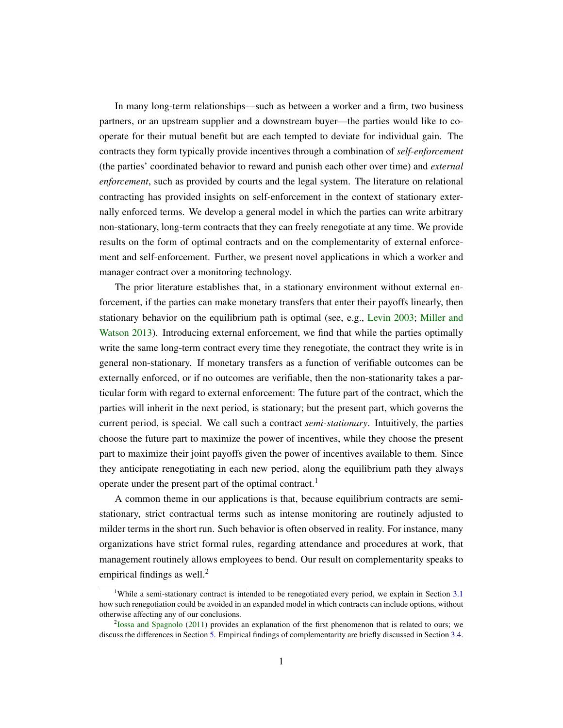In many long-term relationships—such as between a worker and a firm, two business partners, or an upstream supplier and a downstream buyer—the parties would like to cooperate for their mutual benefit but are each tempted to deviate for individual gain. The contracts they form typically provide incentives through a combination of *self-enforcement* (the parties' coordinated behavior to reward and punish each other over time) and *external enforcement*, such as provided by courts and the legal system. The literature on relational contracting has provided insights on self-enforcement in the context of stationary externally enforced terms. We develop a general model in which the parties can write arbitrary non-stationary, long-term contracts that they can freely renegotiate at any time. We provide results on the form of optimal contracts and on the complementarity of external enforcement and self-enforcement. Further, we present novel applications in which a worker and manager contract over a monitoring technology.

The prior literature establishes that, in a stationary environment without external enforcement, if the parties can make monetary transfers that enter their payoffs linearly, then stationary behavior on the equilibrium path is optimal (see, e.g., [Levin](#page-48-0) [2003;](#page-48-0) [Miller and](#page-49-0) [Watson](#page-49-0) [2013\)](#page-49-0). Introducing external enforcement, we find that while the parties optimally write the same long-term contract every time they renegotiate, the contract they write is in general non-stationary. If monetary transfers as a function of verifiable outcomes can be externally enforced, or if no outcomes are verifiable, then the non-stationarity takes a particular form with regard to external enforcement: The future part of the contract, which the parties will inherit in the next period, is stationary; but the present part, which governs the current period, is special. We call such a contract *semi-stationary*. Intuitively, the parties choose the future part to maximize the power of incentives, while they choose the present part to maximize their joint payoffs given the power of incentives available to them. Since they anticipate renegotiating in each new period, along the equilibrium path they always operate under the present part of the optimal contract.<sup>1</sup>

A common theme in our applications is that, because equilibrium contracts are semistationary, strict contractual terms such as intense monitoring are routinely adjusted to milder terms in the short run. Such behavior is often observed in reality. For instance, many organizations have strict formal rules, regarding attendance and procedures at work, that management routinely allows employees to bend. Our result on complementarity speaks to empirical findings as well.<sup>2</sup>

<sup>1</sup>While a semi-stationary contract is intended to be renegotiated every period, we explain in Section [3.1](#page-20-0) how such renegotiation could be avoided in an expanded model in which contracts can include options, without otherwise affecting any of our conclusions.

<sup>&</sup>lt;sup>2</sup> [Iossa and Spagnolo](#page-48-1) [\(2011\)](#page-48-1) provides an explanation of the first phenomenon that is related to ours; we discuss the differences in Section [5.](#page-33-0) Empirical findings of complementarity are briefly discussed in Section [3.4.](#page-25-0)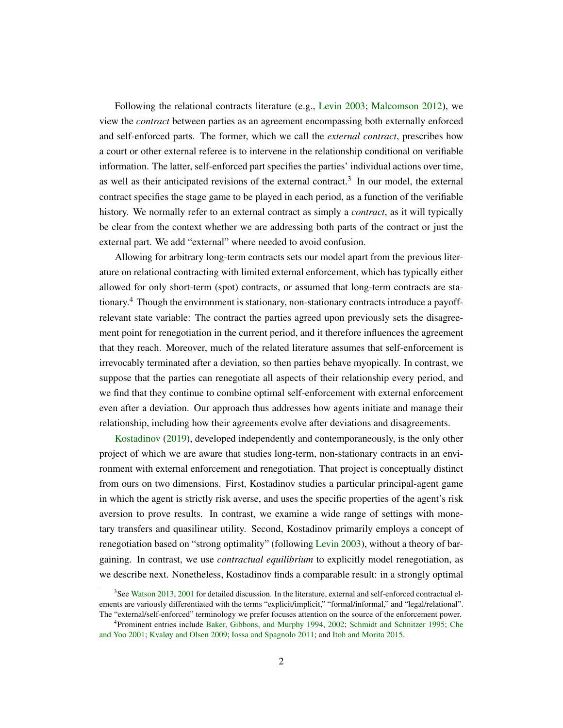Following the relational contracts literature (e.g., [Levin](#page-48-0) [2003;](#page-48-0) [Malcomson](#page-49-1) [2012\)](#page-49-1), we view the *contract* between parties as an agreement encompassing both externally enforced and self-enforced parts. The former, which we call the *external contract*, prescribes how a court or other external referee is to intervene in the relationship conditional on verifiable information. The latter, self-enforced part specifies the parties' individual actions over time, as well as their anticipated revisions of the external contract.<sup>3</sup> In our model, the external contract specifies the stage game to be played in each period, as a function of the verifiable history. We normally refer to an external contract as simply a *contract*, as it will typically be clear from the context whether we are addressing both parts of the contract or just the external part. We add "external" where needed to avoid confusion.

Allowing for arbitrary long-term contracts sets our model apart from the previous literature on relational contracting with limited external enforcement, which has typically either allowed for only short-term (spot) contracts, or assumed that long-term contracts are stationary.<sup>4</sup> Though the environment is stationary, non-stationary contracts introduce a payoffrelevant state variable: The contract the parties agreed upon previously sets the disagreement point for renegotiation in the current period, and it therefore influences the agreement that they reach. Moreover, much of the related literature assumes that self-enforcement is irrevocably terminated after a deviation, so then parties behave myopically. In contrast, we suppose that the parties can renegotiate all aspects of their relationship every period, and we find that they continue to combine optimal self-enforcement with external enforcement even after a deviation. Our approach thus addresses how agents initiate and manage their relationship, including how their agreements evolve after deviations and disagreements.

[Kostadinov](#page-48-2) [\(2019\)](#page-48-2), developed independently and contemporaneously, is the only other project of which we are aware that studies long-term, non-stationary contracts in an environment with external enforcement and renegotiation. That project is conceptually distinct from ours on two dimensions. First, Kostadinov studies a particular principal-agent game in which the agent is strictly risk averse, and uses the specific properties of the agent's risk aversion to prove results. In contrast, we examine a wide range of settings with monetary transfers and quasilinear utility. Second, Kostadinov primarily employs a concept of renegotiation based on "strong optimality" (following [Levin](#page-48-0) [2003\)](#page-48-0), without a theory of bargaining. In contrast, we use *contractual equilibrium* to explicitly model renegotiation, as we describe next. Nonetheless, Kostadinov finds a comparable result: in a strongly optimal

<sup>&</sup>lt;sup>3</sup>See [Watson](#page-49-2) [2013,](#page-49-2) [2001](#page-49-3) for detailed discussion. In the literature, external and self-enforced contractual elements are variously differentiated with the terms "explicit/implicit," "formal/informal," and "legal/relational". The "external/self-enforced" terminology we prefer focuses attention on the source of the enforcement power.

<sup>4</sup> Prominent entries include [Baker, Gibbons, and Murphy](#page-47-0) [1994,](#page-47-0) [2002;](#page-47-1) [Schmidt and Schnitzer](#page-49-4) [1995;](#page-49-4) [Che](#page-48-3) [and Yoo](#page-48-3) [2001;](#page-48-3) [Kvaløy and Olsen](#page-48-4) [2009;](#page-48-4) [Iossa and Spagnolo](#page-48-1) [2011;](#page-48-1) and [Itoh and Morita](#page-48-5) [2015.](#page-48-5)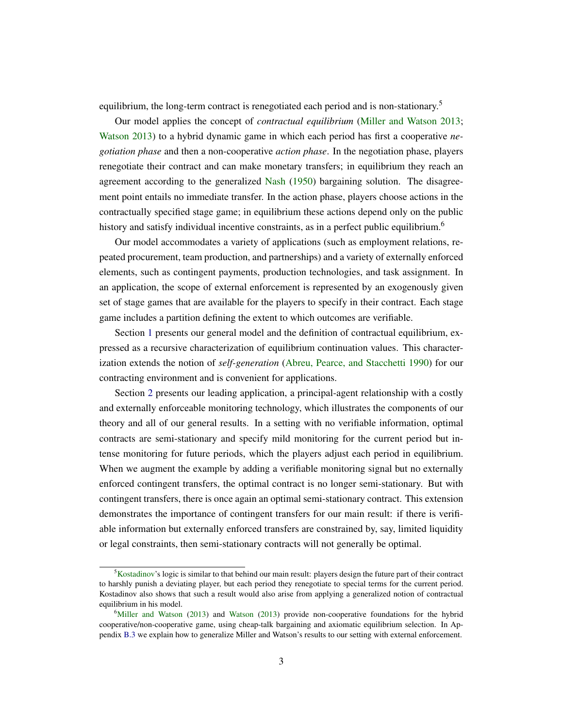equilibrium, the long-term contract is renegotiated each period and is non-stationary.<sup>5</sup>

Our model applies the concept of *contractual equilibrium* [\(Miller and Watson](#page-49-0) [2013;](#page-49-0) [Watson](#page-49-2) [2013\)](#page-49-2) to a hybrid dynamic game in which each period has first a cooperative *negotiation phase* and then a non-cooperative *action phase*. In the negotiation phase, players renegotiate their contract and can make monetary transfers; in equilibrium they reach an agreement according to the generalized [Nash](#page-49-5) [\(1950\)](#page-49-5) bargaining solution. The disagreement point entails no immediate transfer. In the action phase, players choose actions in the contractually specified stage game; in equilibrium these actions depend only on the public history and satisfy individual incentive constraints, as in a perfect public equilibrium.<sup>6</sup>

Our model accommodates a variety of applications (such as employment relations, repeated procurement, team production, and partnerships) and a variety of externally enforced elements, such as contingent payments, production technologies, and task assignment. In an application, the scope of external enforcement is represented by an exogenously given set of stage games that are available for the players to specify in their contract. Each stage game includes a partition defining the extent to which outcomes are verifiable.

Section [1](#page-4-0) presents our general model and the definition of contractual equilibrium, expressed as a recursive characterization of equilibrium continuation values. This characterization extends the notion of *self-generation* [\(Abreu, Pearce, and Stacchetti](#page-47-2) [1990\)](#page-47-2) for our contracting environment and is convenient for applications.

Section [2](#page-10-0) presents our leading application, a principal-agent relationship with a costly and externally enforceable monitoring technology, which illustrates the components of our theory and all of our general results. In a setting with no verifiable information, optimal contracts are semi-stationary and specify mild monitoring for the current period but intense monitoring for future periods, which the players adjust each period in equilibrium. When we augment the example by adding a verifiable monitoring signal but no externally enforced contingent transfers, the optimal contract is no longer semi-stationary. But with contingent transfers, there is once again an optimal semi-stationary contract. This extension demonstrates the importance of contingent transfers for our main result: if there is verifiable information but externally enforced transfers are constrained by, say, limited liquidity or legal constraints, then semi-stationary contracts will not generally be optimal.

<sup>5</sup>[Kostadinov'](#page-48-2)s logic is similar to that behind our main result: players design the future part of their contract to harshly punish a deviating player, but each period they renegotiate to special terms for the current period. Kostadinov also shows that such a result would also arise from applying a generalized notion of contractual equilibrium in his model.

 $6$ [Miller and Watson](#page-49-0) [\(2013\)](#page-49-2) and [Watson](#page-49-2) (2013) provide non-cooperative foundations for the hybrid cooperative/non-cooperative game, using cheap-talk bargaining and axiomatic equilibrium selection. In Appendix [B.3](#page-46-0) we explain how to generalize Miller and Watson's results to our setting with external enforcement.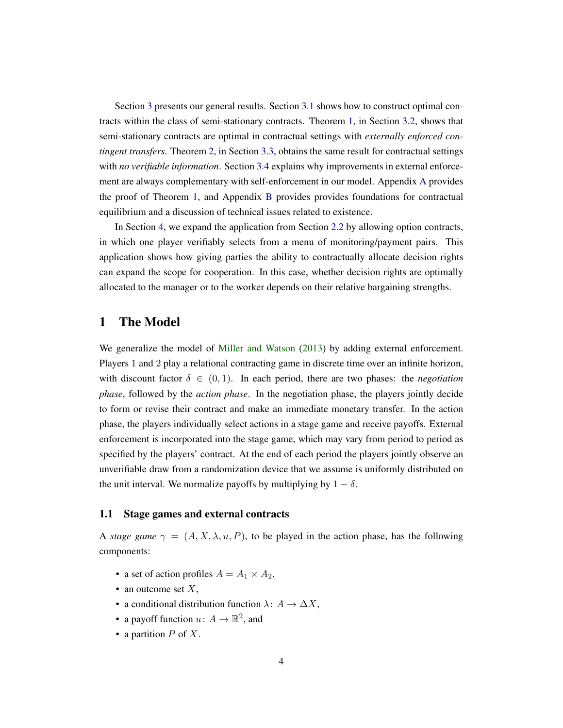Section [3](#page-20-1) presents our general results. Section [3.1](#page-20-0) shows how to construct optimal contracts within the class of semi-stationary contracts. Theorem [1,](#page-23-0) in Section [3.2,](#page-23-1) shows that semi-stationary contracts are optimal in contractual settings with *externally enforced contingent transfers*. Theorem [2,](#page-25-1) in Section [3.3,](#page-25-2) obtains the same result for contractual settings with *no verifiable information*. Section [3.4](#page-25-0) explains why improvements in external enforcement are always complementary with self-enforcement in our model. Appendix [A](#page-36-0) provides the proof of Theorem [1,](#page-23-0) and Appendix [B](#page-42-0) provides provides foundations for contractual equilibrium and a discussion of technical issues related to existence.

In Section [4,](#page-27-0) we expand the application from Section [2.2](#page-13-0) by allowing option contracts, in which one player verifiably selects from a menu of monitoring/payment pairs. This application shows how giving parties the ability to contractually allocate decision rights can expand the scope for cooperation. In this case, whether decision rights are optimally allocated to the manager or to the worker depends on their relative bargaining strengths.

# <span id="page-4-0"></span>1 The Model

We generalize the model of [Miller and Watson](#page-49-0) [\(2013\)](#page-49-0) by adding external enforcement. Players 1 and 2 play a relational contracting game in discrete time over an infinite horizon, with discount factor  $\delta \in (0, 1)$ . In each period, there are two phases: the *negotiation phase*, followed by the *action phase*. In the negotiation phase, the players jointly decide to form or revise their contract and make an immediate monetary transfer. In the action phase, the players individually select actions in a stage game and receive payoffs. External enforcement is incorporated into the stage game, which may vary from period to period as specified by the players' contract. At the end of each period the players jointly observe an unverifiable draw from a randomization device that we assume is uniformly distributed on the unit interval. We normalize payoffs by multiplying by  $1 - \delta$ .

### 1.1 Stage games and external contracts

A *stage game*  $\gamma = (A, X, \lambda, u, P)$ , to be played in the action phase, has the following components:

- a set of action profiles  $A = A_1 \times A_2$ ,
- an outcome set  $X$ ,
- a conditional distribution function  $\lambda: A \to \Delta X$ ,
- a payoff function  $u: A \to \mathbb{R}^2$ , and
- a partition  $P$  of  $X$ .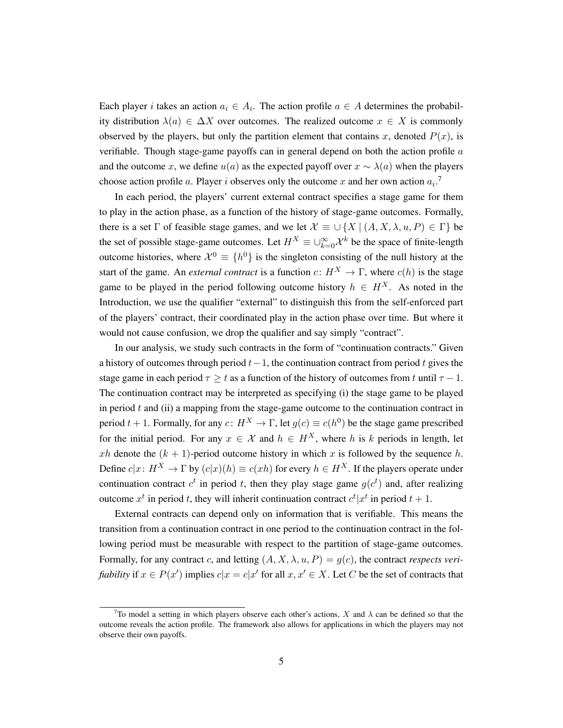Each player *i* takes an action  $a_i \in A_i$ . The action profile  $a \in A$  determines the probability distribution  $\lambda(a) \in \Delta X$  over outcomes. The realized outcome  $x \in X$  is commonly observed by the players, but only the partition element that contains x, denoted  $P(x)$ , is verifiable. Though stage-game payoffs can in general depend on both the action profile  $a$ and the outcome x, we define  $u(a)$  as the expected payoff over  $x \sim \lambda(a)$  when the players choose action profile a. Player i observes only the outcome x and her own action  $a_i$ .<sup>7</sup>

In each period, the players' current external contract specifies a stage game for them to play in the action phase, as a function of the history of stage-game outcomes. Formally, there is a set  $\Gamma$  of feasible stage games, and we let  $\mathcal{X} \equiv \cup \{X \mid (A, X, \lambda, u, P) \in \Gamma\}$  be the set of possible stage-game outcomes. Let  $H^X \equiv \cup_{k=0}^{\infty} \mathcal{X}^k$  be the space of finite-length outcome histories, where  $\mathcal{X}^0 \equiv \{h^0\}$  is the singleton consisting of the null history at the start of the game. An *external contract* is a function  $c: H^X \to \Gamma$ , where  $c(h)$  is the stage game to be played in the period following outcome history  $h \in H^X$ . As noted in the Introduction, we use the qualifier "external" to distinguish this from the self-enforced part of the players' contract, their coordinated play in the action phase over time. But where it would not cause confusion, we drop the qualifier and say simply "contract".

In our analysis, we study such contracts in the form of "continuation contracts." Given a history of outcomes through period  $t-1$ , the continuation contract from period t gives the stage game in each period  $\tau \geq t$  as a function of the history of outcomes from t until  $\tau - 1$ . The continuation contract may be interpreted as specifying (i) the stage game to be played in period  $t$  and (ii) a mapping from the stage-game outcome to the continuation contract in period  $t + 1$ . Formally, for any  $c: H^X \to \Gamma$ , let  $g(c) \equiv c(h^0)$  be the stage game prescribed for the initial period. For any  $x \in \mathcal{X}$  and  $h \in H^X$ , where h is k periods in length, let xh denote the  $(k + 1)$ -period outcome history in which x is followed by the sequence h. Define  $c|x: H^X \to \Gamma$  by  $(c|x)(h) \equiv c(xh)$  for every  $h \in H^X$ . If the players operate under continuation contract  $c^t$  in period t, then they play stage game  $g(c^t)$  and, after realizing outcome  $x^t$  in period t, they will inherit continuation contract  $c^t | x^t$  in period  $t + 1$ .

External contracts can depend only on information that is verifiable. This means the transition from a continuation contract in one period to the continuation contract in the following period must be measurable with respect to the partition of stage-game outcomes. Formally, for any contract c, and letting  $(A, X, \lambda, u, P) = g(c)$ , the contract *respects verifiability* if  $x \in P(x')$  implies  $c|x = c|x'$  for all  $x, x' \in X$ . Let C be the set of contracts that

<sup>&</sup>lt;sup>7</sup>To model a setting in which players observe each other's actions, X and  $\lambda$  can be defined so that the outcome reveals the action profile. The framework also allows for applications in which the players may not observe their own payoffs.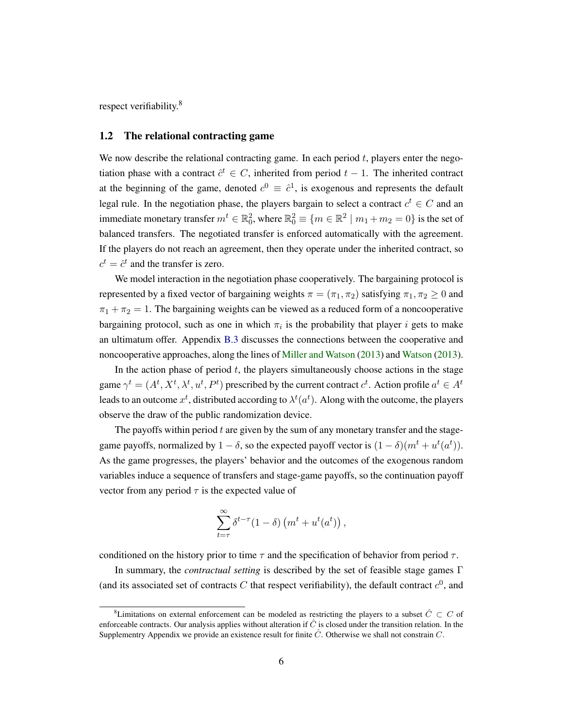respect verifiability.<sup>8</sup>

### 1.2 The relational contracting game

We now describe the relational contracting game. In each period  $t$ , players enter the negotiation phase with a contract  $\hat{c}^t \in C$ , inherited from period  $t - 1$ . The inherited contract at the beginning of the game, denoted  $c^0 \equiv \hat{c}^1$ , is exogenous and represents the default legal rule. In the negotiation phase, the players bargain to select a contract  $c^t \in C$  and an immediate monetary transfer  $m^t \in \mathbb{R}^2_0$ , where  $\mathbb{R}^2_0 \equiv \{m \in \mathbb{R}^2 \mid m_1 + m_2 = 0\}$  is the set of balanced transfers. The negotiated transfer is enforced automatically with the agreement. If the players do not reach an agreement, then they operate under the inherited contract, so  $c^t = \hat{c}^t$  and the transfer is zero.

We model interaction in the negotiation phase cooperatively. The bargaining protocol is represented by a fixed vector of bargaining weights  $\pi = (\pi_1, \pi_2)$  satisfying  $\pi_1, \pi_2 \geq 0$  and  $\pi_1 + \pi_2 = 1$ . The bargaining weights can be viewed as a reduced form of a noncooperative bargaining protocol, such as one in which  $\pi_i$  is the probability that player i gets to make an ultimatum offer. Appendix [B.3](#page-46-0) discusses the connections between the cooperative and noncooperative approaches, along the lines of [Miller and Watson](#page-49-0) [\(2013\)](#page-49-0) and [Watson](#page-49-2) [\(2013\)](#page-49-2).

In the action phase of period  $t$ , the players simultaneously choose actions in the stage game  $\gamma^t = (A^t, X^t, \lambda^t, u^t, P^t)$  prescribed by the current contract  $c^t$ . Action profile  $a^t \in A^t$ leads to an outcome  $x^t$ , distributed according to  $\lambda^t(a^t)$ . Along with the outcome, the players observe the draw of the public randomization device.

The payoffs within period  $t$  are given by the sum of any monetary transfer and the stagegame payoffs, normalized by  $1 - \delta$ , so the expected payoff vector is  $(1 - \delta)(m^t + u^t(a^t))$ . As the game progresses, the players' behavior and the outcomes of the exogenous random variables induce a sequence of transfers and stage-game payoffs, so the continuation payoff vector from any period  $\tau$  is the expected value of

$$
\sum_{t=\tau}^{\infty} \delta^{t-\tau} (1-\delta) \left( m^t + u^t(a^t) \right),
$$

conditioned on the history prior to time  $\tau$  and the specification of behavior from period  $\tau$ .

In summary, the *contractual setting* is described by the set of feasible stage games Γ (and its associated set of contracts C that respect verifiability), the default contract  $c^0$ , and

<sup>&</sup>lt;sup>8</sup>Limitations on external enforcement can be modeled as restricting the players to a subset  $\hat{C} \subset C$  of enforceable contracts. Our analysis applies without alteration if  $\hat{C}$  is closed under the transition relation. In the Supplementry Appendix we provide an existence result for finite  $\hat{C}$ . Otherwise we shall not constrain C.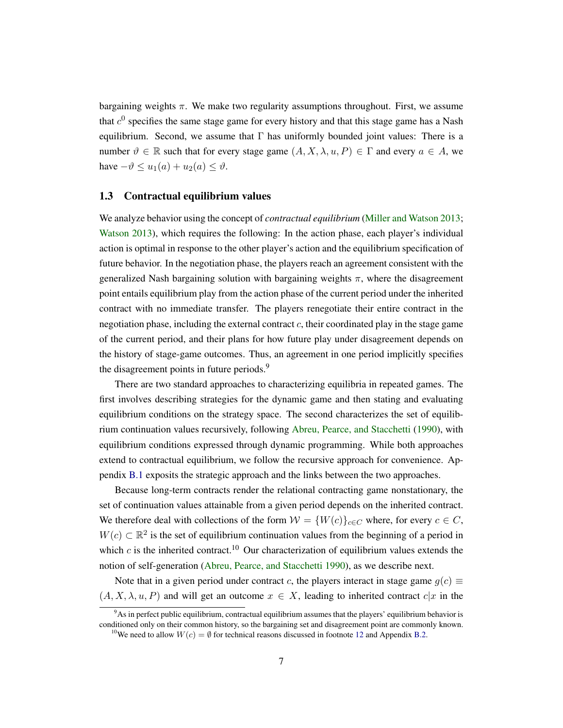bargaining weights  $\pi$ . We make two regularity assumptions throughout. First, we assume that  $c^0$  specifies the same stage game for every history and that this stage game has a Nash equilibrium. Second, we assume that  $\Gamma$  has uniformly bounded joint values: There is a number  $\vartheta \in \mathbb{R}$  such that for every stage game  $(A, X, \lambda, u, P) \in \Gamma$  and every  $a \in A$ , we have  $-\vartheta \leq u_1(a) + u_2(a) \leq \vartheta$ .

### 1.3 Contractual equilibrium values

We analyze behavior using the concept of *contractual equilibrium* [\(Miller and Watson](#page-49-0) [2013;](#page-49-0) [Watson](#page-49-2) [2013\)](#page-49-2), which requires the following: In the action phase, each player's individual action is optimal in response to the other player's action and the equilibrium specification of future behavior. In the negotiation phase, the players reach an agreement consistent with the generalized Nash bargaining solution with bargaining weights  $\pi$ , where the disagreement point entails equilibrium play from the action phase of the current period under the inherited contract with no immediate transfer. The players renegotiate their entire contract in the negotiation phase, including the external contract  $c$ , their coordinated play in the stage game of the current period, and their plans for how future play under disagreement depends on the history of stage-game outcomes. Thus, an agreement in one period implicitly specifies the disagreement points in future periods.<sup>9</sup>

There are two standard approaches to characterizing equilibria in repeated games. The first involves describing strategies for the dynamic game and then stating and evaluating equilibrium conditions on the strategy space. The second characterizes the set of equilibrium continuation values recursively, following [Abreu, Pearce, and Stacchetti](#page-47-2) [\(1990\)](#page-47-2), with equilibrium conditions expressed through dynamic programming. While both approaches extend to contractual equilibrium, we follow the recursive approach for convenience. Appendix [B.1](#page-42-1) exposits the strategic approach and the links between the two approaches.

Because long-term contracts render the relational contracting game nonstationary, the set of continuation values attainable from a given period depends on the inherited contract. We therefore deal with collections of the form  $W = \{W(c)\}_{c \in C}$  where, for every  $c \in C$ ,  $W(c) \subset \mathbb{R}^2$  is the set of equilibrium continuation values from the beginning of a period in which c is the inherited contract.<sup>10</sup> Our characterization of equilibrium values extends the notion of self-generation [\(Abreu, Pearce, and Stacchetti](#page-47-2) [1990\)](#page-47-2), as we describe next.

Note that in a given period under contract c, the players interact in stage game  $g(c) \equiv$  $(A, X, \lambda, u, P)$  and will get an outcome  $x \in X$ , leading to inherited contract  $c|x$  in the

<sup>9</sup>As in perfect public equilibrium, contractual equilibrium assumes that the players' equilibrium behavior is conditioned only on their common history, so the bargaining set and disagreement point are commonly known. <sup>10</sup>We need to allow  $W(c) = \emptyset$  for technical reasons discussed in footnote [12](#page-9-0) and Appendix [B.2.](#page-45-0)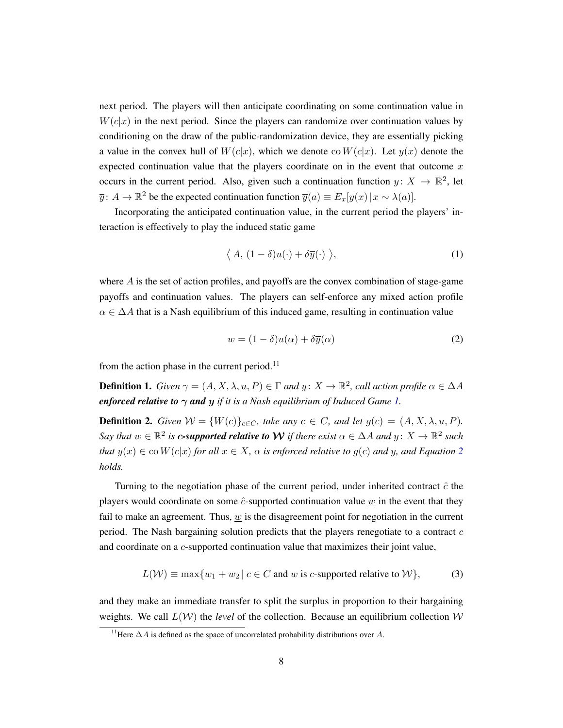next period. The players will then anticipate coordinating on some continuation value in  $W(c|x)$  in the next period. Since the players can randomize over continuation values by conditioning on the draw of the public-randomization device, they are essentially picking a value in the convex hull of  $W(c|x)$ , which we denote co  $W(c|x)$ . Let  $y(x)$  denote the expected continuation value that the players coordinate on in the event that outcome  $x$ occurs in the current period. Also, given such a continuation function  $y \colon X \to \mathbb{R}^2$ , let  $\overline{y}$ :  $A \to \mathbb{R}^2$  be the expected continuation function  $\overline{y}(a) \equiv E_x[y(x) | x \sim \lambda(a)]$ .

Incorporating the anticipated continuation value, in the current period the players' interaction is effectively to play the induced static game

<span id="page-8-0"></span>
$$
\langle A, (1 - \delta)u(\cdot) + \delta \overline{y}(\cdot) \rangle,
$$
 (1)

where  $\vec{A}$  is the set of action profiles, and payoffs are the convex combination of stage-game payoffs and continuation values. The players can self-enforce any mixed action profile  $\alpha \in \Delta A$  that is a Nash equilibrium of this induced game, resulting in continuation value

<span id="page-8-1"></span>
$$
w = (1 - \delta)u(\alpha) + \delta \overline{y}(\alpha)
$$
 (2)

from the action phase in the current period.<sup>11</sup>

<span id="page-8-3"></span>**Definition 1.** *Given*  $\gamma = (A, X, \lambda, u, P) \in \Gamma$  *and*  $y: X \to \mathbb{R}^2$ , *call action profile*  $\alpha \in \Delta A$ *enforced relative to*  $\gamma$  *and*  $y$  *if it is a Nash equilibrium of Induced Game [1.](#page-8-0)* 

**Definition 2.** *Given*  $W = \{W(c)\}_{c \in C}$ *, take any*  $c \in C$ *, and let*  $g(c) = (A, X, \lambda, u, P)$ *.* Say that  $w \in \mathbb{R}^2$  is c-supported relative to  $\mathcal W$  if there exist  $\alpha \in \Delta A$  and  $y \colon X \to \mathbb{R}^2$  such *that*  $y(x) \in \text{co } W(c|x)$  *for all*  $x \in X$ *,*  $\alpha$  *is enforced relative to*  $q(c)$  *and y, and Equation [2](#page-8-1) holds.*

Turning to the negotiation phase of the current period, under inherited contract  $\hat{c}$  the players would coordinate on some  $\hat{c}$ -supported continuation value w in the event that they fail to make an agreement. Thus,  $w$  is the disagreement point for negotiation in the current period. The Nash bargaining solution predicts that the players renegotiate to a contract  $c$ and coordinate on a c-supported continuation value that maximizes their joint value,

<span id="page-8-2"></span>
$$
L(W) \equiv \max\{w_1 + w_2 \mid c \in C \text{ and } w \text{ is } c\text{-supported relative to } W\},\tag{3}
$$

and they make an immediate transfer to split the surplus in proportion to their bargaining weights. We call  $L(\mathcal{W})$  the *level* of the collection. Because an equilibrium collection  $\mathcal{W}$ 

 $\frac{11}{11}$ Here  $\Delta A$  is defined as the space of uncorrelated probability distributions over A.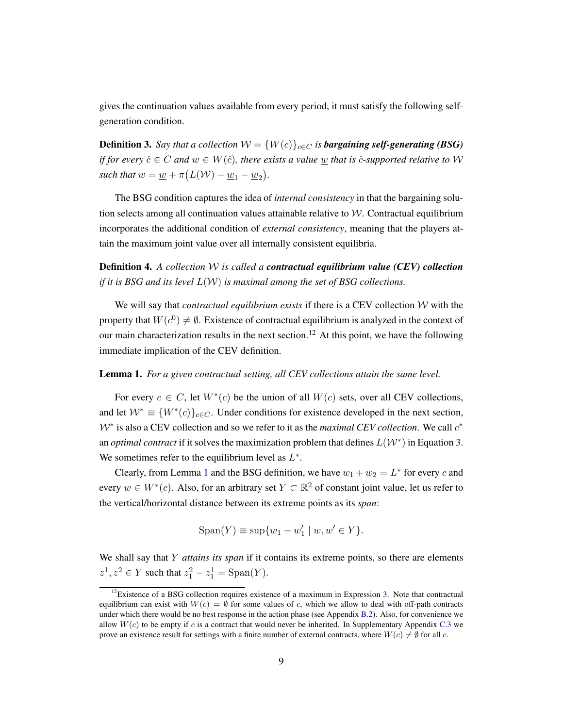gives the continuation values available from every period, it must satisfy the following selfgeneration condition.

**Definition 3.** *Say that a collection*  $W = \{W(c)\}_{c \in C}$  *is bargaining self-generating (BSG) if for every*  $\hat{c} \in C$  *and*  $w \in W(\hat{c})$ *, there exists a value* w *that is*  $\hat{c}$ *-supported relative to*  $W$ such that  $w = \underline{w} + \pi \big(L(\mathcal{W}) - \underline{w}_1 - \underline{w}_2\big)$ .

The BSG condition captures the idea of *internal consistency* in that the bargaining solution selects among all continuation values attainable relative to  $W$ . Contractual equilibrium incorporates the additional condition of *external consistency*, meaning that the players attain the maximum joint value over all internally consistent equilibria.

<span id="page-9-0"></span>Definition 4. *A collection* W *is called a contractual equilibrium value (CEV) collection if it is BSG and its level* L(W) *is maximal among the set of BSG collections.*

We will say that *contractual equilibrium exists* if there is a CEV collection W with the property that  $W(c^0) \neq \emptyset$ . Existence of contractual equilibrium is analyzed in the context of our main characterization results in the next section.<sup>12</sup> At this point, we have the following immediate implication of the CEV definition.

### <span id="page-9-1"></span>Lemma 1. *For a given contractual setting, all CEV collections attain the same level.*

For every  $c \in C$ , let  $W^*(c)$  be the union of all  $W(c)$  sets, over all CEV collections, and let  $W^* \equiv \{W^*(c)\}_{c \in C}$ . Under conditions for existence developed in the next section,  $W^*$  is also a CEV collection and so we refer to it as the *maximal CEV collection*. We call  $c^*$ an *optimal contract* if it solves the maximization problem that defines  $L(W^*)$  in Equation [3.](#page-8-2) We sometimes refer to the equilibrium level as  $L^*$ .

Clearly, from Lemma [1](#page-9-1) and the BSG definition, we have  $w_1 + w_2 = L^*$  for every c and every  $w \in W^*(c)$ . Also, for an arbitrary set  $Y \subset \mathbb{R}^2$  of constant joint value, let us refer to the vertical/horizontal distance between its extreme points as its *span*:

$$
Span(Y) \equiv sup\{w_1 - w_1' \mid w, w' \in Y\}.
$$

We shall say that Y *attains its span* if it contains its extreme points, so there are elements  $z^1, z^2 \in Y$  such that  $z_1^2 - z_1^1 = \text{Span}(Y)$ .

 $12$ Existence of a BSG collection requires existence of a maximum in Expression [3.](#page-8-2) Note that contractual equilibrium can exist with  $W(c) = \emptyset$  for some values of c, which we allow to deal with off-path contracts under which there would be no best response in the action phase (see Appendix [B.2\)](#page-45-0). Also, for convenience we allow  $W(c)$  to be empty if c is a contract that would never be inherited. In Supplementary Appendix [C.3](#page-54-0) we prove an existence result for settings with a finite number of external contracts, where  $W(c) \neq \emptyset$  for all c.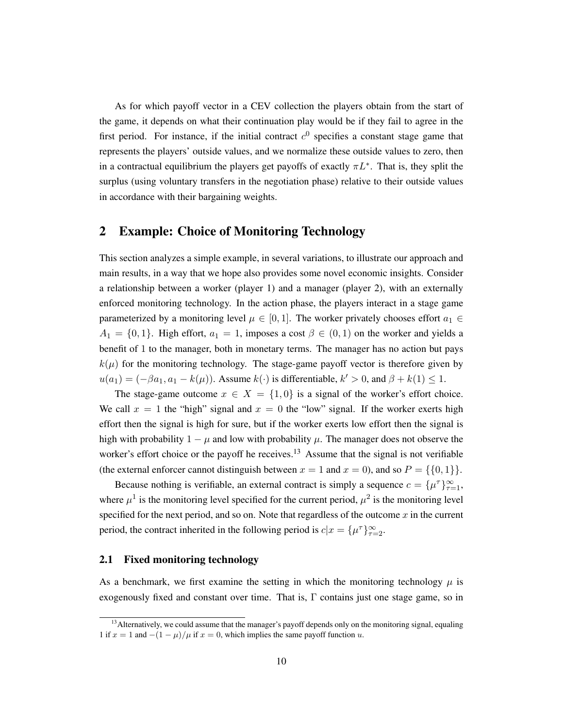As for which payoff vector in a CEV collection the players obtain from the start of the game, it depends on what their continuation play would be if they fail to agree in the first period. For instance, if the initial contract  $c<sup>0</sup>$  specifies a constant stage game that represents the players' outside values, and we normalize these outside values to zero, then in a contractual equilibrium the players get payoffs of exactly  $\pi L^*$ . That is, they split the surplus (using voluntary transfers in the negotiation phase) relative to their outside values in accordance with their bargaining weights.

# <span id="page-10-0"></span>2 Example: Choice of Monitoring Technology

This section analyzes a simple example, in several variations, to illustrate our approach and main results, in a way that we hope also provides some novel economic insights. Consider a relationship between a worker (player 1) and a manager (player 2), with an externally enforced monitoring technology. In the action phase, the players interact in a stage game parameterized by a monitoring level  $\mu \in [0,1]$ . The worker privately chooses effort  $a_1 \in$  $A_1 = \{0, 1\}$ . High effort,  $a_1 = 1$ , imposes a cost  $\beta \in (0, 1)$  on the worker and yields a benefit of 1 to the manager, both in monetary terms. The manager has no action but pays  $k(\mu)$  for the monitoring technology. The stage-game payoff vector is therefore given by  $u(a_1) = (-\beta a_1, a_1 - k(\mu))$ . Assume  $k(\cdot)$  is differentiable,  $k' > 0$ , and  $\beta + k(1) \leq 1$ .

The stage-game outcome  $x \in X = \{1, 0\}$  is a signal of the worker's effort choice. We call  $x = 1$  the "high" signal and  $x = 0$  the "low" signal. If the worker exerts high effort then the signal is high for sure, but if the worker exerts low effort then the signal is high with probability  $1 - \mu$  and low with probability  $\mu$ . The manager does not observe the worker's effort choice or the payoff he receives.<sup>13</sup> Assume that the signal is not verifiable (the external enforcer cannot distinguish between  $x = 1$  and  $x = 0$ ), and so  $P = \{\{0, 1\}\}.$ 

Because nothing is verifiable, an external contract is simply a sequence  $c = {\mu^{\tau}}_{\tau=1}^{\infty}$ , where  $\mu^1$  is the monitoring level specified for the current period,  $\mu^2$  is the monitoring level specified for the next period, and so on. Note that regardless of the outcome  $x$  in the current period, the contract inherited in the following period is  $c|x = \{\mu^{\tau}\}_{\tau=2}^{\infty}$ .

### <span id="page-10-1"></span>2.1 Fixed monitoring technology

As a benchmark, we first examine the setting in which the monitoring technology  $\mu$  is exogenously fixed and constant over time. That is,  $\Gamma$  contains just one stage game, so in

<sup>&</sup>lt;sup>13</sup> Alternatively, we could assume that the manager's payoff depends only on the monitoring signal, equaling 1 if  $x = 1$  and  $-(1 - \mu)/\mu$  if  $x = 0$ , which implies the same payoff function u.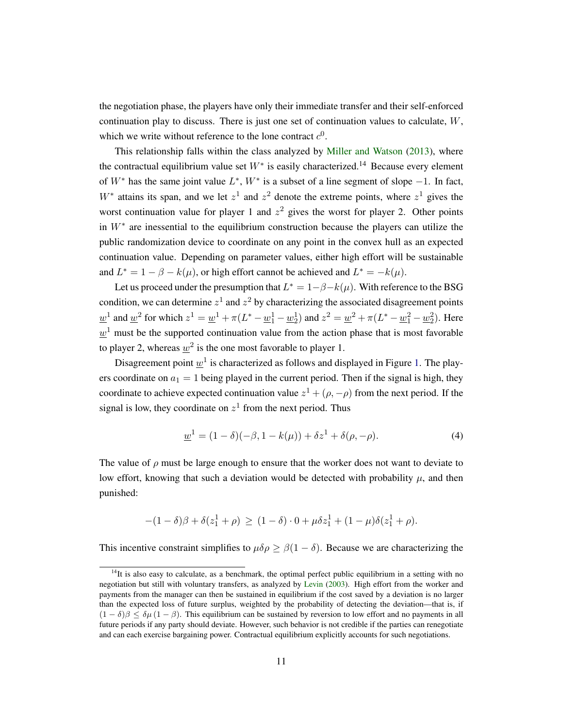the negotiation phase, the players have only their immediate transfer and their self-enforced continuation play to discuss. There is just one set of continuation values to calculate, W, which we write without reference to the lone contract  $c^0$ .

This relationship falls within the class analyzed by [Miller and Watson](#page-49-0) [\(2013\)](#page-49-0), where the contractual equilibrium value set  $W^*$  is easily characterized.<sup>14</sup> Because every element of  $W^*$  has the same joint value  $L^*$ ,  $W^*$  is a subset of a line segment of slope  $-1$ . In fact,  $W^*$  attains its span, and we let  $z^1$  and  $z^2$  denote the extreme points, where  $z^1$  gives the worst continuation value for player 1 and  $z^2$  gives the worst for player 2. Other points in  $W^*$  are inessential to the equilibrium construction because the players can utilize the public randomization device to coordinate on any point in the convex hull as an expected continuation value. Depending on parameter values, either high effort will be sustainable and  $L^* = 1 - \beta - k(\mu)$ , or high effort cannot be achieved and  $L^* = -k(\mu)$ .

Let us proceed under the presumption that  $L^* = 1 - \beta - k(\mu)$ . With reference to the BSG condition, we can determine  $z^1$  and  $z^2$  by characterizing the associated disagreement points  $\underline{w}^1$  and  $\underline{w}^2$  for which  $z^1 = \underline{w}^1 + \pi (L^* - \underline{w}_1^1 - \underline{w}_2^1)$  and  $z^2 = \underline{w}^2 + \pi (L^* - \underline{w}_1^2 - \underline{w}_2^2)$ . Here  $\underline{w}^1$  must be the supported continuation value from the action phase that is most favorable to player 2, whereas  $\underline{w}^2$  is the one most favorable to player 1.

Disagreement point  $\underline{w}^1$  is characterized as follows and displayed in Figure [1.](#page-12-0) The players coordinate on  $a_1 = 1$  being played in the current period. Then if the signal is high, they coordinate to achieve expected continuation value  $z^1 + (\rho, -\rho)$  from the next period. If the signal is low, they coordinate on  $z<sup>1</sup>$  from the next period. Thus

<span id="page-11-0"></span>
$$
\underline{w}^{1} = (1 - \delta)(-\beta, 1 - k(\mu)) + \delta z^{1} + \delta(\rho, -\rho).
$$
 (4)

The value of  $\rho$  must be large enough to ensure that the worker does not want to deviate to low effort, knowing that such a deviation would be detected with probability  $\mu$ , and then punished:

$$
-(1-\delta)\beta + \delta(z_1^1 + \rho) \ge (1-\delta) \cdot 0 + \mu \delta z_1^1 + (1-\mu)\delta(z_1^1 + \rho).
$$

This incentive constraint simplifies to  $\mu \delta \rho \geq \beta (1 - \delta)$ . Because we are characterizing the

 $14$ It is also easy to calculate, as a benchmark, the optimal perfect public equilibrium in a setting with no negotiation but still with voluntary transfers, as analyzed by [Levin](#page-48-0) [\(2003\)](#page-48-0). High effort from the worker and payments from the manager can then be sustained in equilibrium if the cost saved by a deviation is no larger than the expected loss of future surplus, weighted by the probability of detecting the deviation—that is, if  $(1 - \delta)\beta \leq \delta\mu (1 - \beta)$ . This equilibrium can be sustained by reversion to low effort and no payments in all future periods if any party should deviate. However, such behavior is not credible if the parties can renegotiate and can each exercise bargaining power. Contractual equilibrium explicitly accounts for such negotiations.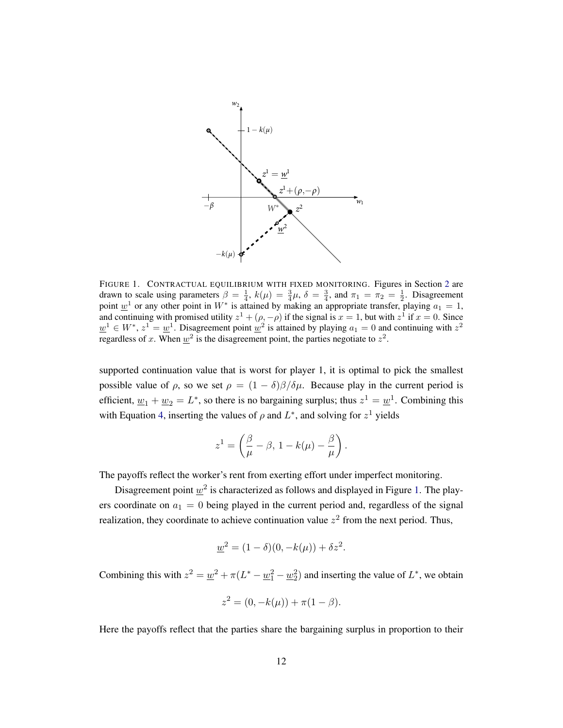<span id="page-12-0"></span>

FIGURE 1. CONTRACTUAL EQUILIBRIUM WITH FIXED MONITORING. Figures in Section [2](#page-10-0) are drawn to scale using parameters  $\beta = \frac{1}{4}$ ,  $k(\mu) = \frac{3}{4}\mu$ ,  $\delta = \frac{3}{4}$ , and  $\pi_1 = \pi_2 = \frac{1}{2}$ . Disagreement point  $\underline{w}^1$  or any other point in  $W^*$  is attained by making an appropriate transfer, playing  $a_1 = 1$ , and continuing with promised utility  $z^1 + (\rho, -\rho)$  if the signal is  $x = 1$ , but with  $z^1$  if  $x = 0$ . Since  $\underline{w}^1 \in W^*$ ,  $z^1 = \underline{w}^1$ . Disagreement point  $\underline{w}^2$  is attained by playing  $a_1 = 0$  and continuing with  $z^2$ regardless of x. When  $\underline{w}^2$  is the disagreement point, the parties negotiate to  $z^2$ .

supported continuation value that is worst for player 1, it is optimal to pick the smallest possible value of  $\rho$ , so we set  $\rho = (1 - \delta)\beta/\delta\mu$ . Because play in the current period is efficient,  $\underline{w}_1 + \underline{w}_2 = L^*$ , so there is no bargaining surplus; thus  $z^1 = \underline{w}^1$ . Combining this with Equation [4,](#page-11-0) inserting the values of  $\rho$  and  $L^*$ , and solving for  $z^1$  yields

$$
z^1 = \left(\frac{\beta}{\mu} - \beta, 1 - k(\mu) - \frac{\beta}{\mu}\right).
$$

The payoffs reflect the worker's rent from exerting effort under imperfect monitoring.

Disagreement point  $\underline{w}^2$  is characterized as follows and displayed in Figure [1.](#page-12-0) The players coordinate on  $a_1 = 0$  being played in the current period and, regardless of the signal realization, they coordinate to achieve continuation value  $z^2$  from the next period. Thus,

$$
\underline{w}^2 = (1 - \delta)(0, -k(\mu)) + \delta z^2.
$$

Combining this with  $z^2 = \underline{w}^2 + \pi (L^* - \underline{w}_1^2 - \underline{w}_2^2)$  and inserting the value of  $L^*$ , we obtain

$$
z^2 = (0, -k(\mu)) + \pi(1 - \beta).
$$

Here the payoffs reflect that the parties share the bargaining surplus in proportion to their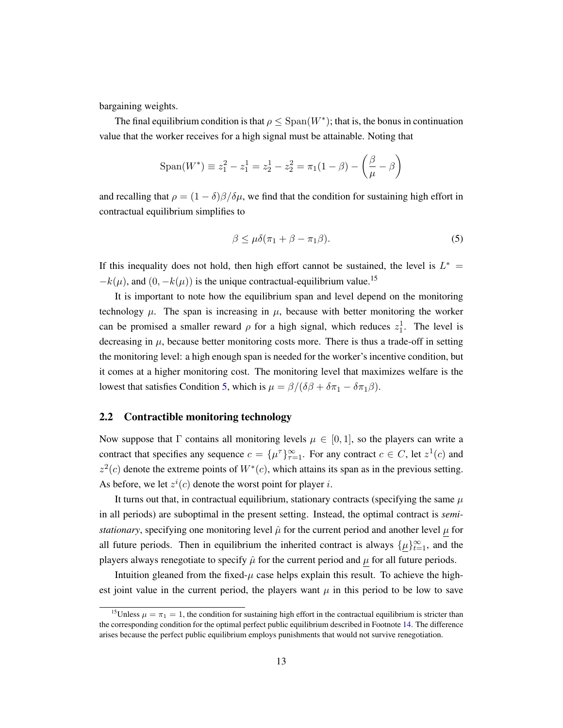bargaining weights.

The final equilibrium condition is that  $\rho \leq$  Span $(W^*)$ ; that is, the bonus in continuation value that the worker receives for a high signal must be attainable. Noting that

$$
\text{Span}(W^*) \equiv z_1^2 - z_1^1 = z_2^1 - z_2^2 = \pi_1(1 - \beta) - \left(\frac{\beta}{\mu} - \beta\right)
$$

and recalling that  $\rho = (1 - \delta)\beta/\delta\mu$ , we find that the condition for sustaining high effort in contractual equilibrium simplifies to

<span id="page-13-1"></span>
$$
\beta \le \mu \delta(\pi_1 + \beta - \pi_1 \beta). \tag{5}
$$

If this inequality does not hold, then high effort cannot be sustained, the level is  $L^*$  =  $-k(\mu)$ , and  $(0, -k(\mu))$  is the unique contractual-equilibrium value.<sup>15</sup>

It is important to note how the equilibrium span and level depend on the monitoring technology  $\mu$ . The span is increasing in  $\mu$ , because with better monitoring the worker can be promised a smaller reward  $\rho$  for a high signal, which reduces  $z_1^1$ . The level is decreasing in  $\mu$ , because better monitoring costs more. There is thus a trade-off in setting the monitoring level: a high enough span is needed for the worker's incentive condition, but it comes at a higher monitoring cost. The monitoring level that maximizes welfare is the lowest that satisfies Condition [5,](#page-13-1) which is  $\mu = \beta/(\delta\beta + \delta\pi_1 - \delta\pi_1\beta)$ .

### <span id="page-13-0"></span>2.2 Contractible monitoring technology

Now suppose that  $\Gamma$  contains all monitoring levels  $\mu \in [0,1]$ , so the players can write a contract that specifies any sequence  $c = {\{\mu^{\tau}\}}_{\tau=1}^{\infty}$ . For any contract  $c \in C$ , let  $z^{1}(c)$  and  $z^2(c)$  denote the extreme points of  $W^*(c)$ , which attains its span as in the previous setting. As before, we let  $z^{i}(c)$  denote the worst point for player i.

It turns out that, in contractual equilibrium, stationary contracts (specifying the same  $\mu$ in all periods) are suboptimal in the present setting. Instead, the optimal contract is *semistationary*, specifying one monitoring level  $\hat{\mu}$  for the current period and another level  $\mu$  for all future periods. Then in equilibrium the inherited contract is always  $\{\mu\}_{t=1}^{\infty}$ , and the players always renegotiate to specify  $\hat{\mu}$  for the current period and  $\mu$  for all future periods.

Intuition gleaned from the fixed- $\mu$  case helps explain this result. To achieve the highest joint value in the current period, the players want  $\mu$  in this period to be low to save

<sup>&</sup>lt;sup>15</sup>Unless  $\mu = \pi_1 = 1$ , the condition for sustaining high effort in the contractual equilibrium is stricter than the corresponding condition for the optimal perfect public equilibrium described in Footnote [14.](#page-10-1) The difference arises because the perfect public equilibrium employs punishments that would not survive renegotiation.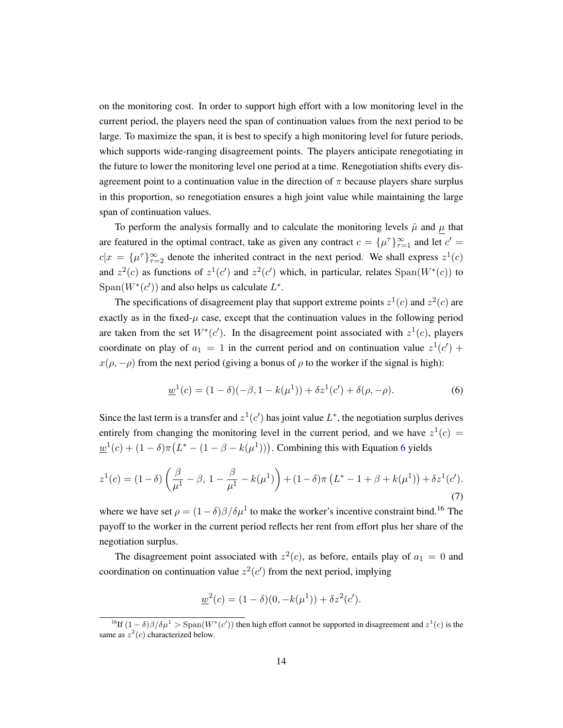on the monitoring cost. In order to support high effort with a low monitoring level in the current period, the players need the span of continuation values from the next period to be large. To maximize the span, it is best to specify a high monitoring level for future periods, which supports wide-ranging disagreement points. The players anticipate renegotiating in the future to lower the monitoring level one period at a time. Renegotiation shifts every disagreement point to a continuation value in the direction of  $\pi$  because players share surplus in this proportion, so renegotiation ensures a high joint value while maintaining the large span of continuation values.

To perform the analysis formally and to calculate the monitoring levels  $\hat{\mu}$  and  $\mu$  that are featured in the optimal contract, take as given any contract  $c = {\{\mu^{\tau}\}}_{\tau=1}^{\infty}$  and let  $c' =$  $c|x = {\mu^{\tau}}_{\tau=2}^{\infty}$  denote the inherited contract in the next period. We shall express  $z^1(c)$ and  $z^2(c)$  as functions of  $z^1(c')$  and  $z^2(c')$  which, in particular, relates  $Span(W^*(c))$  to Span( $W^*(c')$ ) and also helps us calculate  $L^*$ .

The specifications of disagreement play that support extreme points  $z^1(c)$  and  $z^2(c)$  are exactly as in the fixed- $\mu$  case, except that the continuation values in the following period are taken from the set  $W^*(c')$ . In the disagreement point associated with  $z^1(c)$ , players coordinate on play of  $a_1 = 1$  in the current period and on continuation value  $z^1(c')$  +  $x(\rho, -\rho)$  from the next period (giving a bonus of  $\rho$  to the worker if the signal is high):

<span id="page-14-0"></span>
$$
\underline{w}^{1}(c) = (1 - \delta)(-\beta, 1 - k(\mu^{1})) + \delta z^{1}(c') + \delta(\rho, -\rho).
$$
\n(6)

Since the last term is a transfer and  $z^1(c')$  has joint value  $L^*$ , the negotiation surplus derives entirely from changing the monitoring level in the current period, and we have  $z^1(c)$  =  $\underline{w}^1(c) + (1 - \delta)\pi \big( L^* - (1 - \beta - k(\mu^1)) \big)$ . Combining this with Equation [6](#page-14-0) yields

<span id="page-14-1"></span>
$$
z^{1}(c) = (1 - \delta) \left( \frac{\beta}{\mu^{1}} - \beta, 1 - \frac{\beta}{\mu^{1}} - k(\mu^{1}) \right) + (1 - \delta) \pi \left( L^{*} - 1 + \beta + k(\mu^{1}) \right) + \delta z^{1}(c').
$$
\n(7)

where we have set  $\rho = (1 - \delta)\beta/\delta\mu^1$  to make the worker's incentive constraint bind.<sup>16</sup> The payoff to the worker in the current period reflects her rent from effort plus her share of the negotiation surplus.

The disagreement point associated with  $z^2(c)$ , as before, entails play of  $a_1 = 0$  and coordination on continuation value  $z^2(c')$  from the next period, implying

$$
\underline{w}^2(c) = (1 - \delta)(0, -k(\mu^1)) + \delta z^2(c').
$$

<sup>&</sup>lt;sup>16</sup>If  $(1 - \delta)\beta/\delta\mu^1 >$  Span $(W^*(c'))$  then high effort cannot be supported in disagreement and  $z^1(c)$  is the same as  $z^2(c)$  characterized below.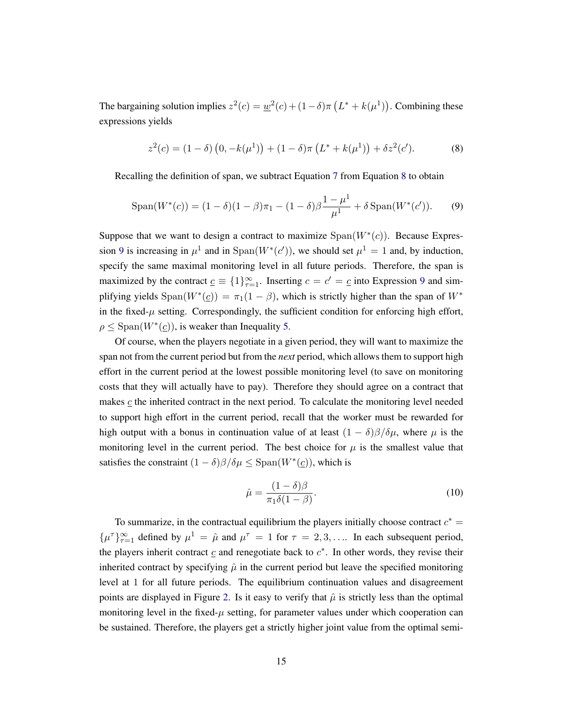The bargaining solution implies  $z^2(c) = \underline{w}^2(c) + (1-\delta)\pi (L^* + k(\mu^1))$ . Combining these expressions yields

<span id="page-15-0"></span>
$$
z^{2}(c) = (1 - \delta) (0, -k(\mu^{1})) + (1 - \delta)\pi (L^{*} + k(\mu^{1})) + \delta z^{2}(c').
$$
 (8)

Recalling the definition of span, we subtract Equation [7](#page-14-1) from Equation [8](#page-15-0) to obtain

<span id="page-15-1"></span>
$$
Span(W^*(c)) = (1 - \delta)(1 - \beta)\pi_1 - (1 - \delta)\beta \frac{1 - \mu^1}{\mu^1} + \delta Span(W^*(c')).
$$
 (9)

Suppose that we want to design a contract to maximize  $Span(W^*(c))$ . Because Expres-sion [9](#page-15-1) is increasing in  $\mu^1$  and in  $Span(W^*(c'))$ , we should set  $\mu^1 = 1$  and, by induction, specify the same maximal monitoring level in all future periods. Therefore, the span is maximized by the contract  $\underline{c} \equiv \{1\}_{\tau=1}^{\infty}$ . Inserting  $c = c' = \underline{c}$  into Expression [9](#page-15-1) and simplifying yields  $Span(W^*(\underline{c})) = \pi_1(1-\beta)$ , which is strictly higher than the span of  $W^*$ in the fixed- $\mu$  setting. Correspondingly, the sufficient condition for enforcing high effort,  $\rho \leq$  Span( $W^*(\underline{c})$ ), is weaker than Inequality [5.](#page-13-1)

Of course, when the players negotiate in a given period, they will want to maximize the span not from the current period but from the *next* period, which allows them to support high effort in the current period at the lowest possible monitoring level (to save on monitoring costs that they will actually have to pay). Therefore they should agree on a contract that makes  $c$  the inherited contract in the next period. To calculate the monitoring level needed to support high effort in the current period, recall that the worker must be rewarded for high output with a bonus in continuation value of at least  $(1 - \delta)\beta/\delta\mu$ , where  $\mu$  is the monitoring level in the current period. The best choice for  $\mu$  is the smallest value that satisfies the constraint  $(1 - \delta)\beta/\delta\mu \leq$  Span $(W^*(\underline{c}))$ , which is

<span id="page-15-2"></span>
$$
\hat{\mu} = \frac{(1 - \delta)\beta}{\pi_1 \delta (1 - \beta)}.
$$
\n(10)

To summarize, in the contractual equilibrium the players initially choose contract  $c^* =$  $\{\mu^{\tau}\}_{\tau=1}^{\infty}$  defined by  $\mu^1 = \hat{\mu}$  and  $\mu^{\tau} = 1$  for  $\tau = 2, 3, \dots$  In each subsequent period, the players inherit contract  $\mathbf c$  and renegotiate back to  $c^*$ . In other words, they revise their inherited contract by specifying  $\hat{\mu}$  in the current period but leave the specified monitoring level at 1 for all future periods. The equilibrium continuation values and disagreement points are displayed in Figure [2.](#page-16-0) Is it easy to verify that  $\hat{\mu}$  is strictly less than the optimal monitoring level in the fixed- $\mu$  setting, for parameter values under which cooperation can be sustained. Therefore, the players get a strictly higher joint value from the optimal semi-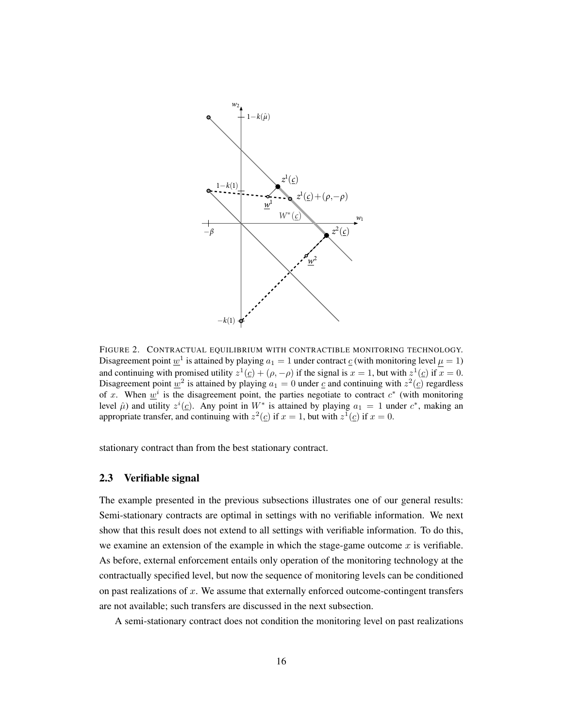<span id="page-16-0"></span>

FIGURE 2. CONTRACTUAL EQUILIBRIUM WITH CONTRACTIBLE MONITORING TECHNOLOGY. Disagreement point  $\underline{w}^1$  is attained by playing  $a_1 = 1$  under contract  $\underline{c}$  (with monitoring level  $\mu = 1$ ) and continuing with promised utility  $z^1(\underline{c}) + (\rho, -\rho)$  if the signal is  $x = 1$ , but with  $z^1(\underline{c})$  if  $x = 0$ . Disagreement point  $\underline{w}^2$  is attained by playing  $a_1 = 0$  under  $\underline{c}$  and continuing with  $z^2(\underline{c})$  regardless of x. When  $\underline{w}^i$  is the disagreement point, the parties negotiate to contract  $c^*$  (with monitoring level  $\hat{\mu}$ ) and utility  $z^i(\underline{c})$ . Any point in  $W^*$  is attained by playing  $a_1 = 1$  under  $c^*$ , making an appropriate transfer, and continuing with  $z^2(\underline{c})$  if  $x = 1$ , but with  $z^1(\underline{c})$  if  $x = 0$ .

stationary contract than from the best stationary contract.

#### <span id="page-16-1"></span>2.3 Verifiable signal

The example presented in the previous subsections illustrates one of our general results: Semi-stationary contracts are optimal in settings with no verifiable information. We next show that this result does not extend to all settings with verifiable information. To do this, we examine an extension of the example in which the stage-game outcome  $x$  is verifiable. As before, external enforcement entails only operation of the monitoring technology at the contractually specified level, but now the sequence of monitoring levels can be conditioned on past realizations of  $x$ . We assume that externally enforced outcome-contingent transfers are not available; such transfers are discussed in the next subsection.

A semi-stationary contract does not condition the monitoring level on past realizations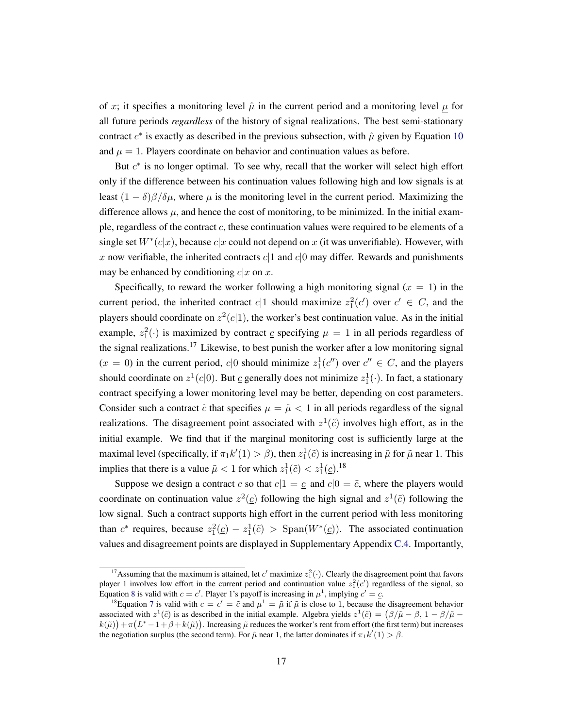of x; it specifies a monitoring level  $\hat{\mu}$  in the current period and a monitoring level  $\mu$  for all future periods *regardless* of the history of signal realizations. The best semi-stationary contract  $c^*$  is exactly as described in the previous subsection, with  $\hat{\mu}$  given by Equation [10](#page-15-2) and  $\mu = 1$ . Players coordinate on behavior and continuation values as before.

But  $c^*$  is no longer optimal. To see why, recall that the worker will select high effort only if the difference between his continuation values following high and low signals is at least  $(1 - \delta)\beta/\delta\mu$ , where  $\mu$  is the monitoring level in the current period. Maximizing the difference allows  $\mu$ , and hence the cost of monitoring, to be minimized. In the initial example, regardless of the contract  $c$ , these continuation values were required to be elements of a single set  $W^*(c|x)$ , because  $c|x$  could not depend on x (it was unverifiable). However, with x now verifiable, the inherited contracts  $c|1$  and  $c|0$  may differ. Rewards and punishments may be enhanced by conditioning  $c|x$  on x.

Specifically, to reward the worker following a high monitoring signal  $(x = 1)$  in the current period, the inherited contract  $c|1$  should maximize  $z_1^2(c')$  over  $c' \in C$ , and the players should coordinate on  $z^2(c|1)$ , the worker's best continuation value. As in the initial example,  $z_1^2(\cdot)$  is maximized by contract  $\underline{c}$  specifying  $\mu = 1$  in all periods regardless of the signal realizations.<sup>17</sup> Likewise, to best punish the worker after a low monitoring signal  $(x = 0)$  in the current period,  $c|0$  should minimize  $z_1^1(c'')$  over  $c'' \in C$ , and the players should coordinate on  $z^1(c|0)$ . But  $\underline{c}$  generally does not minimize  $z_1^1(\cdot)$ . In fact, a stationary contract specifying a lower monitoring level may be better, depending on cost parameters. Consider such a contract  $\tilde{c}$  that specifies  $\mu = \tilde{\mu} < 1$  in all periods regardless of the signal realizations. The disagreement point associated with  $z^1(\tilde{c})$  involves high effort, as in the initial example. We find that if the marginal monitoring cost is sufficiently large at the maximal level (specifically, if  $\pi_1 k'(1) > \beta$ ), then  $z_1^1(\tilde{c})$  is increasing in  $\tilde{\mu}$  for  $\tilde{\mu}$  near 1. This implies that there is a value  $\tilde{\mu} < 1$  for which  $z_1^1(\tilde{c}) < z_1^1(\underline{c})$ .<sup>18</sup>

Suppose we design a contract c so that  $c|1 = c$  and  $c|0 = \tilde{c}$ , where the players would coordinate on continuation value  $z^2(\underline{c})$  following the high signal and  $z^1(\tilde{c})$  following the low signal. Such a contract supports high effort in the current period with less monitoring than  $c^*$  requires, because  $z_1^2(\underline{c}) - z_1^1(\tilde{c}) > \text{Span}(W^*(\underline{c}))$ . The associated continuation values and disagreement points are displayed in Supplementary Appendix [C.4.](#page-55-0) Importantly,

<sup>&</sup>lt;sup>17</sup> Assuming that the maximum is attained, let c' maximize  $z_1^2(\cdot)$ . Clearly the disagreement point that favors player 1 involves low effort in the current period and continuation value  $z_1^2(c')$  regardless of the signal, so Equation [8](#page-15-0) is valid with  $c = c'$ . Player 1's payoff is increasing in  $\mu^1$ , implying  $c' = c$ .

<sup>&</sup>lt;sup>18</sup>Equation [7](#page-14-1) is valid with  $c = c' = \tilde{c}$  and  $\mu^1 = \tilde{\mu}$  if  $\tilde{\mu}$  is close to 1, because the disagreement behavior associated with  $z^1(\tilde{c})$  is as described in the initial example. Algebra yields  $z^1(\tilde{c}) = (\beta/\tilde{\mu} - \beta, 1 - \beta/\tilde{\mu} - \beta)$  $k(\tilde{\mu}) + \pi (L^* - 1 + \beta + k(\tilde{\mu}))$ . Increasing  $\tilde{\mu}$  reduces the worker's rent from effort (the first term) but increases the negotiation surplus (the second term). For  $\tilde{\mu}$  near 1, the latter dominates if  $\pi_1 k'(1) > \beta$ .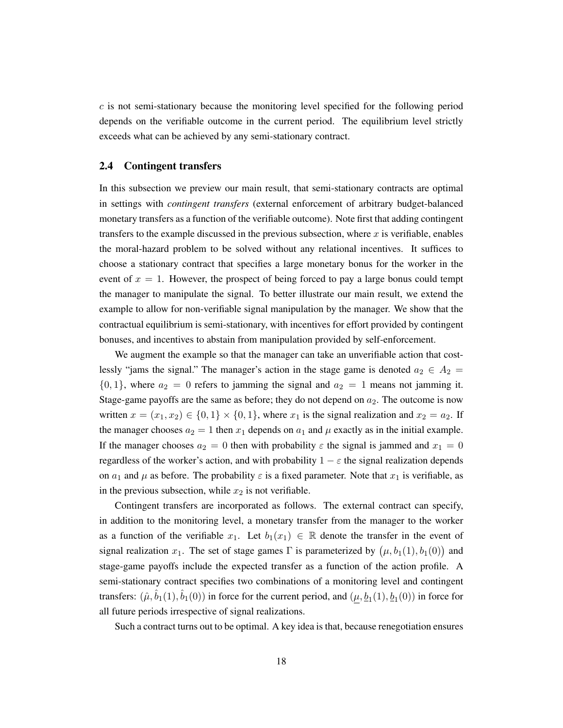$c$  is not semi-stationary because the monitoring level specified for the following period depends on the verifiable outcome in the current period. The equilibrium level strictly exceeds what can be achieved by any semi-stationary contract.

### <span id="page-18-0"></span>2.4 Contingent transfers

In this subsection we preview our main result, that semi-stationary contracts are optimal in settings with *contingent transfers* (external enforcement of arbitrary budget-balanced monetary transfers as a function of the verifiable outcome). Note first that adding contingent transfers to the example discussed in the previous subsection, where  $x$  is verifiable, enables the moral-hazard problem to be solved without any relational incentives. It suffices to choose a stationary contract that specifies a large monetary bonus for the worker in the event of  $x = 1$ . However, the prospect of being forced to pay a large bonus could tempt the manager to manipulate the signal. To better illustrate our main result, we extend the example to allow for non-verifiable signal manipulation by the manager. We show that the contractual equilibrium is semi-stationary, with incentives for effort provided by contingent bonuses, and incentives to abstain from manipulation provided by self-enforcement.

We augment the example so that the manager can take an unverifiable action that costlessly "jams the signal." The manager's action in the stage game is denoted  $a_2 \in A_2$  =  $\{0, 1\}$ , where  $a_2 = 0$  refers to jamming the signal and  $a_2 = 1$  means not jamming it. Stage-game payoffs are the same as before; they do not depend on  $a_2$ . The outcome is now written  $x = (x_1, x_2) \in \{0, 1\} \times \{0, 1\}$ , where  $x_1$  is the signal realization and  $x_2 = a_2$ . If the manager chooses  $a_2 = 1$  then  $x_1$  depends on  $a_1$  and  $\mu$  exactly as in the initial example. If the manager chooses  $a_2 = 0$  then with probability  $\varepsilon$  the signal is jammed and  $x_1 = 0$ regardless of the worker's action, and with probability  $1 - \varepsilon$  the signal realization depends on  $a_1$  and  $\mu$  as before. The probability  $\varepsilon$  is a fixed parameter. Note that  $x_1$  is verifiable, as in the previous subsection, while  $x_2$  is not verifiable.

Contingent transfers are incorporated as follows. The external contract can specify, in addition to the monitoring level, a monetary transfer from the manager to the worker as a function of the verifiable  $x_1$ . Let  $b_1(x_1) \in \mathbb{R}$  denote the transfer in the event of signal realization  $x_1$ . The set of stage games  $\Gamma$  is parameterized by  $(\mu, b_1(1), b_1(0))$  and stage-game payoffs include the expected transfer as a function of the action profile. A semi-stationary contract specifies two combinations of a monitoring level and contingent transfers:  $(\hat{\mu}, \hat{b}_1(1), \hat{b}_1(0))$  in force for the current period, and  $(\underline{\mu}, \underline{b}_1(1), \underline{b}_1(0))$  in force for all future periods irrespective of signal realizations.

Such a contract turns out to be optimal. A key idea is that, because renegotiation ensures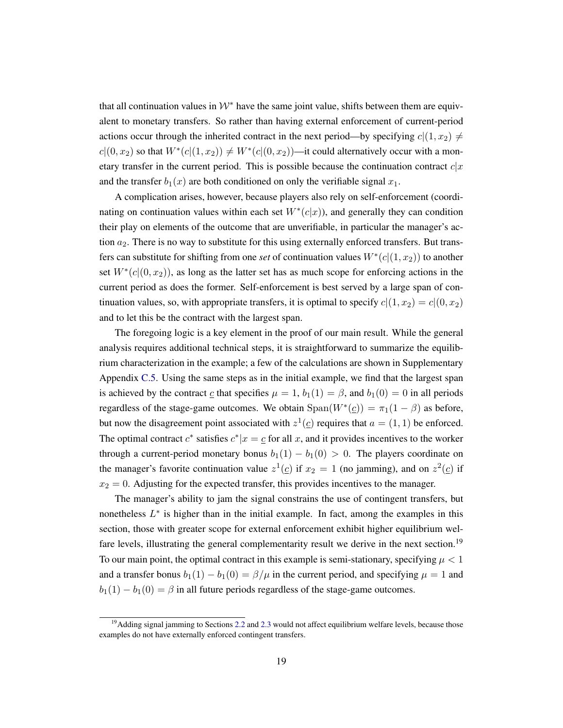that all continuation values in  $W^*$  have the same joint value, shifts between them are equivalent to monetary transfers. So rather than having external enforcement of current-period actions occur through the inherited contract in the next period—by specifying  $c|(1, x_2) \neq 0$  $c|(0, x_2)$  so that  $W^*(c|(1, x_2)) \neq W^*(c|(0, x_2))$ —it could alternatively occur with a monetary transfer in the current period. This is possible because the continuation contract  $c|x$ and the transfer  $b_1(x)$  are both conditioned on only the verifiable signal  $x_1$ .

A complication arises, however, because players also rely on self-enforcement (coordinating on continuation values within each set  $W^*(c|x)$ ), and generally they can condition their play on elements of the outcome that are unverifiable, in particular the manager's action  $a_2$ . There is no way to substitute for this using externally enforced transfers. But transfers can substitute for shifting from one *set* of continuation values  $W^*(c|(1, x_2))$  to another set  $W^*(c|(0, x_2))$ , as long as the latter set has as much scope for enforcing actions in the current period as does the former. Self-enforcement is best served by a large span of continuation values, so, with appropriate transfers, it is optimal to specify  $c|(1, x_2) = c|(0, x_2)$ and to let this be the contract with the largest span.

The foregoing logic is a key element in the proof of our main result. While the general analysis requires additional technical steps, it is straightforward to summarize the equilibrium characterization in the example; a few of the calculations are shown in Supplementary Appendix [C.5.](#page-56-0) Using the same steps as in the initial example, we find that the largest span is achieved by the contract  $\underline{c}$  that specifies  $\mu = 1$ ,  $b_1(1) = \beta$ , and  $b_1(0) = 0$  in all periods regardless of the stage-game outcomes. We obtain  $Span(W^*(c)) = \pi_1(1 - \beta)$  as before, but now the disagreement point associated with  $z^1(\underline{c})$  requires that  $a = (1, 1)$  be enforced. The optimal contract  $c^*$  satisfies  $c^*|x = c$  for all x, and it provides incentives to the worker through a current-period monetary bonus  $b_1(1) - b_1(0) > 0$ . The players coordinate on the manager's favorite continuation value  $z^1(z)$  if  $x_2 = 1$  (no jamming), and on  $z^2(z)$  if  $x_2 = 0$ . Adjusting for the expected transfer, this provides incentives to the manager.

The manager's ability to jam the signal constrains the use of contingent transfers, but nonetheless  $L^*$  is higher than in the initial example. In fact, among the examples in this section, those with greater scope for external enforcement exhibit higher equilibrium welfare levels, illustrating the general complementarity result we derive in the next section.<sup>19</sup> To our main point, the optimal contract in this example is semi-stationary, specifying  $\mu < 1$ and a transfer bonus  $b_1(1) - b_1(0) = \beta/\mu$  in the current period, and specifying  $\mu = 1$  and  $b_1(1) - b_1(0) = \beta$  in all future periods regardless of the stage-game outcomes.

<sup>&</sup>lt;sup>19</sup>Adding signal jamming to Sections [2.2](#page-13-0) and [2.3](#page-16-1) would not affect equilibrium welfare levels, because those examples do not have externally enforced contingent transfers.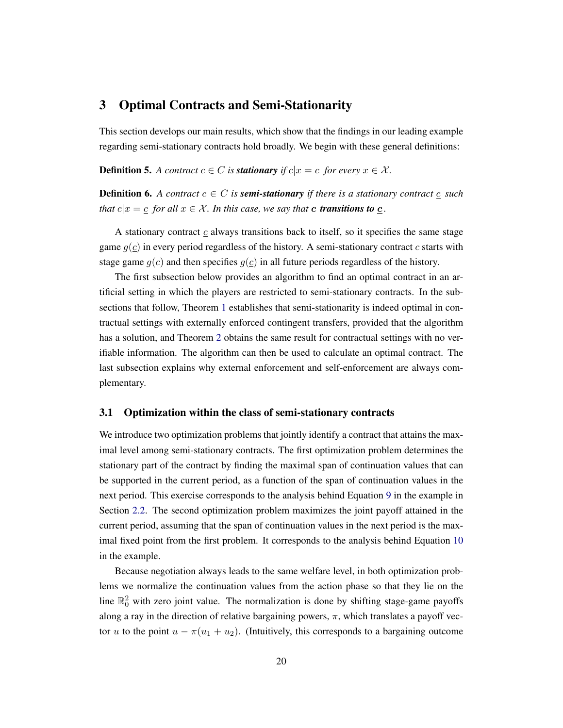# <span id="page-20-1"></span>3 Optimal Contracts and Semi-Stationarity

This section develops our main results, which show that the findings in our leading example regarding semi-stationary contracts hold broadly. We begin with these general definitions:

**Definition 5.** A contract  $c \in C$  is **stationary** if  $c|x = c$  for every  $x \in \mathcal{X}$ .

**Definition 6.** A contract  $c \in C$  is **semi-stationary** if there is a stationary contract c such *that*  $c|x = c$  *for all*  $x \in \mathcal{X}$ *. In this case, we say that c transitions to c.* 

A stationary contract  $c$  always transitions back to itself, so it specifies the same stage game  $g(c)$  in every period regardless of the history. A semi-stationary contract c starts with stage game  $g(c)$  and then specifies  $g(c)$  in all future periods regardless of the history.

The first subsection below provides an algorithm to find an optimal contract in an artificial setting in which the players are restricted to semi-stationary contracts. In the subsections that follow, Theorem [1](#page-23-0) establishes that semi-stationarity is indeed optimal in contractual settings with externally enforced contingent transfers, provided that the algorithm has a solution, and Theorem [2](#page-25-1) obtains the same result for contractual settings with no verifiable information. The algorithm can then be used to calculate an optimal contract. The last subsection explains why external enforcement and self-enforcement are always complementary.

### <span id="page-20-0"></span>3.1 Optimization within the class of semi-stationary contracts

We introduce two optimization problems that jointly identify a contract that attains the maximal level among semi-stationary contracts. The first optimization problem determines the stationary part of the contract by finding the maximal span of continuation values that can be supported in the current period, as a function of the span of continuation values in the next period. This exercise corresponds to the analysis behind Equation [9](#page-15-1) in the example in Section [2.2.](#page-13-0) The second optimization problem maximizes the joint payoff attained in the current period, assuming that the span of continuation values in the next period is the maximal fixed point from the first problem. It corresponds to the analysis behind Equation [10](#page-15-2) in the example.

Because negotiation always leads to the same welfare level, in both optimization problems we normalize the continuation values from the action phase so that they lie on the line  $\mathbb{R}^2$  with zero joint value. The normalization is done by shifting stage-game payoffs along a ray in the direction of relative bargaining powers,  $\pi$ , which translates a payoff vector u to the point  $u - \pi(u_1 + u_2)$ . (Intuitively, this corresponds to a bargaining outcome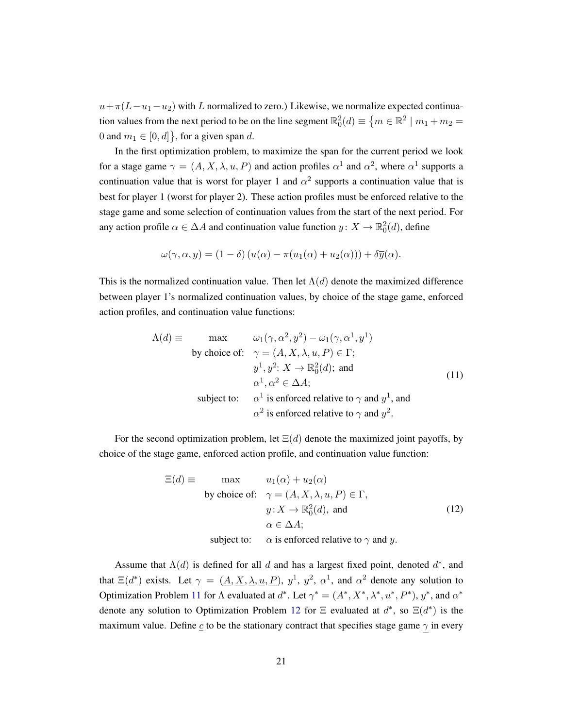$u+\pi(L-u_1-u_2)$  with L normalized to zero.) Likewise, we normalize expected continuation values from the next period to be on the line segment  $\mathbb{R}^2_0(d) \equiv \{m \in \mathbb{R}^2 \mid m_1 + m_2 = 1\}$ 0 and  $m_1 \in [0, d]$ , for a given span d.

In the first optimization problem, to maximize the span for the current period we look for a stage game  $\gamma = (A, X, \lambda, u, P)$  and action profiles  $\alpha^1$  and  $\alpha^2$ , where  $\alpha^1$  supports a continuation value that is worst for player 1 and  $\alpha^2$  supports a continuation value that is best for player 1 (worst for player 2). These action profiles must be enforced relative to the stage game and some selection of continuation values from the start of the next period. For any action profile  $\alpha \in \Delta A$  and continuation value function  $y \colon X \to \mathbb{R}^2_0(d)$ , define

$$
\omega(\gamma,\alpha,y)=(1-\delta)\left(u(\alpha)-\pi(u_1(\alpha)+u_2(\alpha))\right)+\delta\overline{y}(\alpha).
$$

This is the normalized continuation value. Then let  $\Lambda(d)$  denote the maximized difference between player 1's normalized continuation values, by choice of the stage game, enforced action profiles, and continuation value functions:

<span id="page-21-0"></span>
$$
\Lambda(d) \equiv \max \qquad \omega_1(\gamma, \alpha^2, y^2) - \omega_1(\gamma, \alpha^1, y^1)
$$
  
by choice of:  $\gamma = (A, X, \lambda, u, P) \in \Gamma;$   
 $y^1, y^2: X \to \mathbb{R}_0^2(d);$  and  
 $\alpha^1, \alpha^2 \in \Delta A;$   
subject to:  $\alpha^1$  is enforced relative to  $\gamma$  and  $y^1$ , and  
 $\alpha^2$  is enforced relative to  $\gamma$  and  $y^2$ .

For the second optimization problem, let  $\Xi(d)$  denote the maximized joint payoffs, by choice of the stage game, enforced action profile, and continuation value function:

<span id="page-21-1"></span>
$$
\Xi(d) \equiv \max \qquad u_1(\alpha) + u_2(\alpha)
$$
  
by choice of:  $\gamma = (A, X, \lambda, u, P) \in \Gamma$ ,  
 $y: X \to \mathbb{R}_0^2(d)$ , and  
 $\alpha \in \Delta A$ ;  
subject to:  $\alpha$  is enforced relative to  $\gamma$  and y. (12)

Assume that  $\Lambda(d)$  is defined for all d and has a largest fixed point, denoted  $d^*$ , and that  $\Xi(d^*)$  exists. Let  $\gamma = (\underline{A}, \underline{X}, \underline{\lambda}, \underline{u}, \underline{P})$ ,  $y^1$ ,  $y^2$ ,  $\alpha^1$ , and  $\alpha^2$  denote any solution to Optimization Problem [11](#page-21-0) for Λ evaluated at  $d^*$ . Let  $\gamma^* = (A^*, X^*, \lambda^*, u^*, P^*)$ ,  $y^*$ , and  $\alpha^*$ denote any solution to Optimization Problem [12](#page-21-1) for  $\Xi$  evaluated at  $d^*$ , so  $\Xi(d^*)$  is the maximum value. Define  $c$  to be the stationary contract that specifies stage game  $\gamma$  in every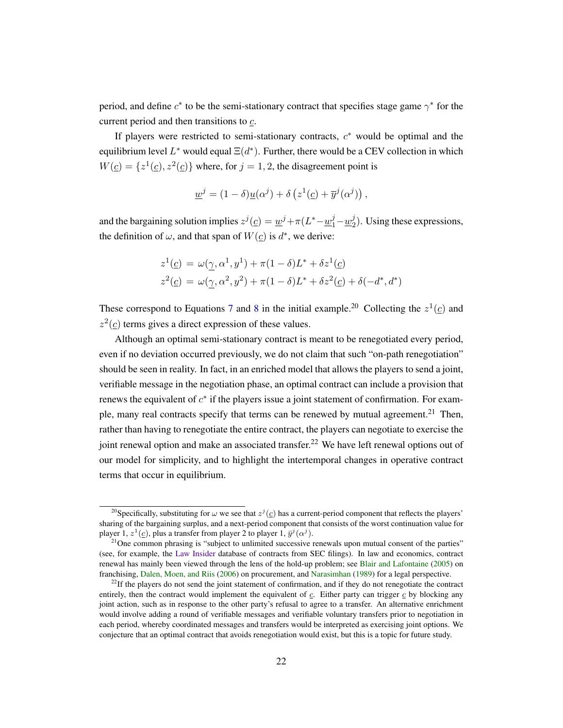period, and define  $c^*$  to be the semi-stationary contract that specifies stage game  $\gamma^*$  for the current period and then transitions to  $\mathfrak{c}$ .

If players were restricted to semi-stationary contracts,  $c^*$  would be optimal and the equilibrium level  $L^*$  would equal  $\Xi(d^*)$ . Further, there would be a CEV collection in which  $W(\underline{c}) = \{z^1(\underline{c}), z^2(\underline{c})\}$  where, for  $j = 1, 2$ , the disagreement point is

$$
\underline{w}^j = (1 - \delta) \underline{u}(\alpha^j) + \delta \left( z^1(\underline{c}) + \overline{y}^j(\alpha^j) \right),
$$

and the bargaining solution implies  $z^j(\underline{c}) = \underline{w}^j + \pi (L^* - \underline{w}_1^j - \underline{w}_2^j)$  $2<sup>j</sup>$ ). Using these expressions, the definition of  $\omega$ , and that span of  $W(\underline{c})$  is  $d^*$ , we derive:

$$
z^{1}(\underline{c}) = \omega(\underline{\gamma}, \alpha^{1}, y^{1}) + \pi(1 - \delta)L^{*} + \delta z^{1}(\underline{c})
$$
  

$$
z^{2}(\underline{c}) = \omega(\underline{\gamma}, \alpha^{2}, y^{2}) + \pi(1 - \delta)L^{*} + \delta z^{2}(\underline{c}) + \delta(-d^{*}, d^{*})
$$

These correspond to Equations [7](#page-14-1) and [8](#page-15-0) in the initial example.<sup>20</sup> Collecting the  $z^1(\underline{c})$  and  $z^2(\underline{c})$  terms gives a direct expression of these values.

Although an optimal semi-stationary contract is meant to be renegotiated every period, even if no deviation occurred previously, we do not claim that such "on-path renegotiation" should be seen in reality. In fact, in an enriched model that allows the players to send a joint, verifiable message in the negotiation phase, an optimal contract can include a provision that renews the equivalent of  $c^*$  if the players issue a joint statement of confirmation. For example, many real contracts specify that terms can be renewed by mutual agreement.<sup>21</sup> Then, rather than having to renegotiate the entire contract, the players can negotiate to exercise the joint renewal option and make an associated transfer.<sup>22</sup> We have left renewal options out of our model for simplicity, and to highlight the intertemporal changes in operative contract terms that occur in equilibrium.

<sup>&</sup>lt;sup>20</sup>Specifically, substituting for  $\omega$  we see that  $z^{j}(q)$  has a current-period component that reflects the players' sharing of the bargaining surplus, and a next-period component that consists of the worst continuation value for player 1,  $z^1(\underline{c})$ , plus a transfer from player 2 to player 1,  $\bar{y}^j(\alpha^j)$ .

 $21$ One common phrasing is "subject to unlimited successive renewals upon mutual consent of the parties" (see, for example, the [Law Insider](lawinsider.com) database of contracts from SEC filings). In law and economics, contract renewal has mainly been viewed through the lens of the hold-up problem; see [Blair and Lafontaine](#page-47-3) [\(2005\)](#page-47-3) on franchising, [Dalen, Moen, and Riis](#page-48-6) [\(2006\)](#page-48-6) on procurement, and [Narasimhan](#page-49-6) [\(1989\)](#page-49-6) for a legal perspective.

 $^{22}$ If the players do not send the joint statement of confirmation, and if they do not renegotiate the contract entirely, then the contract would implement the equivalent of c. Either party can trigger c by blocking any joint action, such as in response to the other party's refusal to agree to a transfer. An alternative enrichment would involve adding a round of verifiable messages and verifiable voluntary transfers prior to negotiation in each period, whereby coordinated messages and transfers would be interpreted as exercising joint options. We conjecture that an optimal contract that avoids renegotiation would exist, but this is a topic for future study.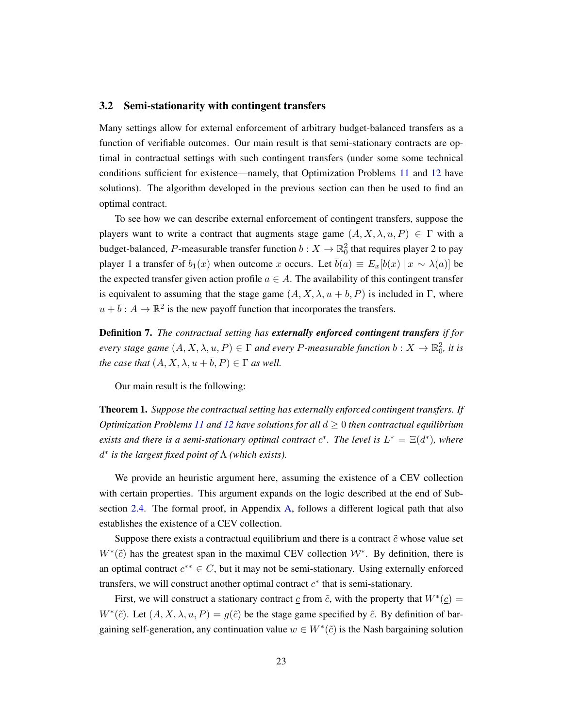### <span id="page-23-1"></span>3.2 Semi-stationarity with contingent transfers

Many settings allow for external enforcement of arbitrary budget-balanced transfers as a function of verifiable outcomes. Our main result is that semi-stationary contracts are optimal in contractual settings with such contingent transfers (under some some technical conditions sufficient for existence—namely, that Optimization Problems [11](#page-21-0) and [12](#page-21-1) have solutions). The algorithm developed in the previous section can then be used to find an optimal contract.

To see how we can describe external enforcement of contingent transfers, suppose the players want to write a contract that augments stage game  $(A, X, \lambda, u, P) \in \Gamma$  with a budget-balanced, P-measurable transfer function  $b: X \to \mathbb{R}^2_0$  that requires player 2 to pay player 1 a transfer of  $b_1(x)$  when outcome x occurs. Let  $\bar{b}(a) \equiv E_x[b(x) | x \sim \lambda(a)]$  be the expected transfer given action profile  $a \in A$ . The availability of this contingent transfer is equivalent to assuming that the stage game  $(A, X, \lambda, u + \overline{b}, P)$  is included in Γ, where  $u + \overline{b} : A \to \mathbb{R}^2$  is the new payoff function that incorporates the transfers.

Definition 7. *The contractual setting has externally enforced contingent transfers if for every stage game*  $(A, X, \lambda, u, P) \in \Gamma$  *and every P-measurable function*  $b: X \to \mathbb{R}_0^2$ , *it is the case that*  $(A, X, \lambda, u + \overline{b}, P) \in \Gamma$  *as well.* 

Our main result is the following:

<span id="page-23-0"></span>Theorem 1. *Suppose the contractual setting has externally enforced contingent transfers. If Optimization Problems* [11](#page-21-0) *and* [12](#page-21-1) *have solutions for all*  $d \geq 0$  *then contractual equilibrium exists and there is a semi-stationary optimal contract*  $c^*$ *. The level is*  $L^* = \Xi(d^*)$ *, where* d ∗ *is the largest fixed point of* Λ *(which exists).*

We provide an heuristic argument here, assuming the existence of a CEV collection with certain properties. This argument expands on the logic described at the end of Subsection [2.4.](#page-18-0) The formal proof, in Appendix [A,](#page-36-0) follows a different logical path that also establishes the existence of a CEV collection.

Suppose there exists a contractual equilibrium and there is a contract  $\tilde{c}$  whose value set  $W^*(\tilde{c})$  has the greatest span in the maximal CEV collection  $W^*$ . By definition, there is an optimal contract  $c^{**} \in C$ , but it may not be semi-stationary. Using externally enforced transfers, we will construct another optimal contract  $c^*$  that is semi-stationary.

First, we will construct a stationary contract  $\sigma$  from  $\tilde{c}$ , with the property that  $W^*(\sigma)$  $W^*(\tilde{c})$ . Let  $(A, X, \lambda, u, P) = g(\tilde{c})$  be the stage game specified by  $\tilde{c}$ . By definition of bargaining self-generation, any continuation value  $w \in W^*(\tilde{c})$  is the Nash bargaining solution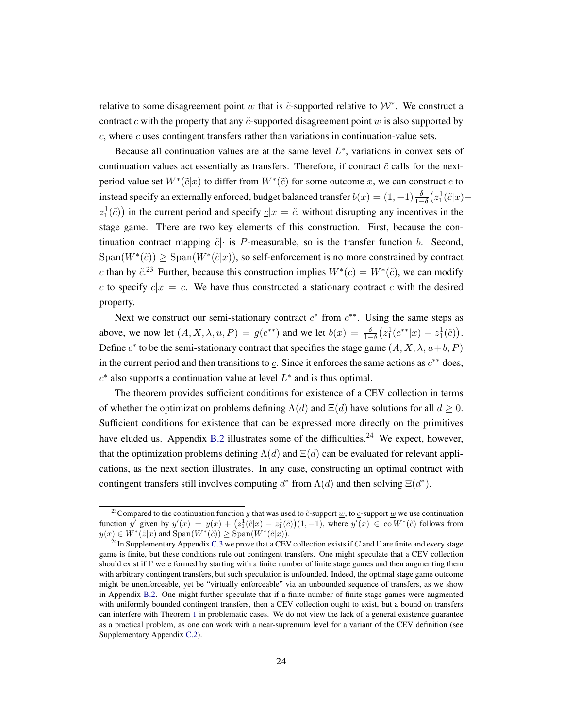relative to some disagreement point  $\underline{w}$  that is  $\tilde{c}$ -supported relative to  $\mathcal{W}^*$ . We construct a contract  $\epsilon$  with the property that any  $\tilde{\epsilon}$ -supported disagreement point  $\omega$  is also supported by  $c$ , where  $c$  uses contingent transfers rather than variations in continuation-value sets.

Because all continuation values are at the same level  $L^*$ , variations in convex sets of continuation values act essentially as transfers. Therefore, if contract  $\tilde{c}$  calls for the nextperiod value set  $W^*(\tilde{c}|x)$  to differ from  $W^*(\tilde{c})$  for some outcome x, we can construct  $\underline{c}$  to instead specify an externally enforced, budget balanced transfer  $b(x) = (1, -1)\frac{\delta}{1-\delta} (z_1^1(\tilde{c}|x)$  $z_1^1(\tilde{c})$  in the current period and specify  $\underline{c}|x = \tilde{c}$ , without disrupting any incentives in the stage game. There are two key elements of this construction. First, because the continuation contract mapping  $\tilde{c}$  is P-measurable, so is the transfer function b. Second,  $Span(W^*(\tilde{c})) \ge Span(W^*(\tilde{c}|x))$ , so self-enforcement is no more constrained by contract c than by  $\tilde{c}$ .<sup>23</sup> Further, because this construction implies  $W^*(\underline{c}) = W^*(\tilde{c})$ , we can modify c to specify  $c|x = c$ . We have thus constructed a stationary contract c with the desired property.

Next we construct our semi-stationary contract  $c^*$  from  $c^{**}$ . Using the same steps as above, we now let  $(A, X, \lambda, u, P) = g(c^{**})$  and we let  $b(x) = \frac{\delta}{1-\delta} (z_1^1(c^{**}|x) - z_1^1(\tilde{c})).$ Define  $c^*$  to be the semi-stationary contract that specifies the stage game  $(A, X, \lambda, u + \overline{b}, P)$ in the current period and then transitions to  $\mathfrak{c}$ . Since it enforces the same actions as  $c^{**}$  does,  $c^*$  also supports a continuation value at level  $L^*$  and is thus optimal.

The theorem provides sufficient conditions for existence of a CEV collection in terms of whether the optimization problems defining  $\Lambda(d)$  and  $\Xi(d)$  have solutions for all  $d \geq 0$ . Sufficient conditions for existence that can be expressed more directly on the primitives have eluded us. Appendix [B.2](#page-45-0) illustrates some of the difficulties.<sup>24</sup> We expect, however, that the optimization problems defining  $\Lambda(d)$  and  $\Xi(d)$  can be evaluated for relevant applications, as the next section illustrates. In any case, constructing an optimal contract with contingent transfers still involves computing  $d^*$  from  $\Lambda(d)$  and then solving  $\Xi(d^*)$ .

<sup>&</sup>lt;sup>23</sup>Compared to the continuation function y that was used to  $\tilde{c}$ -support <u>w</u>, to  $\tilde{c}$ -support <u>w</u> we use continuation function y' given by  $y'(x) = y(x) + (z_1^1(\tilde{c}|x) - z_1^1(\tilde{c}))(1, -1)$ , where  $y'(x) \in \text{co } W^*(\tilde{c})$  follows from  $y(x) \in W^*(\tilde{z}|x)$  and  $\text{Span}(W^*(\tilde{c})) \geq \text{Span}(W^*(\tilde{c}|x)).$ 

<sup>&</sup>lt;sup>24</sup>In Supplementary Appendix [C.3](#page-54-0) we prove that a CEV collection exists if C and  $\Gamma$  are finite and every stage game is finite, but these conditions rule out contingent transfers. One might speculate that a CEV collection should exist if Γ were formed by starting with a finite number of finite stage games and then augmenting them with arbitrary contingent transfers, but such speculation is unfounded. Indeed, the optimal stage game outcome might be unenforceable, yet be "virtually enforceable" via an unbounded sequence of transfers, as we show in Appendix [B.2.](#page-45-0) One might further speculate that if a finite number of finite stage games were augmented with uniformly bounded contingent transfers, then a CEV collection ought to exist, but a bound on transfers can interfere with Theorem [1](#page-23-0) in problematic cases. We do not view the lack of a general existence guarantee as a practical problem, as one can work with a near-supremum level for a variant of the CEV definition (see Supplementary Appendix [C.2\)](#page-52-0).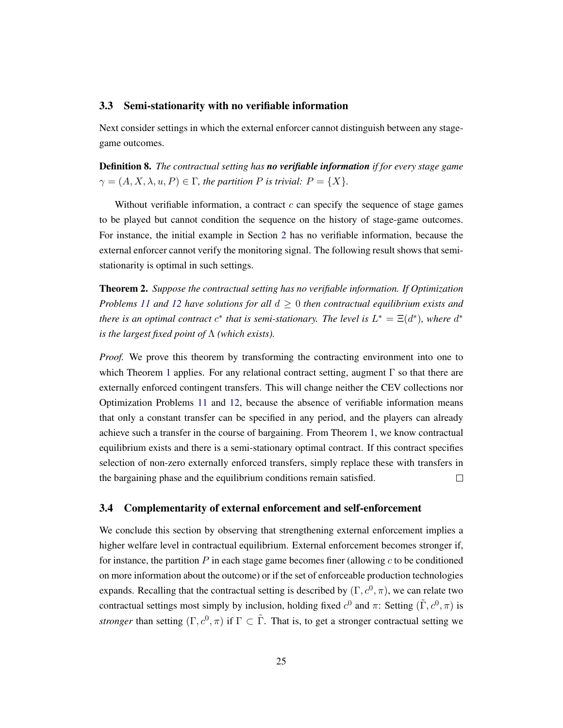### <span id="page-25-2"></span>3.3 Semi-stationarity with no verifiable information

Next consider settings in which the external enforcer cannot distinguish between any stagegame outcomes.

Definition 8. *The contractual setting has no verifiable information if for every stage game*  $\gamma = (A, X, \lambda, u, P) \in \Gamma$ , the partition P is trivial:  $P = \{X\}.$ 

Without verifiable information, a contract  $c$  can specify the sequence of stage games to be played but cannot condition the sequence on the history of stage-game outcomes. For instance, the initial example in Section [2](#page-10-0) has no verifiable information, because the external enforcer cannot verify the monitoring signal. The following result shows that semistationarity is optimal in such settings.

<span id="page-25-1"></span>Theorem 2. *Suppose the contractual setting has no verifiable information. If Optimization Problems* [11](#page-21-0) and [12](#page-21-1) have solutions for all  $d \geq 0$  then contractual equilibrium exists and *there is an optimal contract*  $c^*$  *that is semi-stationary. The level is*  $L^* = \Xi(d^*)$ *, where*  $d^*$ *is the largest fixed point of* Λ *(which exists).*

*Proof.* We prove this theorem by transforming the contracting environment into one to which Theorem [1](#page-23-0) applies. For any relational contract setting, augment  $\Gamma$  so that there are externally enforced contingent transfers. This will change neither the CEV collections nor Optimization Problems [11](#page-21-0) and [12,](#page-21-1) because the absence of verifiable information means that only a constant transfer can be specified in any period, and the players can already achieve such a transfer in the course of bargaining. From Theorem [1,](#page-23-0) we know contractual equilibrium exists and there is a semi-stationary optimal contract. If this contract specifies selection of non-zero externally enforced transfers, simply replace these with transfers in the bargaining phase and the equilibrium conditions remain satisfied.  $\Box$ 

### <span id="page-25-0"></span>3.4 Complementarity of external enforcement and self-enforcement

We conclude this section by observing that strengthening external enforcement implies a higher welfare level in contractual equilibrium. External enforcement becomes stronger if, for instance, the partition  $P$  in each stage game becomes finer (allowing  $c$  to be conditioned on more information about the outcome) or if the set of enforceable production technologies expands. Recalling that the contractual setting is described by  $(\Gamma, c^0, \pi)$ , we can relate two contractual settings most simply by inclusion, holding fixed  $c^0$  and  $\pi$ : Setting  $(\tilde{\Gamma}, c^0, \pi)$  is *stronger* than setting  $(\Gamma, c^0, \pi)$  if  $\Gamma \subset \tilde{\Gamma}$ . That is, to get a stronger contractual setting we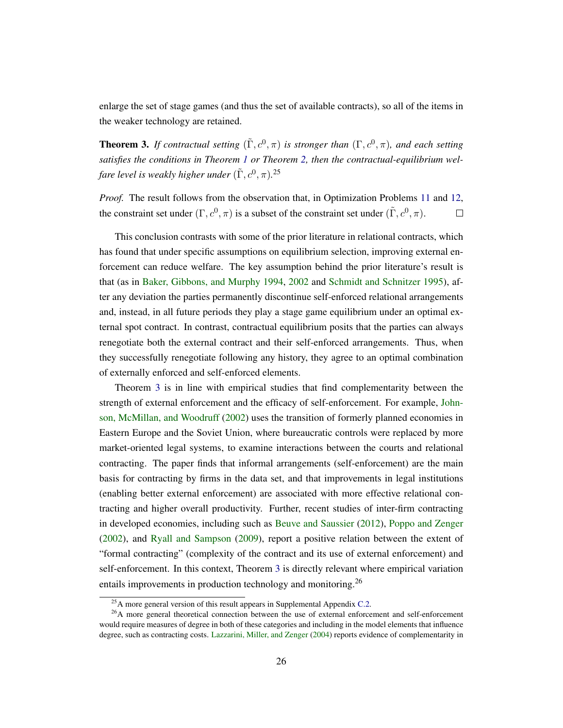enlarge the set of stage games (and thus the set of available contracts), so all of the items in the weaker technology are retained.

<span id="page-26-0"></span>**Theorem 3.** If contractual setting  $(\tilde{\Gamma}, c^0, \pi)$  is stronger than  $(\Gamma, c^0, \pi)$ , and each setting *satisfies the conditions in Theorem [1](#page-23-0) or Theorem [2,](#page-25-1) then the contractual-equilibrium wel*fare level is weakly higher under  $(\tilde{\Gamma},c^0,\pi)$ .<sup>25</sup>

*Proof.* The result follows from the observation that, in Optimization Problems [11](#page-21-0) and [12,](#page-21-1) the constraint set under  $(\Gamma, c^0, \pi)$  is a subset of the constraint set under  $(\tilde{\Gamma}, c^0, \pi)$ .  $\Box$ 

This conclusion contrasts with some of the prior literature in relational contracts, which has found that under specific assumptions on equilibrium selection, improving external enforcement can reduce welfare. The key assumption behind the prior literature's result is that (as in [Baker, Gibbons, and Murphy](#page-47-0) [1994,](#page-47-0) [2002](#page-47-1) and [Schmidt and Schnitzer](#page-49-4) [1995\)](#page-49-4), after any deviation the parties permanently discontinue self-enforced relational arrangements and, instead, in all future periods they play a stage game equilibrium under an optimal external spot contract. In contrast, contractual equilibrium posits that the parties can always renegotiate both the external contract and their self-enforced arrangements. Thus, when they successfully renegotiate following any history, they agree to an optimal combination of externally enforced and self-enforced elements.

Theorem [3](#page-26-0) is in line with empirical studies that find complementarity between the strength of external enforcement and the efficacy of self-enforcement. For example, [John](#page-48-7)[son, McMillan, and Woodruff](#page-48-7) [\(2002\)](#page-48-7) uses the transition of formerly planned economies in Eastern Europe and the Soviet Union, where bureaucratic controls were replaced by more market-oriented legal systems, to examine interactions between the courts and relational contracting. The paper finds that informal arrangements (self-enforcement) are the main basis for contracting by firms in the data set, and that improvements in legal institutions (enabling better external enforcement) are associated with more effective relational contracting and higher overall productivity. Further, recent studies of inter-firm contracting in developed economies, including such as [Beuve and Saussier](#page-47-4) [\(2012\)](#page-47-4), [Poppo and Zenger](#page-49-7) [\(2002\)](#page-49-7), and [Ryall and Sampson](#page-49-8) [\(2009\)](#page-49-8), report a positive relation between the extent of "formal contracting" (complexity of the contract and its use of external enforcement) and self-enforcement. In this context, Theorem [3](#page-26-0) is directly relevant where empirical variation entails improvements in production technology and monitoring.<sup>26</sup>

 $^{25}$ A more general version of this result appears in Supplemental Appendix [C.2.](#page-52-0)

<sup>&</sup>lt;sup>26</sup>A more general theoretical connection between the use of external enforcement and self-enforcement would require measures of degree in both of these categories and including in the model elements that influence degree, such as contracting costs. [Lazzarini, Miller, and Zenger](#page-48-8) [\(2004\)](#page-48-8) reports evidence of complementarity in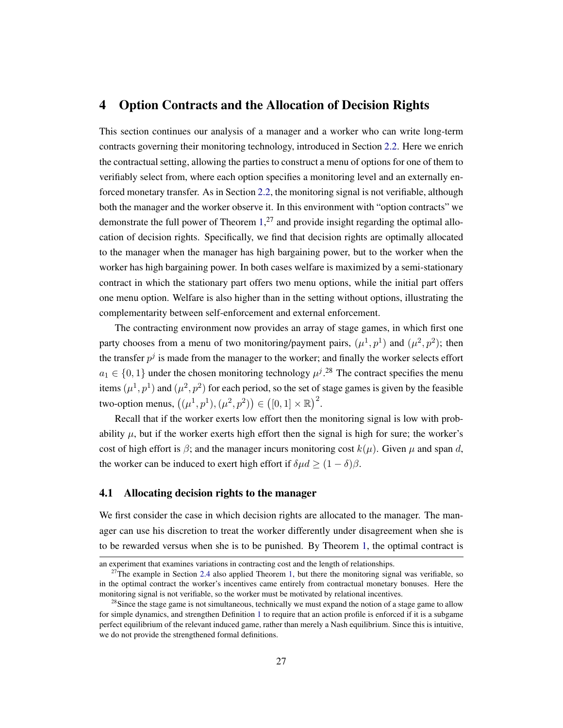# <span id="page-27-0"></span>4 Option Contracts and the Allocation of Decision Rights

This section continues our analysis of a manager and a worker who can write long-term contracts governing their monitoring technology, introduced in Section [2.2.](#page-13-0) Here we enrich the contractual setting, allowing the parties to construct a menu of options for one of them to verifiably select from, where each option specifies a monitoring level and an externally enforced monetary transfer. As in Section [2.2,](#page-13-0) the monitoring signal is not verifiable, although both the manager and the worker observe it. In this environment with "option contracts" we demonstrate the full power of Theorem  $1<sup>,27</sup>$  and provide insight regarding the optimal allocation of decision rights. Specifically, we find that decision rights are optimally allocated to the manager when the manager has high bargaining power, but to the worker when the worker has high bargaining power. In both cases welfare is maximized by a semi-stationary contract in which the stationary part offers two menu options, while the initial part offers one menu option. Welfare is also higher than in the setting without options, illustrating the complementarity between self-enforcement and external enforcement.

The contracting environment now provides an array of stage games, in which first one party chooses from a menu of two monitoring/payment pairs,  $(\mu^1, p^1)$  and  $(\mu^2, p^2)$ ; then the transfer  $p^j$  is made from the manager to the worker; and finally the worker selects effort  $a_1 \in \{0, 1\}$  under the chosen monitoring technology  $\mu^{j}$ .<sup>28</sup> The contract specifies the menu items  $(\mu^1, p^1)$  and  $(\mu^2, p^2)$  for each period, so the set of stage games is given by the feasible two-option menus,  $((\mu^{1}, p^{1}), (\mu^{2}, p^{2})) \in ([0, 1] \times \mathbb{R})^{2}$ .

Recall that if the worker exerts low effort then the monitoring signal is low with probability  $\mu$ , but if the worker exerts high effort then the signal is high for sure; the worker's cost of high effort is  $\beta$ ; and the manager incurs monitoring cost  $k(\mu)$ . Given  $\mu$  and span d, the worker can be induced to exert high effort if  $\delta \mu d \ge (1 - \delta) \beta$ .

### 4.1 Allocating decision rights to the manager

We first consider the case in which decision rights are allocated to the manager. The manager can use his discretion to treat the worker differently under disagreement when she is to be rewarded versus when she is to be punished. By Theorem [1,](#page-23-0) the optimal contract is

an experiment that examines variations in contracting cost and the length of relationships.

 $27$ The example in Section [2.4](#page-18-0) also applied Theorem [1,](#page-23-0) but there the monitoring signal was verifiable, so in the optimal contract the worker's incentives came entirely from contractual monetary bonuses. Here the monitoring signal is not verifiable, so the worker must be motivated by relational incentives.

 $28$ Since the stage game is not simultaneous, technically we must expand the notion of a stage game to allow for simple dynamics, and strengthen Definition [1](#page-8-3) to require that an action profile is enforced if it is a subgame perfect equilibrium of the relevant induced game, rather than merely a Nash equilibrium. Since this is intuitive, we do not provide the strengthened formal definitions.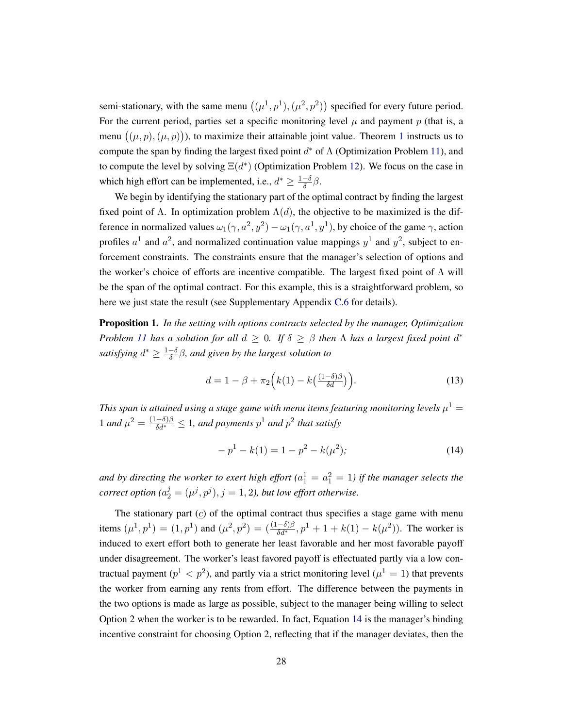semi-stationary, with the same menu  $((\mu^1, p^1), (\mu^2, p^2))$  specified for every future period. For the current period, parties set a specific monitoring level  $\mu$  and payment  $p$  (that is, a menu  $((\mu, p), (\mu, p))$ ), to maximize their attainable joint value. Theorem [1](#page-23-0) instructs us to compute the span by finding the largest fixed point  $d^*$  of  $\Lambda$  (Optimization Problem [11\)](#page-21-0), and to compute the level by solving  $E(d^*)$  (Optimization Problem [12\)](#page-21-1). We focus on the case in which high effort can be implemented, i.e.,  $d^* \geq \frac{1-\delta}{\delta}$  $\frac{-\delta}{\delta}\beta$ .

We begin by identifying the stationary part of the optimal contract by finding the largest fixed point of  $\Lambda$ . In optimization problem  $\Lambda(d)$ , the objective to be maximized is the difference in normalized values  $\omega_1(\gamma, a^2, y^2) - \omega_1(\gamma, a^1, y^1)$ , by choice of the game  $\gamma$ , action profiles  $a^1$  and  $a^2$ , and normalized continuation value mappings  $y^1$  and  $y^2$ , subject to enforcement constraints. The constraints ensure that the manager's selection of options and the worker's choice of efforts are incentive compatible. The largest fixed point of  $\Lambda$  will be the span of the optimal contract. For this example, this is a straightforward problem, so here we just state the result (see Supplementary Appendix [C.6](#page-57-0) for details).

<span id="page-28-2"></span>Proposition 1. *In the setting with options contracts selected by the manager, Optimization Problem* [11](#page-21-0) *has a solution for all*  $d \geq 0$ . If  $\delta \geq \beta$  *then*  $\Lambda$  *has a largest fixed point*  $d^*$ *satisfying*  $d^* \geq \frac{1-\delta}{\delta}$  $\frac{-\delta}{\delta}$  $\beta$ , and given by the largest solution to

<span id="page-28-1"></span>
$$
d = 1 - \beta + \pi_2 \left( k(1) - k \left( \frac{(1 - \delta)\beta}{\delta d} \right) \right). \tag{13}
$$

This span is attained using a stage game with menu items featuring monitoring levels  $\mu^1 =$ 1 and  $\mu^2 = \frac{(1-\delta)\beta}{\delta d^*} \leq 1$ , and payments  $p^1$  and  $p^2$  that satisfy

<span id="page-28-0"></span>
$$
-p1 - k(1) = 1 - p2 - k(\mu2); \t(14)
$$

and by directing the worker to exert high effort ( $a_1^1 = a_1^2 = 1$ ) if the manager selects the *correct option*  $(a_2^j = (\mu^j, p^j), j = 1, 2)$ , but low effort otherwise.

The stationary part  $(c)$  of the optimal contract thus specifies a stage game with menu items  $(\mu^1, p^1) = (1, p^1)$  and  $(\mu^2, p^2) = (\frac{(1-\delta)\beta}{\delta d^*}, p^1 + 1 + k(1) - k(\mu^2))$ . The worker is induced to exert effort both to generate her least favorable and her most favorable payoff under disagreement. The worker's least favored payoff is effectuated partly via a low contractual payment ( $p<sup>1</sup> < p<sup>2</sup>$ ), and partly via a strict monitoring level ( $\mu<sup>1</sup> = 1$ ) that prevents the worker from earning any rents from effort. The difference between the payments in the two options is made as large as possible, subject to the manager being willing to select Option 2 when the worker is to be rewarded. In fact, Equation [14](#page-28-0) is the manager's binding incentive constraint for choosing Option 2, reflecting that if the manager deviates, then the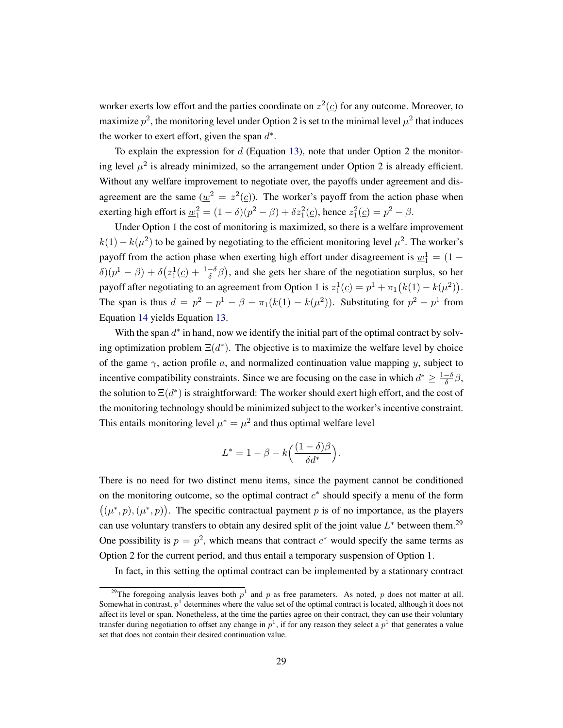worker exerts low effort and the parties coordinate on  $z^2(\underline{c})$  for any outcome. Moreover, to maximize  $p^2$ , the monitoring level under Option 2 is set to the minimal level  $\mu^2$  that induces the worker to exert effort, given the span  $d^*$ .

To explain the expression for  $d$  (Equation [13\)](#page-28-1), note that under Option 2 the monitoring level  $\mu^2$  is already minimized, so the arrangement under Option 2 is already efficient. Without any welfare improvement to negotiate over, the payoffs under agreement and disagreement are the same  $(\underline{w}^2 = z^2(\underline{c}))$ . The worker's payoff from the action phase when exerting high effort is  $\underline{w}_1^2 = (1 - \delta)(p^2 - \beta) + \delta z_1^2(\underline{c})$ , hence  $z_1^2(\underline{c}) = p^2 - \beta$ .

Under Option 1 the cost of monitoring is maximized, so there is a welfare improvement  $k(1) - k(\mu^2)$  to be gained by negotiating to the efficient monitoring level  $\mu^2$ . The worker's payoff from the action phase when exerting high effort under disagreement is  $\underline{w}_1^1 = (1 \delta(p^1 - \beta) + \delta(z_1^1(\underline{c}) + \frac{1-\delta}{\delta}\beta)$ , and she gets her share of the negotiation surplus, so her payoff after negotiating to an agreement from Option 1 is  $z_1^1(\underline{c}) = p^1 + \pi_1(k(1) - k(\mu^2)).$ The span is thus  $d = p^2 - p^1 - \beta - \pi_1(k(1) - k(\mu^2))$ . Substituting for  $p^2 - p^1$  from Equation [14](#page-28-0) yields Equation [13.](#page-28-1)

With the span  $d^*$  in hand, now we identify the initial part of the optimal contract by solving optimization problem  $\Xi(d^*)$ . The objective is to maximize the welfare level by choice of the game  $\gamma$ , action profile a, and normalized continuation value mapping y, subject to incentive compatibility constraints. Since we are focusing on the case in which  $d^* \geq \frac{1-\delta}{\delta}$  $\frac{-\delta}{\delta}\beta,$ the solution to  $\Xi(d^*)$  is straightforward: The worker should exert high effort, and the cost of the monitoring technology should be minimized subject to the worker's incentive constraint. This entails monitoring level  $\mu^* = \mu^2$  and thus optimal welfare level

$$
L^* = 1 - \beta - k \left( \frac{(1 - \delta)\beta}{\delta d^*} \right).
$$

There is no need for two distinct menu items, since the payment cannot be conditioned on the monitoring outcome, so the optimal contract  $c^*$  should specify a menu of the form  $((\mu^*, p), (\mu^*, p))$ . The specific contractual payment p is of no importance, as the players can use voluntary transfers to obtain any desired split of the joint value  $L^*$  between them.<sup>29</sup> One possibility is  $p = p^2$ , which means that contract  $c^*$  would specify the same terms as Option 2 for the current period, and thus entail a temporary suspension of Option 1.

In fact, in this setting the optimal contract can be implemented by a stationary contract

<sup>&</sup>lt;sup>29</sup>The foregoing analysis leaves both  $p<sup>1</sup>$  and p as free parameters. As noted, p does not matter at all. Somewhat in contrast,  $p^1$  determines where the value set of the optimal contract is located, although it does not affect its level or span. Nonetheless, at the time the parties agree on their contract, they can use their voluntary transfer during negotiation to offset any change in  $p^1$ , if for any reason they select a  $p^1$  that generates a value set that does not contain their desired continuation value.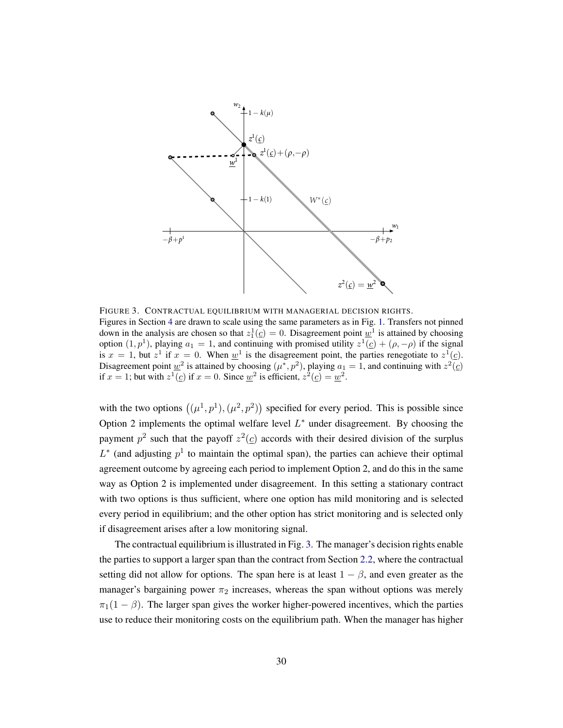<span id="page-30-0"></span>

FIGURE 3. CONTRACTUAL EQUILIBRIUM WITH MANAGERIAL DECISION RIGHTS. Figures in Section [4](#page-27-0) are drawn to scale using the same parameters as in Fig. [1.](#page-12-0) Transfers not pinned down in the analysis are chosen so that  $z_1^1(\underline{c}) = 0$ . Disagreement point  $\underline{w}^1$  is attained by choosing option  $(1, p<sup>1</sup>)$ , playing  $a_1 = 1$ , and continuing with promised utility  $z<sup>1</sup>(\underline{c}) + (\rho, -\rho)$  if the signal is  $x = 1$ , but  $z^1$  if  $x = 0$ . When  $\underline{w}^1$  is the disagreement point, the parties renegotiate to  $z^1(\underline{c})$ . Disagreement point  $\underline{w}^2$  is attained by choosing  $(\mu^*, p^2)$ , playing  $a_1 = 1$ , and continuing with  $z^2(\underline{c})$ if  $x = 1$ ; but with  $z^1(\underline{c})$  if  $x = 0$ . Since  $\underline{w}^2$  is efficient,  $z^2(\underline{c}) = \underline{w}^2$ .

with the two options  $((\mu^1, p^1), (\mu^2, p^2))$  specified for every period. This is possible since Option 2 implements the optimal welfare level  $L^*$  under disagreement. By choosing the payment  $p^2$  such that the payoff  $z^2(\underline{c})$  accords with their desired division of the surplus  $L^*$  (and adjusting  $p<sup>1</sup>$  to maintain the optimal span), the parties can achieve their optimal agreement outcome by agreeing each period to implement Option 2, and do this in the same way as Option 2 is implemented under disagreement. In this setting a stationary contract with two options is thus sufficient, where one option has mild monitoring and is selected every period in equilibrium; and the other option has strict monitoring and is selected only if disagreement arises after a low monitoring signal.

The contractual equilibrium is illustrated in Fig. [3.](#page-30-0) The manager's decision rights enable the parties to support a larger span than the contract from Section [2.2,](#page-13-0) where the contractual setting did not allow for options. The span here is at least  $1 - \beta$ , and even greater as the manager's bargaining power  $\pi_2$  increases, whereas the span without options was merely  $\pi_1(1 - \beta)$ . The larger span gives the worker higher-powered incentives, which the parties use to reduce their monitoring costs on the equilibrium path. When the manager has higher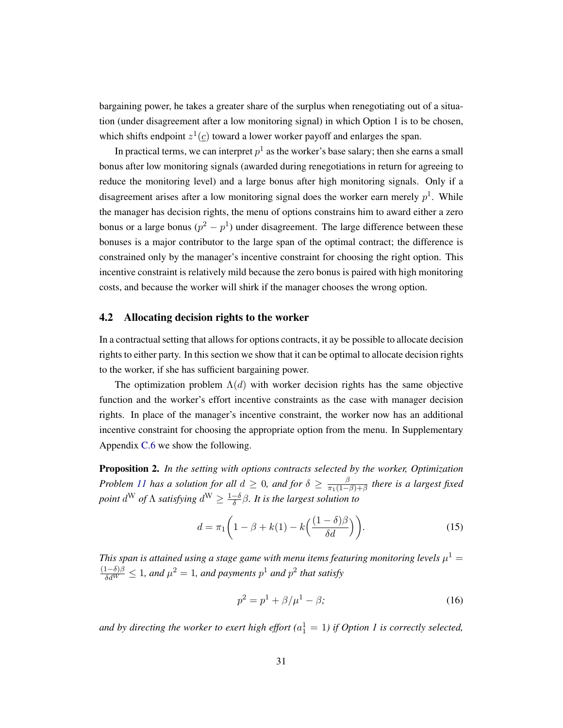bargaining power, he takes a greater share of the surplus when renegotiating out of a situation (under disagreement after a low monitoring signal) in which Option 1 is to be chosen, which shifts endpoint  $z^1(\underline{c})$  toward a lower worker payoff and enlarges the span.

In practical terms, we can interpret  $p^1$  as the worker's base salary; then she earns a small bonus after low monitoring signals (awarded during renegotiations in return for agreeing to reduce the monitoring level) and a large bonus after high monitoring signals. Only if a disagreement arises after a low monitoring signal does the worker earn merely  $p<sup>1</sup>$ . While the manager has decision rights, the menu of options constrains him to award either a zero bonus or a large bonus  $(p^2 - p^1)$  under disagreement. The large difference between these bonuses is a major contributor to the large span of the optimal contract; the difference is constrained only by the manager's incentive constraint for choosing the right option. This incentive constraint is relatively mild because the zero bonus is paired with high monitoring costs, and because the worker will shirk if the manager chooses the wrong option.

### <span id="page-31-3"></span>4.2 Allocating decision rights to the worker

In a contractual setting that allows for options contracts, it ay be possible to allocate decision rights to either party. In this section we show that it can be optimal to allocate decision rights to the worker, if she has sufficient bargaining power.

The optimization problem  $\Lambda(d)$  with worker decision rights has the same objective function and the worker's effort incentive constraints as the case with manager decision rights. In place of the manager's incentive constraint, the worker now has an additional incentive constraint for choosing the appropriate option from the menu. In Supplementary Appendix [C.6](#page-57-0) we show the following.

<span id="page-31-2"></span>Proposition 2. *In the setting with options contracts selected by the worker, Optimization Problem [11](#page-21-0) has a solution for all*  $d \geq 0$ , and for  $\delta \geq \frac{\beta}{\pi_1(1-\beta)}$  $\frac{\beta}{\pi_1(1-\beta)+\beta}$  there is a largest fixed *point*  $d^W$  *of*  $\Lambda$  *satisfying*  $d^W \geq \frac{1-\delta}{\delta}$ δ β*. It is the largest solution to*

$$
d = \pi_1 \left( 1 - \beta + k(1) - k \left( \frac{(1 - \delta)\beta}{\delta d} \right) \right). \tag{15}
$$

This span is attained using a stage game with menu items featuring monitoring levels  $\mu^1 =$  $\frac{(1-\delta)\beta}{\delta d^W}$  ≤ 1, and  $\mu^2 = 1$ , and payments  $p^1$  and  $p^2$  that satisfy

<span id="page-31-1"></span><span id="page-31-0"></span>
$$
p^2 = p^1 + \beta/\mu^1 - \beta;
$$
 (16)

and by directing the worker to exert high effort  $(a_1^1 = 1)$  if Option 1 is correctly selected,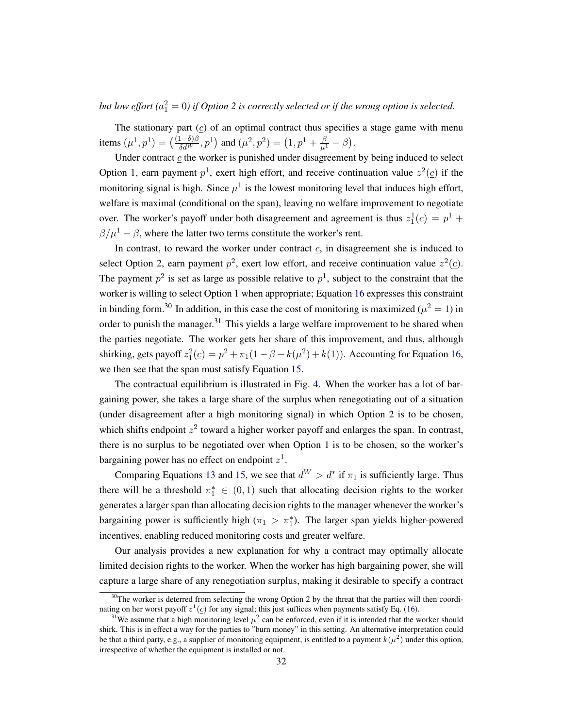but low effort ( $a_1^2 = 0$ ) if Option 2 is correctly selected or if the wrong option is selected.

The stationary part  $(c)$  of an optimal contract thus specifies a stage game with menu items  $(\mu^1, p^1) = (\frac{(1-\delta)\beta}{\delta d^W}, p^1)$  and  $(\mu^2, p^2) = (1, p^1 + \frac{\beta}{\mu^1} - \beta)$ .

Under contract  $c$  the worker is punished under disagreement by being induced to select Option 1, earn payment  $p^1$ , exert high effort, and receive continuation value  $z^2(\underline{c})$  if the monitoring signal is high. Since  $\mu^1$  is the lowest monitoring level that induces high effort, welfare is maximal (conditional on the span), leaving no welfare improvement to negotiate over. The worker's payoff under both disagreement and agreement is thus  $z_1^1(\underline{c}) = p^1 +$  $\beta/\mu^1 - \beta$ , where the latter two terms constitute the worker's rent.

In contrast, to reward the worker under contract  $c$ , in disagreement she is induced to select Option 2, earn payment  $p^2$ , exert low effort, and receive continuation value  $z^2(\underline{c})$ . The payment  $p^2$  is set as large as possible relative to  $p^1$ , subject to the constraint that the worker is willing to select Option 1 when appropriate; Equation [16](#page-31-0) expresses this constraint in binding form.<sup>30</sup> In addition, in this case the cost of monitoring is maximized ( $\mu^2 = 1$ ) in order to punish the manager.<sup>31</sup> This yields a large welfare improvement to be shared when the parties negotiate. The worker gets her share of this improvement, and thus, although shirking, gets payoff  $z_1^2(\underline{c}) = p^2 + \pi_1(1 - \beta - k(\mu^2) + k(1))$ . Accounting for Equation [16,](#page-31-0) we then see that the span must satisfy Equation [15.](#page-31-1)

The contractual equilibrium is illustrated in Fig. [4.](#page-33-1) When the worker has a lot of bargaining power, she takes a large share of the surplus when renegotiating out of a situation (under disagreement after a high monitoring signal) in which Option 2 is to be chosen, which shifts endpoint  $z^2$  toward a higher worker payoff and enlarges the span. In contrast, there is no surplus to be negotiated over when Option 1 is to be chosen, so the worker's bargaining power has no effect on endpoint  $z^1$ .

Comparing Equations [13](#page-28-1) and [15,](#page-31-1) we see that  $d^W > d^*$  if  $\pi_1$  is sufficiently large. Thus there will be a threshold  $\pi_1^* \in (0,1)$  such that allocating decision rights to the worker generates a larger span than allocating decision rights to the manager whenever the worker's bargaining power is sufficiently high  $(\pi_1 > \pi_1^*)$ . The larger span yields higher-powered incentives, enabling reduced monitoring costs and greater welfare.

Our analysis provides a new explanation for why a contract may optimally allocate limited decision rights to the worker. When the worker has high bargaining power, she will capture a large share of any renegotiation surplus, making it desirable to specify a contract

 $30$ The worker is deterred from selecting the wrong Option 2 by the threat that the parties will then coordinating on her worst payoff  $z^1(\underline{c})$  for any signal; this just suffices when payments satisfy Eq. [\(16\)](#page-31-0).

<sup>&</sup>lt;sup>31</sup>We assume that a high monitoring level  $\mu^2$  can be enforced, even if it is intended that the worker should shirk. This is in effect a way for the parties to "burn money" in this setting. An alternative interpretation could be that a third party, e.g., a supplier of monitoring equipment, is entitled to a payment  $k(\mu^2)$  under this option, irrespective of whether the equipment is installed or not.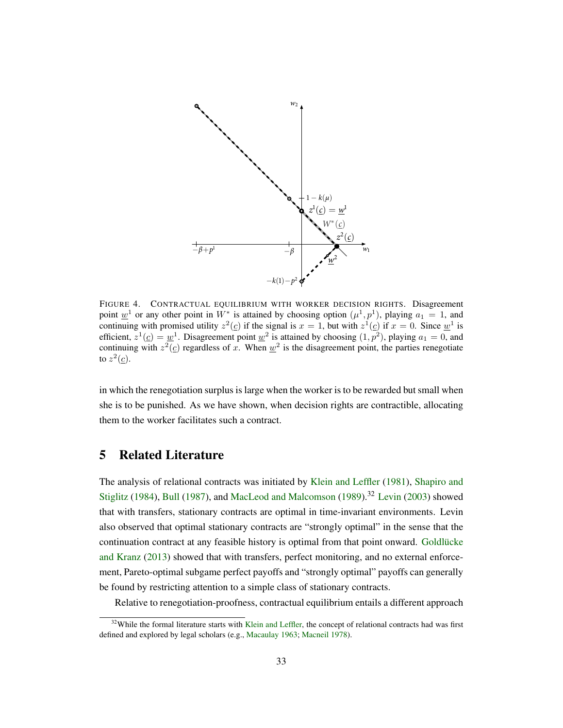<span id="page-33-1"></span>

FIGURE 4. CONTRACTUAL EQUILIBRIUM WITH WORKER DECISION RIGHTS. Disagreement point  $\underline{w}^1$  or any other point in  $W^*$  is attained by choosing option  $(\mu^1, p^1)$ , playing  $a_1 = 1$ , and continuing with promised utility  $z^2(\underline{c})$  if the signal is  $x = 1$ , but with  $z^1(\underline{c})$  if  $x = 0$ . Since  $\underline{w}^1$  is efficient,  $z^1(\underline{c}) = \underline{w}^1$ . Disagreement point  $\underline{w}^2$  is attained by choosing  $(1, p^2)$ , playing  $a_1 = 0$ , and continuing with  $z^2(\underline{c})$  regardless of x. When  $\underline{w}^2$  is the disagreement point, the parties renegotiate to  $z^2(\underline{c})$ .

in which the renegotiation surplus is large when the worker is to be rewarded but small when she is to be punished. As we have shown, when decision rights are contractible, allocating them to the worker facilitates such a contract.

# <span id="page-33-0"></span>5 Related Literature

The analysis of relational contracts was initiated by [Klein and Leffler](#page-48-9) [\(1981\)](#page-48-9), [Shapiro and](#page-49-9) [Stiglitz](#page-49-9) [\(1984\)](#page-49-9), [Bull](#page-48-10) [\(1987\)](#page-48-10), and [MacLeod and Malcomson](#page-48-11) [\(1989\)](#page-48-11).<sup>32</sup> [Levin](#page-48-0) [\(2003\)](#page-48-0) showed that with transfers, stationary contracts are optimal in time-invariant environments. Levin also observed that optimal stationary contracts are "strongly optimal" in the sense that the continuation contract at any feasible history is optimal from that point onward. Goldlücke [and Kranz](#page-48-12) [\(2013\)](#page-48-12) showed that with transfers, perfect monitoring, and no external enforcement, Pareto-optimal subgame perfect payoffs and "strongly optimal" payoffs can generally be found by restricting attention to a simple class of stationary contracts.

Relative to renegotiation-proofness, contractual equilibrium entails a different approach

 $32$ While the formal literature starts with [Klein and Leffler,](#page-48-9) the concept of relational contracts had was first defined and explored by legal scholars (e.g., [Macaulay](#page-48-13) [1963;](#page-48-13) [Macneil](#page-48-14) [1978\)](#page-48-14).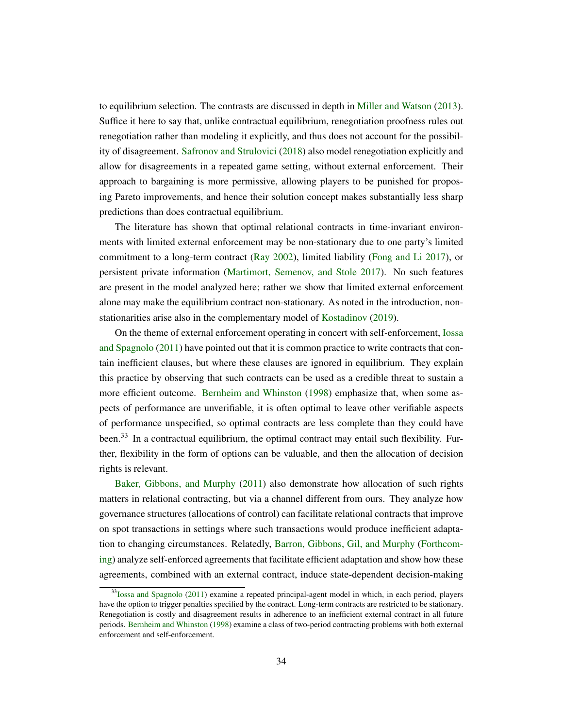to equilibrium selection. The contrasts are discussed in depth in [Miller and Watson](#page-49-0) [\(2013\)](#page-49-0). Suffice it here to say that, unlike contractual equilibrium, renegotiation proofness rules out renegotiation rather than modeling it explicitly, and thus does not account for the possibility of disagreement. [Safronov and Strulovici](#page-49-10) [\(2018\)](#page-49-10) also model renegotiation explicitly and allow for disagreements in a repeated game setting, without external enforcement. Their approach to bargaining is more permissive, allowing players to be punished for proposing Pareto improvements, and hence their solution concept makes substantially less sharp predictions than does contractual equilibrium.

The literature has shown that optimal relational contracts in time-invariant environments with limited external enforcement may be non-stationary due to one party's limited commitment to a long-term contract [\(Ray](#page-49-11) [2002\)](#page-49-11), limited liability [\(Fong and Li](#page-48-15) [2017\)](#page-48-15), or persistent private information [\(Martimort, Semenov, and Stole](#page-49-12) [2017\)](#page-49-12). No such features are present in the model analyzed here; rather we show that limited external enforcement alone may make the equilibrium contract non-stationary. As noted in the introduction, non-stationarities arise also in the complementary model of [Kostadinov](#page-48-2) [\(2019\)](#page-48-2).

On the theme of external enforcement operating in concert with self-enforcement, [Iossa](#page-48-1) [and Spagnolo](#page-48-1) [\(2011\)](#page-48-1) have pointed out that it is common practice to write contracts that contain inefficient clauses, but where these clauses are ignored in equilibrium. They explain this practice by observing that such contracts can be used as a credible threat to sustain a more efficient outcome. [Bernheim and Whinston](#page-47-5) [\(1998\)](#page-47-5) emphasize that, when some aspects of performance are unverifiable, it is often optimal to leave other verifiable aspects of performance unspecified, so optimal contracts are less complete than they could have been.<sup>33</sup> In a contractual equilibrium, the optimal contract may entail such flexibility. Further, flexibility in the form of options can be valuable, and then the allocation of decision rights is relevant.

[Baker, Gibbons, and Murphy](#page-47-6) [\(2011\)](#page-47-6) also demonstrate how allocation of such rights matters in relational contracting, but via a channel different from ours. They analyze how governance structures (allocations of control) can facilitate relational contracts that improve on spot transactions in settings where such transactions would produce inefficient adaptation to changing circumstances. Relatedly, [Barron, Gibbons, Gil, and Murphy](#page-47-7) [\(Forthcom](#page-47-7)[ing\)](#page-47-7) analyze self-enforced agreements that facilitate efficient adaptation and show how these agreements, combined with an external contract, induce state-dependent decision-making

<sup>&</sup>lt;sup>33</sup>[Iossa and Spagnolo](#page-48-1) [\(2011\)](#page-48-1) examine a repeated principal-agent model in which, in each period, players have the option to trigger penalties specified by the contract. Long-term contracts are restricted to be stationary. Renegotiation is costly and disagreement results in adherence to an inefficient external contract in all future periods. [Bernheim and Whinston](#page-47-5) [\(1998\)](#page-47-5) examine a class of two-period contracting problems with both external enforcement and self-enforcement.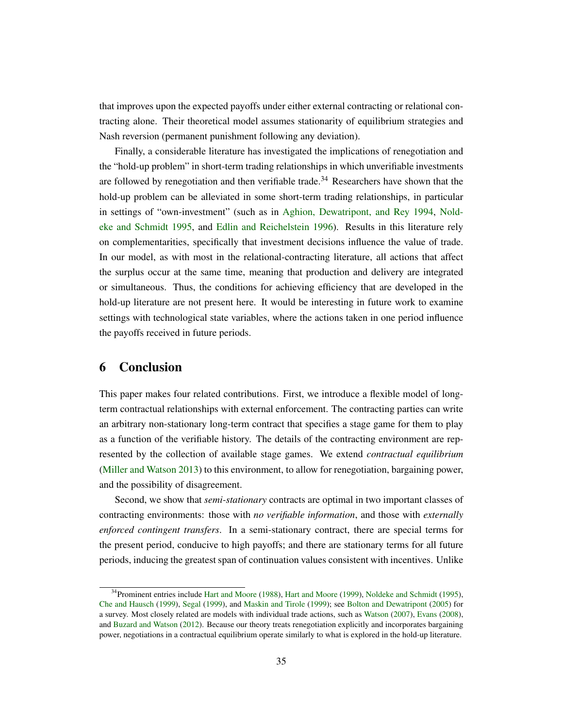that improves upon the expected payoffs under either external contracting or relational contracting alone. Their theoretical model assumes stationarity of equilibrium strategies and Nash reversion (permanent punishment following any deviation).

Finally, a considerable literature has investigated the implications of renegotiation and the "hold-up problem" in short-term trading relationships in which unverifiable investments are followed by renegotiation and then verifiable trade.<sup>34</sup> Researchers have shown that the hold-up problem can be alleviated in some short-term trading relationships, in particular in settings of "own-investment" (such as in [Aghion, Dewatripont, and Rey](#page-47-8) [1994,](#page-47-8) [Nold](#page-49-13)[eke and Schmidt](#page-49-13) [1995,](#page-49-13) and [Edlin and Reichelstein](#page-48-16) [1996\)](#page-48-16). Results in this literature rely on complementarities, specifically that investment decisions influence the value of trade. In our model, as with most in the relational-contracting literature, all actions that affect the surplus occur at the same time, meaning that production and delivery are integrated or simultaneous. Thus, the conditions for achieving efficiency that are developed in the hold-up literature are not present here. It would be interesting in future work to examine settings with technological state variables, where the actions taken in one period influence the payoffs received in future periods.

# 6 Conclusion

This paper makes four related contributions. First, we introduce a flexible model of longterm contractual relationships with external enforcement. The contracting parties can write an arbitrary non-stationary long-term contract that specifies a stage game for them to play as a function of the verifiable history. The details of the contracting environment are represented by the collection of available stage games. We extend *contractual equilibrium* [\(Miller and Watson](#page-49-0) [2013\)](#page-49-0) to this environment, to allow for renegotiation, bargaining power, and the possibility of disagreement.

Second, we show that *semi-stationary* contracts are optimal in two important classes of contracting environments: those with *no verifiable information*, and those with *externally enforced contingent transfers*. In a semi-stationary contract, there are special terms for the present period, conducive to high payoffs; and there are stationary terms for all future periods, inducing the greatest span of continuation values consistent with incentives. Unlike

<sup>&</sup>lt;sup>34</sup>Prominent entries include [Hart and Moore](#page-48-18) [\(1988\)](#page-48-17), Hart and Moore [\(1999\)](#page-48-18), [Noldeke and Schmidt](#page-49-13) [\(1995\)](#page-49-13), [Che and Hausch](#page-48-19) [\(1999\)](#page-48-19), [Segal](#page-49-14) [\(1999\)](#page-49-14), and [Maskin and Tirole](#page-49-15) [\(1999\)](#page-49-15); see [Bolton and Dewatripont](#page-48-20) [\(2005\)](#page-48-20) for a survey. Most closely related are models with individual trade actions, such as [Watson](#page-49-16) [\(2007\)](#page-49-16), [Evans](#page-48-21) [\(2008\)](#page-48-21), and [Buzard and Watson](#page-48-22) [\(2012\)](#page-48-22). Because our theory treats renegotiation explicitly and incorporates bargaining power, negotiations in a contractual equilibrium operate similarly to what is explored in the hold-up literature.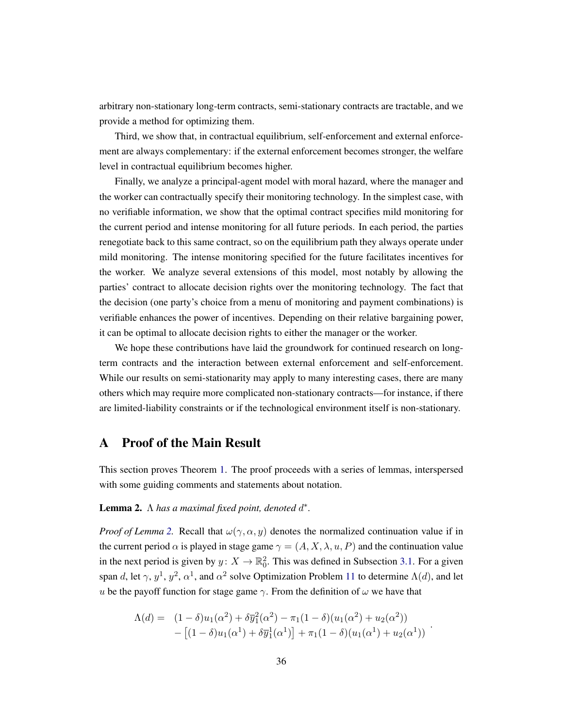arbitrary non-stationary long-term contracts, semi-stationary contracts are tractable, and we provide a method for optimizing them.

Third, we show that, in contractual equilibrium, self-enforcement and external enforcement are always complementary: if the external enforcement becomes stronger, the welfare level in contractual equilibrium becomes higher.

Finally, we analyze a principal-agent model with moral hazard, where the manager and the worker can contractually specify their monitoring technology. In the simplest case, with no verifiable information, we show that the optimal contract specifies mild monitoring for the current period and intense monitoring for all future periods. In each period, the parties renegotiate back to this same contract, so on the equilibrium path they always operate under mild monitoring. The intense monitoring specified for the future facilitates incentives for the worker. We analyze several extensions of this model, most notably by allowing the parties' contract to allocate decision rights over the monitoring technology. The fact that the decision (one party's choice from a menu of monitoring and payment combinations) is verifiable enhances the power of incentives. Depending on their relative bargaining power, it can be optimal to allocate decision rights to either the manager or the worker.

We hope these contributions have laid the groundwork for continued research on longterm contracts and the interaction between external enforcement and self-enforcement. While our results on semi-stationarity may apply to many interesting cases, there are many others which may require more complicated non-stationary contracts—for instance, if there are limited-liability constraints or if the technological environment itself is non-stationary.

# <span id="page-36-0"></span>A Proof of the Main Result

This section proves Theorem [1.](#page-23-0) The proof proceeds with a series of lemmas, interspersed with some guiding comments and statements about notation.

# <span id="page-36-1"></span>**Lemma 2.**  $\Lambda$  has a maximal fixed point, denoted  $d^*$ .

*Proof of Lemma* [2.](#page-36-1) Recall that  $\omega(\gamma, \alpha, y)$  denotes the normalized continuation value if in the current period  $\alpha$  is played in stage game  $\gamma = (A, X, \lambda, u, P)$  and the continuation value in the next period is given by  $y: X \to \mathbb{R}^2_0$ . This was defined in Subsection [3.1.](#page-20-0) For a given span d, let  $\gamma$ ,  $y^1$ ,  $y^2$ ,  $\alpha^1$ , and  $\alpha^2$  solve Optimization Problem [11](#page-21-0) to determine  $\Lambda(d)$ , and let u be the payoff function for stage game  $\gamma$ . From the definition of  $\omega$  we have that

$$
\Lambda(d) = (1 - \delta)u_1(\alpha^2) + \delta \overline{y}_1^2(\alpha^2) - \pi_1(1 - \delta)(u_1(\alpha^2) + u_2(\alpha^2)) - [(1 - \delta)u_1(\alpha^1) + \delta \overline{y}_1^1(\alpha^1)] + \pi_1(1 - \delta)(u_1(\alpha^1) + u_2(\alpha^1))
$$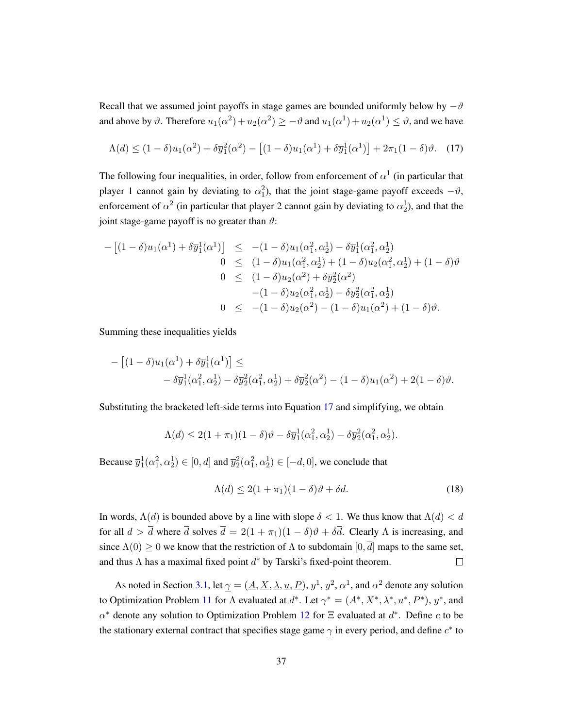Recall that we assumed joint payoffs in stage games are bounded uniformly below by  $-\vartheta$ and above by  $\vartheta$ . Therefore  $u_1(\alpha^2) + u_2(\alpha^2) \ge -\vartheta$  and  $u_1(\alpha^1) + u_2(\alpha^1) \le \vartheta$ , and we have

<span id="page-37-0"></span>
$$
\Lambda(d) \le (1 - \delta)u_1(\alpha^2) + \delta \overline{y}_1^2(\alpha^2) - \left[ (1 - \delta)u_1(\alpha^1) + \delta \overline{y}_1^1(\alpha^1) \right] + 2\pi_1(1 - \delta)\vartheta. \tag{17}
$$

The following four inequalities, in order, follow from enforcement of  $\alpha^1$  (in particular that player 1 cannot gain by deviating to  $\alpha_1^2$ ), that the joint stage-game payoff exceeds  $-\vartheta$ , enforcement of  $\alpha^2$  (in particular that player 2 cannot gain by deviating to  $\alpha_2^1$ ), and that the joint stage-game payoff is no greater than  $\vartheta$ :

$$
- [(1 - \delta)u_1(\alpha^1) + \delta \overline{y}_1^1(\alpha^1)] \leq -(1 - \delta)u_1(\alpha_1^2, \alpha_2^1) - \delta \overline{y}_1^1(\alpha_1^2, \alpha_2^1)
$$
  
\n
$$
0 \leq (1 - \delta)u_1(\alpha_1^2, \alpha_2^1) + (1 - \delta)u_2(\alpha_1^2, \alpha_2^1) + (1 - \delta)\vartheta
$$
  
\n
$$
0 \leq (1 - \delta)u_2(\alpha^2) + \delta \overline{y}_2^2(\alpha^2)
$$
  
\n
$$
- (1 - \delta)u_2(\alpha_1^2, \alpha_2^1) - \delta \overline{y}_2^2(\alpha_1^2, \alpha_2^1)
$$
  
\n
$$
0 \leq -(1 - \delta)u_2(\alpha^2) - (1 - \delta)u_1(\alpha^2) + (1 - \delta)\vartheta.
$$

Summing these inequalities yields

$$
- [(1 - \delta)u_1(\alpha^1) + \delta \overline{y}_1^1(\alpha^1)] \le
$$
  
-  $\delta \overline{y}_1^1(\alpha_1^2, \alpha_2^1) - \delta \overline{y}_2^2(\alpha_1^2, \alpha_2^1) + \delta \overline{y}_2^2(\alpha^2) - (1 - \delta)u_1(\alpha^2) + 2(1 - \delta)\vartheta.$ 

Substituting the bracketed left-side terms into Equation [17](#page-37-0) and simplifying, we obtain

$$
\Lambda(d) \le 2(1+\pi_1)(1-\delta)\vartheta - \delta \overline{y}_1^1(\alpha_1^2, \alpha_2^1) - \delta \overline{y}_2^2(\alpha_1^2, \alpha_2^1).
$$

Because  $\overline{y}_1^1(\alpha_1^2, \alpha_2^1) \in [0, d]$  and  $\overline{y}_2^2(\alpha_1^2, \alpha_2^1) \in [-d, 0]$ , we conclude that

$$
\Lambda(d) \le 2(1+\pi_1)(1-\delta)\vartheta + \delta d. \tag{18}
$$

In words,  $\Lambda(d)$  is bounded above by a line with slope  $\delta < 1$ . We thus know that  $\Lambda(d) < d$ for all  $d > \overline{d}$  where  $\overline{d}$  solves  $\overline{d} = 2(1 + \pi_1)(1 - \delta)\vartheta + \delta \overline{d}$ . Clearly  $\Lambda$  is increasing, and since  $\Lambda(0) \geq 0$  we know that the restriction of  $\Lambda$  to subdomain  $[0, \overline{d}]$  maps to the same set, and thus  $\Lambda$  has a maximal fixed point  $d^*$  by Tarski's fixed-point theorem.  $\Box$ 

As noted in Section [3.1,](#page-20-0) let  $\gamma = (\underline{A}, \underline{X}, \underline{\lambda}, \underline{u}, \underline{P})$ ,  $y^1$ ,  $y^2$ ,  $\alpha^1$ , and  $\alpha^2$  denote any solution to Optimization Problem [11](#page-21-0) for  $\Lambda$  evaluated at  $d^*$ . Let  $\gamma^* = (A^*, X^*, \lambda^*, u^*, P^*)$ ,  $y^*$ , and  $\alpha^*$  denote any solution to Optimization Problem [12](#page-21-1) for  $\Xi$  evaluated at  $d^*$ . Define  $\underline{c}$  to be the stationary external contract that specifies stage game  $\gamma$  in every period, and define  $c^*$  to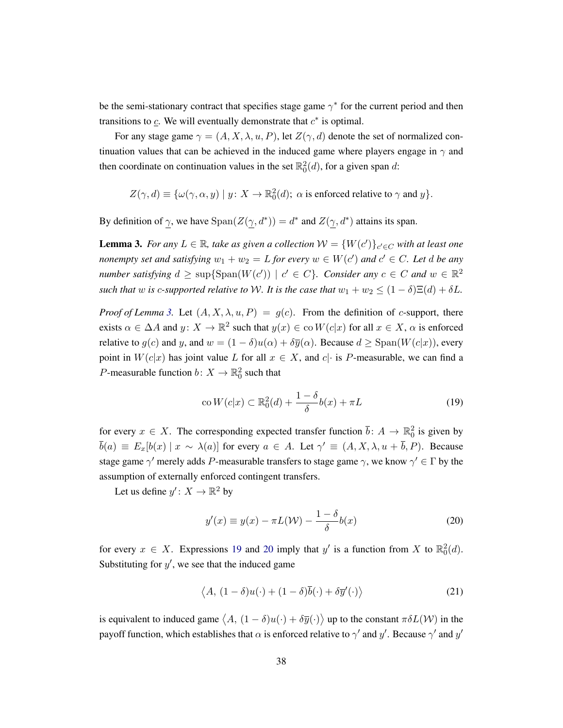be the semi-stationary contract that specifies stage game  $\gamma^*$  for the current period and then transitions to  $\mathfrak{c}$ . We will eventually demonstrate that  $c^*$  is optimal.

For any stage game  $\gamma = (A, X, \lambda, u, P)$ , let  $Z(\gamma, d)$  denote the set of normalized continuation values that can be achieved in the induced game where players engage in  $\gamma$  and then coordinate on continuation values in the set  $\mathbb{R}^2_0(d)$ , for a given span d:

 $Z(\gamma, d) \equiv \{ \omega(\gamma, \alpha, y) \mid y \colon X \to \mathbb{R}^2_0(d); \alpha \text{ is enforced relative to } \gamma \text{ and } y \}.$ 

By definition of  $\gamma$ , we have  $\text{Span}(Z(\gamma, d^*)) = d^*$  and  $Z(\gamma, d^*)$  attains its span.

<span id="page-38-0"></span>**Lemma 3.** *For any*  $L \in \mathbb{R}$ , take as given a collection  $W = \{W(c')\}_{c' \in C}$  with at least one *nonempty set and satisfying*  $w_1 + w_2 = L$  *for every*  $w \in W(c')$  *and*  $c' \in C$ *. Let d be any number satisfying*  $d \ge \text{sup} \{ \text{Span}(W(c')) \mid c' \in C \}$ *. Consider any*  $c \in C$  *and*  $w \in \mathbb{R}^2$ *such that* w *is c*-supported relative to W. It is the case that  $w_1 + w_2 \leq (1 - \delta) \Xi(d) + \delta L$ .

*Proof of Lemma* [3.](#page-38-0) Let  $(A, X, \lambda, u, P) = g(c)$ . From the definition of c-support, there exists  $\alpha \in \Delta A$  and  $y \colon X \to \mathbb{R}^2$  such that  $y(x) \in \text{co } W(c|x)$  for all  $x \in X$ ,  $\alpha$  is enforced relative to  $g(c)$  and y, and  $w = (1 - \delta)u(\alpha) + \delta \overline{y}(\alpha)$ . Because  $d \geq$  Span $(W(c|x))$ , every point in  $W(c|x)$  has joint value L for all  $x \in X$ , and  $c\mid \cdot$  is P-measurable, we can find a *P*-measurable function  $b: X \to \mathbb{R}^2_0$  such that

<span id="page-38-1"></span>
$$
co W(c|x) \subset \mathbb{R}_0^2(d) + \frac{1-\delta}{\delta}b(x) + \pi L
$$
\n(19)

for every  $x \in X$ . The corresponding expected transfer function  $\bar{b}$ :  $A \to \mathbb{R}^2_0$  is given by  $\overline{b}(a) \equiv E_x[b(x) \mid x \sim \lambda(a)]$  for every  $a \in A$ . Let  $\gamma' \equiv (A, X, \lambda, u + \overline{b}, P)$ . Because stage game  $\gamma'$  merely adds  $P$ -measurable transfers to stage game  $\gamma$ , we know  $\gamma' \in \Gamma$  by the assumption of externally enforced contingent transfers.

Let us define  $y' \colon X \to \mathbb{R}^2$  by

<span id="page-38-2"></span>
$$
y'(x) \equiv y(x) - \pi L(\mathcal{W}) - \frac{1 - \delta}{\delta} b(x)
$$
 (20)

for every  $x \in X$ . Expressions [19](#page-38-1) and [20](#page-38-2) imply that y' is a function from X to  $\mathbb{R}^2_0(d)$ . Substituting for  $y'$ , we see that the induced game

<span id="page-38-3"></span>
$$
\langle A, (1 - \delta)u(\cdot) + (1 - \delta)\overline{b}(\cdot) + \delta \overline{y}'(\cdot) \rangle \tag{21}
$$

is equivalent to induced game  $\langle A, (1 - \delta)u(\cdot) + \delta \overline{y}(\cdot)\rangle$  up to the constant  $\pi\delta L(\mathcal{W})$  in the payoff function, which establishes that  $\alpha$  is enforced relative to  $\gamma'$  and  $y'$ . Because  $\gamma'$  and  $y'$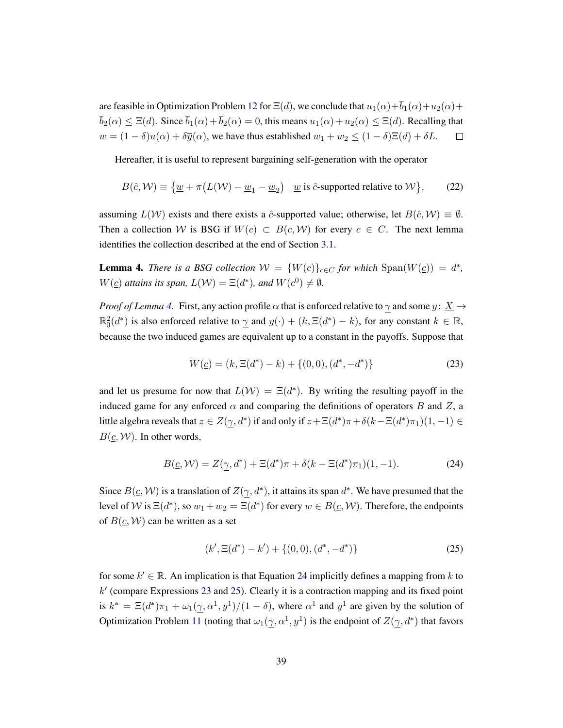are feasible in Optimization Problem [12](#page-21-1) for  $\Xi(d)$ , we conclude that  $u_1(\alpha)+\overline{b}_1(\alpha)+u_2(\alpha)+$  $\bar{b}_2(\alpha) \leq \Xi(d)$ . Since  $\bar{b}_1(\alpha) + \bar{b}_2(\alpha) = 0$ , this means  $u_1(\alpha) + u_2(\alpha) \leq \Xi(d)$ . Recalling that  $w = (1 - \delta)u(\alpha) + \delta \overline{y}(\alpha)$ , we have thus established  $w_1 + w_2 \le (1 - \delta)E(d) + \delta L$ .  $\Box$ 

Hereafter, it is useful to represent bargaining self-generation with the operator

$$
B(\hat{c}, \mathcal{W}) \equiv \{ \underline{w} + \pi \big( L(\mathcal{W}) - \underline{w}_1 - \underline{w}_2 \big) \mid \underline{w} \text{ is } \hat{c} \text{-supported relative to } \mathcal{W} \},\qquad(22)
$$

assuming  $L(\mathcal{W})$  exists and there exists a  $\hat{c}$ -supported value; otherwise, let  $B(\hat{c}, \mathcal{W}) \equiv \emptyset$ . Then a collection W is BSG if  $W(c) \subset B(c, W)$  for every  $c \in C$ . The next lemma identifies the collection described at the end of Section [3.1.](#page-20-0)

<span id="page-39-0"></span>**Lemma 4.** *There is a BSG collection*  $W = \{W(c)\}_{c \in C}$  *for which*  $\text{Span}(W(\underline{c})) = d^*$ ,  $W(\underline{c})$  attains its span,  $L(\mathcal{W}) = \Xi(d^*)$ , and  $W(c^0) \neq \emptyset$ .

*Proof of Lemma [4.](#page-39-0)* First, any action profile  $\alpha$  that is enforced relative to  $\gamma$  and some  $y: \underline{X} \rightarrow$  $\mathbb{R}_0^2(d^*)$  is also enforced relative to  $\underline{\gamma}$  and  $y(\cdot) + (k, \Xi(d^*) - k)$ , for any constant  $k \in \mathbb{R}$ , because the two induced games are equivalent up to a constant in the payoffs. Suppose that

<span id="page-39-2"></span>
$$
W(\underline{c}) = (k, \Xi(d^*) - k) + \{(0, 0), (d^*, -d^*)\}
$$
\n(23)

and let us presume for now that  $L(\mathcal{W}) = \Xi(d^*)$ . By writing the resulting payoff in the induced game for any enforced  $\alpha$  and comparing the definitions of operators B and Z, a little algebra reveals that  $z \in Z(\underline{\gamma}, d^*)$  if and only if  $z + \Xi(d^*)\pi + \delta(k - \Xi(d^*)\pi_1)(1, -1) \in$  $B(\underline{c}, \mathcal{W})$ . In other words,

<span id="page-39-1"></span>
$$
B(\underline{c}, \mathcal{W}) = Z(\underline{\gamma}, d^*) + \Xi(d^*)\pi + \delta(k - \Xi(d^*)\pi_1)(1, -1).
$$
 (24)

Since  $B(q, W)$  is a translation of  $Z(q, d^*)$ , it attains its span  $d^*$ . We have presumed that the level of W is  $\Xi(d^*)$ , so  $w_1 + w_2 = \Xi(d^*)$  for every  $w \in B(\underline{c}, \mathcal{W})$ . Therefore, the endpoints of  $B(\underline{c}, \mathcal{W})$  can be written as a set

<span id="page-39-3"></span>
$$
(k', \Xi(d^*) - k') + \{(0, 0), (d^*, -d^*)\}
$$
\n(25)

for some  $k' \in \mathbb{R}$ . An implication is that Equation [24](#page-39-1) implicitly defines a mapping from k to  $k'$  (compare Expressions [23](#page-39-2) and [25\)](#page-39-3). Clearly it is a contraction mapping and its fixed point is  $k^* = \Xi(d^*)\pi_1 + \omega_1(\underline{\gamma}, \alpha^1, y^1)/(1 - \delta)$ , where  $\alpha^1$  and  $y^1$  are given by the solution of Optimization Problem [11](#page-21-0) (noting that  $\omega_1(\gamma, \alpha^1, y^1)$  is the endpoint of  $Z(\gamma, d^*)$  that favors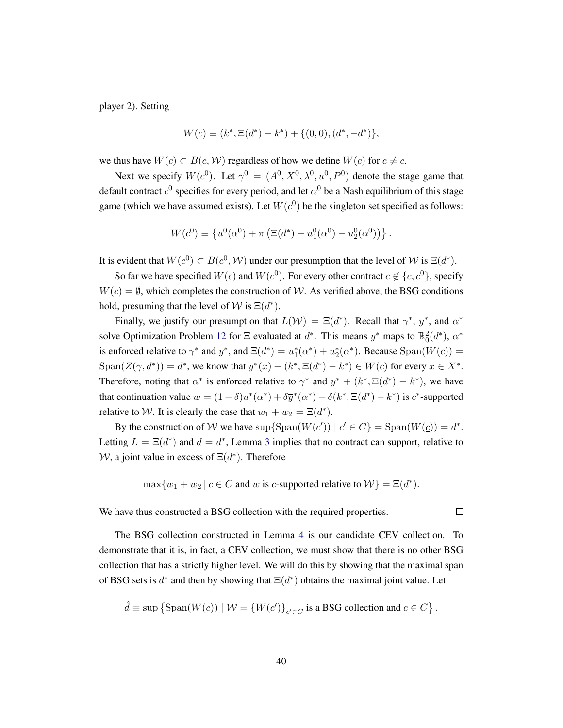player 2). Setting

$$
W(\underline{c}) \equiv (k^*, \Xi(d^*) - k^*) + \{(0,0), (d^*, -d^*)\},\
$$

we thus have  $W(\underline{c}) \subset B(\underline{c}, \mathcal{W})$  regardless of how we define  $W(c)$  for  $c \neq \underline{c}$ .

Next we specify  $W(c^0)$ . Let  $\gamma^0 = (A^0, X^0, \lambda^0, u^0, P^0)$  denote the stage game that default contract  $c^0$  specifies for every period, and let  $\alpha^0$  be a Nash equilibrium of this stage game (which we have assumed exists). Let  $W(c^0)$  be the singleton set specified as follows:

$$
W(c^{0}) \equiv \{u^{0}(\alpha^{0}) + \pi (\Xi(d^*) - u_1^{0}(\alpha^{0}) - u_2^{0}(\alpha^{0}))\}.
$$

It is evident that  $W(c^0) \subset B(c^0, W)$  under our presumption that the level of W is  $\Xi(d^*)$ .

So far we have specified  $W(\underline{c})$  and  $W(c^0)$ . For every other contract  $c \notin \{\underline{c}, c^0\}$ , specify  $W(c) = \emptyset$ , which completes the construction of W. As verified above, the BSG conditions hold, presuming that the level of  $W$  is  $\Xi(d^*)$ .

Finally, we justify our presumption that  $L(\mathcal{W}) = \Xi(d^*)$ . Recall that  $\gamma^*$ ,  $y^*$ , and  $\alpha^*$ solve Optimization Problem [12](#page-21-1) for  $\Xi$  evaluated at  $d^*$ . This means  $y^*$  maps to  $\mathbb{R}^2_0(d^*)$ ,  $\alpha^*$ is enforced relative to  $\gamma^*$  and  $y^*$ , and  $\Xi(d^*) = u_1^*(\alpha^*) + u_2^*(\alpha^*)$ . Because  $\text{Span}(W(\underline{c})) =$  $\text{Span}(Z(\underline{\gamma}, d^*)) = d^*$ , we know that  $y^*(x) + (k^*, \Xi(d^*) - k^*) \in W(\underline{c})$  for every  $x \in X^*$ . Therefore, noting that  $\alpha^*$  is enforced relative to  $\gamma^*$  and  $y^* + (k^*, \Xi(d^*) - k^*)$ , we have that continuation value  $w = (1 - \delta)u^*(\alpha^*) + \delta \overline{y}^*(\alpha^*) + \delta(k^*, \Xi(d^*) - k^*)$  is  $c^*$ -supported relative to W. It is clearly the case that  $w_1 + w_2 = \Xi(d^*)$ .

By the construction of W we have  $\sup{\text{Span}(W(c')) \mid c' \in C} = \text{Span}(W(c)) = d^*$ . Letting  $L = \Xi(d^*)$  and  $d = d^*$ , Lemma [3](#page-38-0) implies that no contract can support, relative to W, a joint value in excess of  $\Xi(d^*)$ . Therefore

$$
\max\{w_1 + w_2 \mid c \in C \text{ and } w \text{ is } c\text{-supported relative to } \mathcal{W}\} = \Xi(d^*).
$$

 $\Box$ 

We have thus constructed a BSG collection with the required properties.

The BSG collection constructed in Lemma [4](#page-39-0) is our candidate CEV collection. To demonstrate that it is, in fact, a CEV collection, we must show that there is no other BSG collection that has a strictly higher level. We will do this by showing that the maximal span of BSG sets is  $d^*$  and then by showing that  $\Xi(d^*)$  obtains the maximal joint value. Let

$$
\hat{d} \equiv \sup \left\{ \text{Span}(W(c)) \mid \mathcal{W} = \{ W(c') \}_{c' \in C} \text{ is a BSG collection and } c \in C \right\}.
$$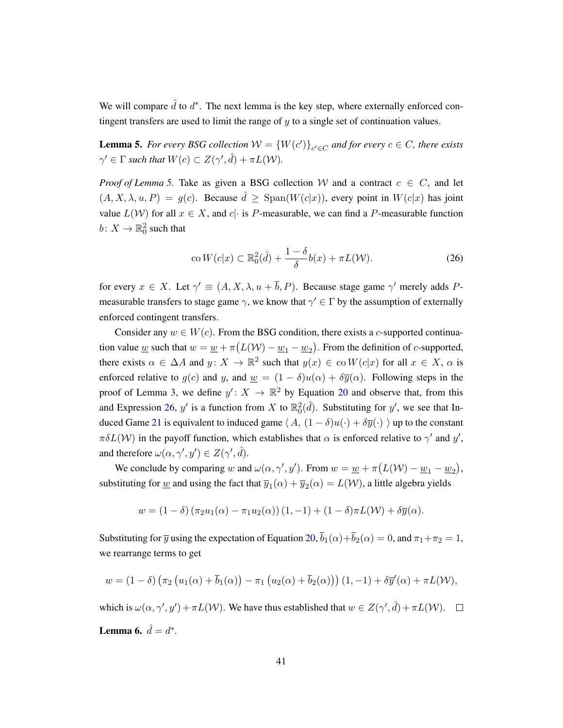We will compare  $\hat{d}$  to  $d^*$ . The next lemma is the key step, where externally enforced contingent transfers are used to limit the range of  $y$  to a single set of continuation values.

<span id="page-41-0"></span>**Lemma 5.** For every BSG collection  $W = \{W(c')\}_{c' \in C}$  and for every  $c \in C$ , there exists  $\gamma' \in \Gamma$  such that  $W(c) \subset Z(\gamma', \hat{d}) + \pi L(\mathcal{W})$ .

*Proof of Lemma* [5.](#page-41-0) Take as given a BSG collection W and a contract  $c \in C$ , and let  $(A, X, \lambda, u, P) = q(c)$ . Because  $\hat{d} > \text{Span}(W(c|x))$ , every point in  $W(c|x)$  has joint value  $L(\mathcal{W})$  for all  $x \in X$ , and  $c\cdot$  is P-measurable, we can find a P-measurable function  $b\colon X\to \mathbb{R}^2_0$  such that

<span id="page-41-1"></span>
$$
\operatorname{co} W(c|x) \subset \mathbb{R}_0^2(\hat{d}) + \frac{1-\delta}{\delta}b(x) + \pi L(\mathcal{W}).\tag{26}
$$

for every  $x \in X$ . Let  $\gamma' \equiv (A, X, \lambda, u + \overline{b}, P)$ . Because stage game  $\gamma'$  merely adds Pmeasurable transfers to stage game  $\gamma$ , we know that  $\gamma' \in \Gamma$  by the assumption of externally enforced contingent transfers.

Consider any  $w \in W(c)$ . From the BSG condition, there exists a c-supported continuation value <u>w</u> such that  $w = \underline{w} + \pi (L(W) - \underline{w}_1 - \underline{w}_2)$ . From the definition of *c*-supported, there exists  $\alpha \in \Delta A$  and  $y \colon X \to \mathbb{R}^2$  such that  $y(x) \in \text{co } W(c|x)$  for all  $x \in X$ ,  $\alpha$  is enforced relative to  $g(c)$  and y, and  $\underline{w} = (1 - \delta)u(\alpha) + \delta \overline{y}(\alpha)$ . Following steps in the proof of Lemma [3,](#page-38-0) we define  $y' : X \to \mathbb{R}^2$  by Equation [20](#page-38-2) and observe that, from this and Expression [26,](#page-41-1) y' is a function from X to  $\mathbb{R}_0^2(\hat{d})$ . Substituting for y', we see that In-duced Game [21](#page-38-3) is equivalent to induced game  $\langle A, (1 - \delta)u(\cdot) + \delta \overline{y}(\cdot) \rangle$  up to the constant  $\pi \delta L(\mathcal{W})$  in the payoff function, which establishes that  $\alpha$  is enforced relative to  $\gamma'$  and  $y'$ , and therefore  $\omega(\alpha, \gamma', y') \in Z(\gamma', \hat{d}).$ 

We conclude by comparing w and  $\omega(\alpha, \gamma', y')$ . From  $w = \underline{w} + \pi (L(W) - \underline{w}_1 - \underline{w}_2)$ , substituting for <u>w</u> and using the fact that  $\overline{y}_1(\alpha) + \overline{y}_2(\alpha) = L(\mathcal{W})$ , a little algebra yields

$$
w = (1 - \delta) (\pi_2 u_1(\alpha) - \pi_1 u_2(\alpha)) (1, -1) + (1 - \delta) \pi L(\mathcal{W}) + \delta \overline{y}(\alpha).
$$

Substituting for  $\overline{y}$  using the expectation of Equation [20,](#page-38-2)  $\overline{b}_1(\alpha)+\overline{b}_2(\alpha) = 0$ , and  $\pi_1+\pi_2 = 1$ , we rearrange terms to get

$$
w = (1 - \delta) \left( \pi_2 \left( u_1(\alpha) + \overline{b}_1(\alpha) \right) - \pi_1 \left( u_2(\alpha) + \overline{b}_2(\alpha) \right) \right) (1, -1) + \delta \overline{y}'(\alpha) + \pi L(\mathcal{W}),
$$

<span id="page-41-2"></span>which is  $\omega(\alpha, \gamma', y') + \pi L(\mathcal{W})$ . We have thus established that  $w \in Z(\gamma', \hat{d}) + \pi L(\mathcal{W})$ . **Lemma 6.**  $\hat{d} = d^*$ .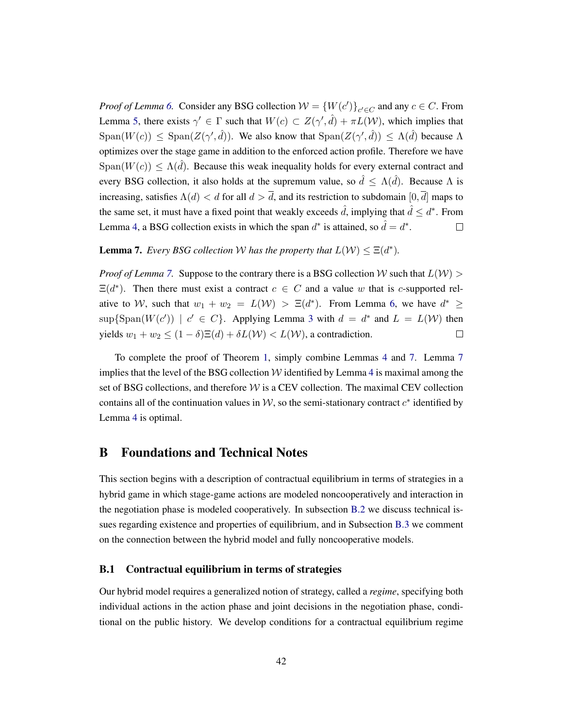*Proof of Lemma* [6.](#page-41-2) Consider any BSG collection  $W = \{W(c')\}_{c' \in C}$  and any  $c \in C$ . From Lemma [5,](#page-41-0) there exists  $\gamma' \in \Gamma$  such that  $W(c) \subset Z(\gamma', \hat{d}) + \pi L(\mathcal{W})$ , which implies that  $Span(W(c)) \leq Span(Z(\gamma', \hat{d}))$ . We also know that  $Span(Z(\gamma', \hat{d})) \leq \Lambda(\hat{d})$  because  $\Lambda$ optimizes over the stage game in addition to the enforced action profile. Therefore we have  $Span(W(c)) \leq \Lambda(\hat{d})$ . Because this weak inequality holds for every external contract and every BSG collection, it also holds at the supremum value, so  $\hat{d} \leq \Lambda(\hat{d})$ . Because  $\Lambda$  is increasing, satisfies  $\Lambda(d) < d$  for all  $d > \overline{d}$ , and its restriction to subdomain  $[0, \overline{d}]$  maps to the same set, it must have a fixed point that weakly exceeds  $\hat{d}$ , implying that  $\hat{d} \leq d^*$ . From Lemma [4,](#page-39-0) a BSG collection exists in which the span  $d^*$  is attained, so  $\hat{d} = d^*$ .  $\Box$ 

# <span id="page-42-2"></span>**Lemma 7.** *Every BSG collection W has the property that*  $L(\mathcal{W}) \leq \Xi(d^*)$ *.*

*Proof of Lemma* [7.](#page-42-2) Suppose to the contrary there is a BSG collection W such that  $L(W)$  $\Xi(d^*)$ . Then there must exist a contract  $c \in C$  and a value w that is c-supported relative to W, such that  $w_1 + w_2 = L(W) > \Xi(d^*)$ . From Lemma [6,](#page-41-2) we have  $d^* \geq$  $\sup{\text{Span}(W(c')) \mid c' \in C}$ . Applying Lemma [3](#page-38-0) with  $d = d^*$  and  $L = L(W)$  then yields  $w_1 + w_2 \le (1 - \delta) \Xi(d) + \delta L(\mathcal{W}) < L(\mathcal{W})$ , a contradiction.  $\Box$ 

To complete the proof of Theorem [1,](#page-23-0) simply combine Lemmas [4](#page-39-0) and [7.](#page-42-2) Lemma [7](#page-42-2) implies that the level of the BSG collection  $W$  identified by Lemma [4](#page-39-0) is maximal among the set of BSG collections, and therefore  $W$  is a CEV collection. The maximal CEV collection contains all of the continuation values in  $W$ , so the semi-stationary contract  $c^*$  identified by Lemma [4](#page-39-0) is optimal.

# <span id="page-42-0"></span>B Foundations and Technical Notes

This section begins with a description of contractual equilibrium in terms of strategies in a hybrid game in which stage-game actions are modeled noncooperatively and interaction in the negotiation phase is modeled cooperatively. In subsection [B.2](#page-45-0) we discuss technical issues regarding existence and properties of equilibrium, and in Subsection [B.3](#page-46-0) we comment on the connection between the hybrid model and fully noncooperative models.

### <span id="page-42-1"></span>B.1 Contractual equilibrium in terms of strategies

Our hybrid model requires a generalized notion of strategy, called a *regime*, specifying both individual actions in the action phase and joint decisions in the negotiation phase, conditional on the public history. We develop conditions for a contractual equilibrium regime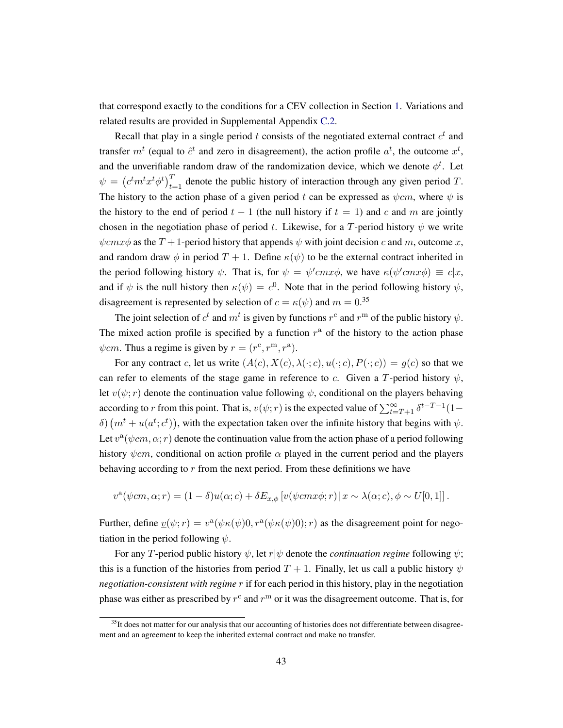that correspond exactly to the conditions for a CEV collection in Section [1.](#page-4-0) Variations and related results are provided in Supplemental Appendix [C.2.](#page-52-0)

Recall that play in a single period t consists of the negotiated external contract  $c<sup>t</sup>$  and transfer  $m<sup>t</sup>$  (equal to  $\hat{c}^t$  and zero in disagreement), the action profile  $a<sup>t</sup>$ , the outcome  $x<sup>t</sup>$ , and the unverifiable random draw of the randomization device, which we denote  $\phi^t$ . Let  $\psi = (c^t m^t x^t \phi^t)_{t=1}^T$  denote the public history of interaction through any given period T. The history to the action phase of a given period t can be expressed as  $\psi cm$ , where  $\psi$  is the history to the end of period  $t - 1$  (the null history if  $t = 1$ ) and c and m are jointly chosen in the negotiation phase of period t. Likewise, for a T-period history  $\psi$  we write  $\psi$ cmx $\phi$  as the T + 1-period history that appends  $\psi$  with joint decision c and m, outcome x, and random draw  $\phi$  in period  $T + 1$ . Define  $\kappa(\psi)$  to be the external contract inherited in the period following history  $\psi$ . That is, for  $\psi = \psi' c m x \phi$ , we have  $\kappa(\psi' c m x \phi) \equiv c |x,$ and if  $\psi$  is the null history then  $\kappa(\psi) = c^0$ . Note that in the period following history  $\psi$ , disagreement is represented by selection of  $c = \kappa(\psi)$  and  $m = 0.35$ 

The joint selection of  $c^t$  and  $m^t$  is given by functions  $r^c$  and  $r^m$  of the public history  $\psi$ . The mixed action profile is specified by a function  $r<sup>a</sup>$  of the history to the action phase  $\psi$ *cm*. Thus a regime is given by  $r = (r^c, r^m, r^a)$ .

For any contract c, let us write  $(A(c), X(c), \lambda(\cdot; c), u(\cdot; c), P(\cdot; c)) = g(c)$  so that we can refer to elements of the stage game in reference to c. Given a T-period history  $\psi$ , let  $v(\psi; r)$  denote the continuation value following  $\psi$ , conditional on the players behaving according to r from this point. That is,  $v(\psi; r)$  is the expected value of  $\sum_{t=T+1}^{\infty} \delta^{t-T-1} (1$ δ)  $(m<sup>t</sup> + u(a<sup>t</sup>; c<sup>t</sup>)),$  with the expectation taken over the infinite history that begins with  $ψ$ . Let  $v^{\alpha}(\psi cm, \alpha; r)$  denote the continuation value from the action phase of a period following history  $\psi$ cm, conditional on action profile  $\alpha$  played in the current period and the players behaving according to  $r$  from the next period. From these definitions we have

$$
v^{a}(\psi cm, \alpha; r) = (1 - \delta)u(\alpha; c) + \delta E_{x, \phi}[v(\psi cm x \phi; r) | x \sim \lambda(\alpha; c), \phi \sim U[0, 1]].
$$

Further, define  $\underline{v}(\psi; r) = v^{\alpha}(\psi \kappa(\psi) 0, r^{\alpha}(\psi \kappa(\psi) 0); r)$  as the disagreement point for negotiation in the period following  $\psi$ .

For any T-period public history  $\psi$ , let r| $\psi$  denote the *continuation regime* following  $\psi$ ; this is a function of the histories from period  $T + 1$ . Finally, let us call a public history  $\psi$ *negotiation-consistent with regime* r if for each period in this history, play in the negotiation phase was either as prescribed by  $r^c$  and  $r^m$  or it was the disagreement outcome. That is, for

 $35$ It does not matter for our analysis that our accounting of histories does not differentiate between disagreement and an agreement to keep the inherited external contract and make no transfer.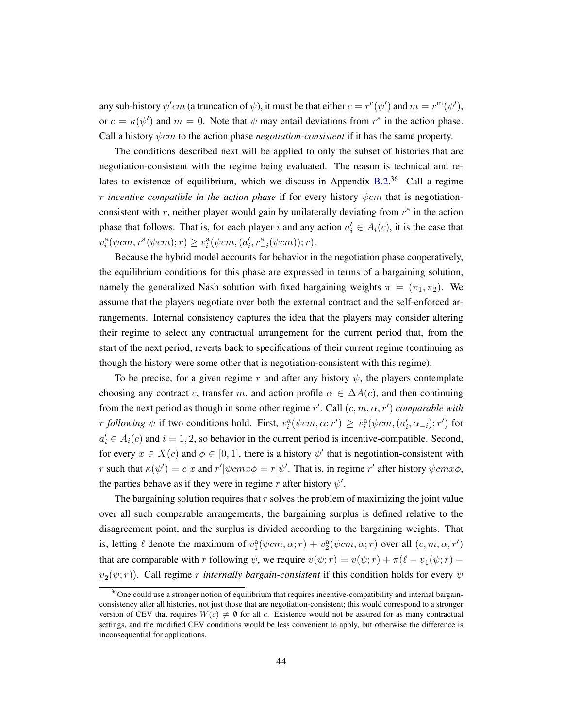any sub-history  $\psi'cm$  (a truncation of  $\psi$ ), it must be that either  $c = r^c(\psi')$  and  $m = r^m(\psi')$ , or  $c = \kappa(\psi')$  and  $m = 0$ . Note that  $\psi$  may entail deviations from  $r^{\alpha}$  in the action phase. Call a history  $\psi$ *cm* to the action phase *negotiation-consistent* if it has the same property.

The conditions described next will be applied to only the subset of histories that are negotiation-consistent with the regime being evaluated. The reason is technical and re-lates to existence of equilibrium, which we discuss in Appendix [B.2.](#page-45-0)<sup>36</sup> Call a regime *r* incentive compatible in the action phase if for every history  $\psi$ cm that is negotiationconsistent with r, neither player would gain by unilaterally deviating from  $r<sup>a</sup>$  in the action phase that follows. That is, for each player i and any action  $a'_i \in A_i(c)$ , it is the case that  $v_i^{\rm a}(\psi cm, r^{\rm a}(\psi cm); r) \ge v_i^{\rm a}(\psi cm, (a'_i, r^{\rm a}_{-i}(\psi cm)); r).$ 

Because the hybrid model accounts for behavior in the negotiation phase cooperatively, the equilibrium conditions for this phase are expressed in terms of a bargaining solution, namely the generalized Nash solution with fixed bargaining weights  $\pi = (\pi_1, \pi_2)$ . We assume that the players negotiate over both the external contract and the self-enforced arrangements. Internal consistency captures the idea that the players may consider altering their regime to select any contractual arrangement for the current period that, from the start of the next period, reverts back to specifications of their current regime (continuing as though the history were some other that is negotiation-consistent with this regime).

To be precise, for a given regime r and after any history  $\psi$ , the players contemplate choosing any contract c, transfer m, and action profile  $\alpha \in \Delta A(c)$ , and then continuing from the next period as though in some other regime  $r'$ . Call  $(c, m, \alpha, r')$  *comparable with r following*  $\psi$  if two conditions hold. First,  $v_i^{\text{a}}(\psi cm, \alpha; r') \ge v_i^{\text{a}}(\psi cm, (a_i', \alpha_{-i}); r')$  for  $a'_i \in A_i(c)$  and  $i = 1, 2$ , so behavior in the current period is incentive-compatible. Second, for every  $x \in X(c)$  and  $\phi \in [0, 1]$ , there is a history  $\psi'$  that is negotiation-consistent with r such that  $\kappa(\psi') = c|x$  and  $r'|\psi cm x \phi = r|\psi'$ . That is, in regime r' after history  $\psi cm x \phi$ , the parties behave as if they were in regime r after history  $\psi'$ .

The bargaining solution requires that  $r$  solves the problem of maximizing the joint value over all such comparable arrangements, the bargaining surplus is defined relative to the disagreement point, and the surplus is divided according to the bargaining weights. That is, letting  $\ell$  denote the maximum of  $v_1^{\text{a}}(\psi cm, \alpha; r) + v_2^{\text{a}}(\psi cm, \alpha; r)$  over all  $(c, m, \alpha, r')$ that are comparable with r following  $\psi$ , we require  $v(\psi; r) = \underline{v}(\psi; r) + \pi(\ell - \underline{v}_1(\psi; r) - \ell)$  $\underline{v}_2(\psi;r)$ ). Call regime *r internally bargain-consistent* if this condition holds for every  $\psi$ 

<sup>&</sup>lt;sup>36</sup>One could use a stronger notion of equilibrium that requires incentive-compatibility and internal bargainconsistency after all histories, not just those that are negotiation-consistent; this would correspond to a stronger version of CEV that requires  $W(c) \neq \emptyset$  for all c. Existence would not be assured for as many contractual settings, and the modified CEV conditions would be less convenient to apply, but otherwise the difference is inconsequential for applications.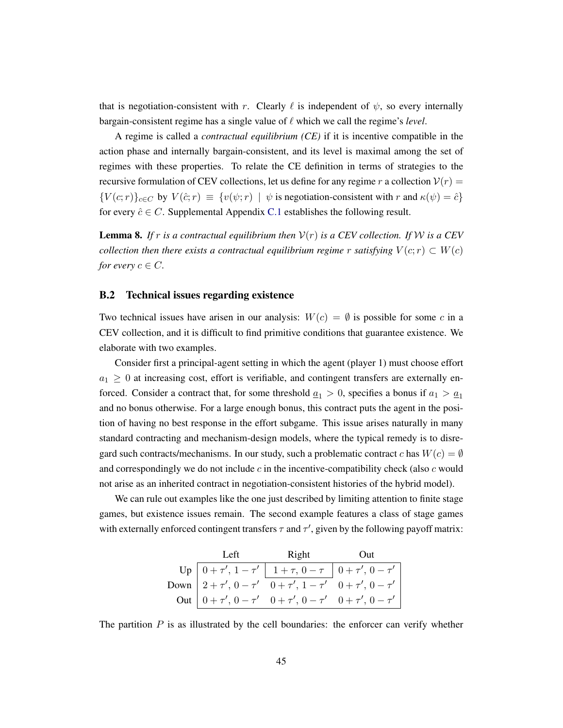that is negotiation-consistent with r. Clearly  $\ell$  is independent of  $\psi$ , so every internally bargain-consistent regime has a single value of  $\ell$  which we call the regime's *level*.

A regime is called a *contractual equilibrium (CE)* if it is incentive compatible in the action phase and internally bargain-consistent, and its level is maximal among the set of regimes with these properties. To relate the CE definition in terms of strategies to the recursive formulation of CEV collections, let us define for any regime r a collection  $V(r)$  =  ${V(c;r)}_{c \in C}$  by  $V(\hat{c};r) \equiv {v(\psi;r) | \psi \text{ is negotiation-consistent with } r \text{ and } \kappa(\psi) = \hat{c}}$ for every  $\hat{c} \in C$ . Supplemental Appendix [C.1](#page-50-0) establishes the following result.

<span id="page-45-1"></span>**Lemma 8.** If r is a contractual equilibrium then  $V(r)$  is a CEV collection. If W is a CEV *collection then there exists a contractual equilibrium regime* r *satisfying*  $V(c; r) \subset W(c)$ *for every*  $c \in C$ *.* 

### <span id="page-45-0"></span>B.2 Technical issues regarding existence

Two technical issues have arisen in our analysis:  $W(c) = \emptyset$  is possible for some c in a CEV collection, and it is difficult to find primitive conditions that guarantee existence. We elaborate with two examples.

Consider first a principal-agent setting in which the agent (player 1) must choose effort  $a_1 \geq 0$  at increasing cost, effort is verifiable, and contingent transfers are externally enforced. Consider a contract that, for some threshold  $\underline{a}_1 > 0$ , specifies a bonus if  $a_1 > \underline{a}_1$ and no bonus otherwise. For a large enough bonus, this contract puts the agent in the position of having no best response in the effort subgame. This issue arises naturally in many standard contracting and mechanism-design models, where the typical remedy is to disregard such contracts/mechanisms. In our study, such a problematic contract c has  $W(c) = \emptyset$ and correspondingly we do not include c in the incentive-compatibility check (also c would not arise as an inherited contract in negotiation-consistent histories of the hybrid model).

We can rule out examples like the one just described by limiting attention to finite stage games, but existence issues remain. The second example features a class of stage games with externally enforced contingent transfers  $\tau$  and  $\tau'$ , given by the following payoff matrix:

| Left Right Out                                                                                                                                                                                                                                                                     |  |
|------------------------------------------------------------------------------------------------------------------------------------------------------------------------------------------------------------------------------------------------------------------------------------|--|
|                                                                                                                                                                                                                                                                                    |  |
|                                                                                                                                                                                                                                                                                    |  |
| Up $\begin{array}{c c c c} \text{Up} & 0+\tau', \, 1-\tau' & 1+\tau, \, 0-\tau & 0+\tau', \, 0-\tau' \\ \text{Down} & 2+\tau', \, 0-\tau' & 0+\tau', \, 1-\tau' & 0+\tau', \, 0-\tau' \\ \text{Out} & 0+\tau', \, 0-\tau' & 0+\tau', \, 0-\tau' & 0+\tau', \, 0-\tau' \end{array}$ |  |

The partition  $P$  is as illustrated by the cell boundaries: the enforcer can verify whether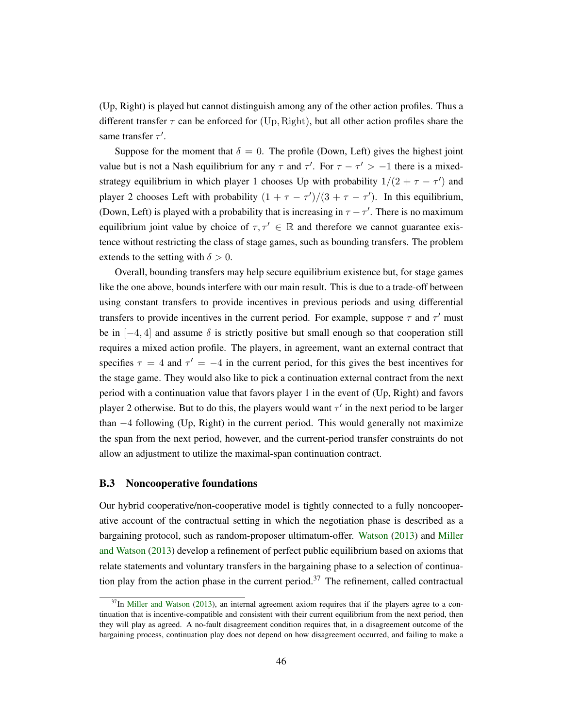(Up, Right) is played but cannot distinguish among any of the other action profiles. Thus a different transfer  $\tau$  can be enforced for (Up, Right), but all other action profiles share the same transfer  $\tau'$ .

Suppose for the moment that  $\delta = 0$ . The profile (Down, Left) gives the highest joint value but is not a Nash equilibrium for any  $\tau$  and  $\tau'$ . For  $\tau - \tau' > -1$  there is a mixedstrategy equilibrium in which player 1 chooses Up with probability  $1/(2 + \tau - \tau')$  and player 2 chooses Left with probability  $(1 + \tau - \tau')/(3 + \tau - \tau')$ . In this equilibrium, (Down, Left) is played with a probability that is increasing in  $\tau - \tau'$ . There is no maximum equilibrium joint value by choice of  $\tau, \tau' \in \mathbb{R}$  and therefore we cannot guarantee existence without restricting the class of stage games, such as bounding transfers. The problem extends to the setting with  $\delta > 0$ .

Overall, bounding transfers may help secure equilibrium existence but, for stage games like the one above, bounds interfere with our main result. This is due to a trade-off between using constant transfers to provide incentives in previous periods and using differential transfers to provide incentives in the current period. For example, suppose  $\tau$  and  $\tau'$  must be in  $[-4, 4]$  and assume  $\delta$  is strictly positive but small enough so that cooperation still requires a mixed action profile. The players, in agreement, want an external contract that specifies  $\tau = 4$  and  $\tau' = -4$  in the current period, for this gives the best incentives for the stage game. They would also like to pick a continuation external contract from the next period with a continuation value that favors player 1 in the event of (Up, Right) and favors player 2 otherwise. But to do this, the players would want  $\tau'$  in the next period to be larger than  $-4$  following (Up, Right) in the current period. This would generally not maximize the span from the next period, however, and the current-period transfer constraints do not allow an adjustment to utilize the maximal-span continuation contract.

### <span id="page-46-0"></span>B.3 Noncooperative foundations

Our hybrid cooperative/non-cooperative model is tightly connected to a fully noncooperative account of the contractual setting in which the negotiation phase is described as a bargaining protocol, such as random-proposer ultimatum-offer. [Watson](#page-49-2) [\(2013\)](#page-49-2) and [Miller](#page-49-0) [and Watson](#page-49-0) [\(2013\)](#page-49-0) develop a refinement of perfect public equilibrium based on axioms that relate statements and voluntary transfers in the bargaining phase to a selection of continuation play from the action phase in the current period.<sup>37</sup> The refinement, called contractual

 $37$ In [Miller and Watson](#page-49-0) [\(2013\)](#page-49-0), an internal agreement axiom requires that if the players agree to a continuation that is incentive-compatible and consistent with their current equilibrium from the next period, then they will play as agreed. A no-fault disagreement condition requires that, in a disagreement outcome of the bargaining process, continuation play does not depend on how disagreement occurred, and failing to make a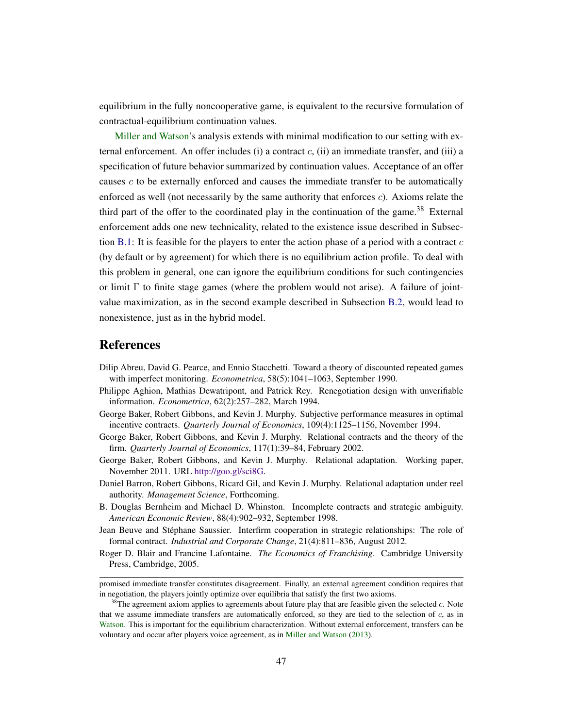equilibrium in the fully noncooperative game, is equivalent to the recursive formulation of contractual-equilibrium continuation values.

[Miller and Watson'](#page-49-0)s analysis extends with minimal modification to our setting with external enforcement. An offer includes (i) a contract  $c$ , (ii) an immediate transfer, and (iii) a specification of future behavior summarized by continuation values. Acceptance of an offer causes  $c$  to be externally enforced and causes the immediate transfer to be automatically enforced as well (not necessarily by the same authority that enforces c). Axioms relate the third part of the offer to the coordinated play in the continuation of the game.<sup>38</sup> External enforcement adds one new technicality, related to the existence issue described in Subsec-tion [B.1:](#page-42-1) It is feasible for the players to enter the action phase of a period with a contract  $c$ (by default or by agreement) for which there is no equilibrium action profile. To deal with this problem in general, one can ignore the equilibrium conditions for such contingencies or limit  $\Gamma$  to finite stage games (where the problem would not arise). A failure of jointvalue maximization, as in the second example described in Subsection [B.2,](#page-45-0) would lead to nonexistence, just as in the hybrid model.

### References

- <span id="page-47-2"></span>Dilip Abreu, David G. Pearce, and Ennio Stacchetti. Toward a theory of discounted repeated games with imperfect monitoring. *Econometrica*, 58(5):1041–1063, September 1990.
- <span id="page-47-8"></span>Philippe Aghion, Mathias Dewatripont, and Patrick Rey. Renegotiation design with unverifiable information. *Econometrica*, 62(2):257–282, March 1994.
- <span id="page-47-0"></span>George Baker, Robert Gibbons, and Kevin J. Murphy. Subjective performance measures in optimal incentive contracts. *Quarterly Journal of Economics*, 109(4):1125–1156, November 1994.
- <span id="page-47-1"></span>George Baker, Robert Gibbons, and Kevin J. Murphy. Relational contracts and the theory of the firm. *Quarterly Journal of Economics*, 117(1):39–84, February 2002.
- <span id="page-47-6"></span>George Baker, Robert Gibbons, and Kevin J. Murphy. Relational adaptation. Working paper, November 2011. URL [http://goo.gl/sci8G.](http://goo.gl/sci8G)
- <span id="page-47-7"></span>Daniel Barron, Robert Gibbons, Ricard Gil, and Kevin J. Murphy. Relational adaptation under reel authority. *Management Science*, Forthcoming.
- <span id="page-47-5"></span>B. Douglas Bernheim and Michael D. Whinston. Incomplete contracts and strategic ambiguity. *American Economic Review*, 88(4):902–932, September 1998.
- <span id="page-47-4"></span>Jean Beuve and Stéphane Saussier. Interfirm cooperation in strategic relationships: The role of formal contract. *Industrial and Corporate Change*, 21(4):811–836, August 2012.
- <span id="page-47-3"></span>Roger D. Blair and Francine Lafontaine. *The Economics of Franchising*. Cambridge University Press, Cambridge, 2005.

promised immediate transfer constitutes disagreement. Finally, an external agreement condition requires that in negotiation, the players jointly optimize over equilibria that satisfy the first two axioms.

 $38$ The agreement axiom applies to agreements about future play that are feasible given the selected c. Note that we assume immediate transfers are automatically enforced, so they are tied to the selection of  $c$ , as in [Watson.](#page-49-2) This is important for the equilibrium characterization. Without external enforcement, transfers can be voluntary and occur after players voice agreement, as in [Miller and Watson](#page-49-0) [\(2013\)](#page-49-0).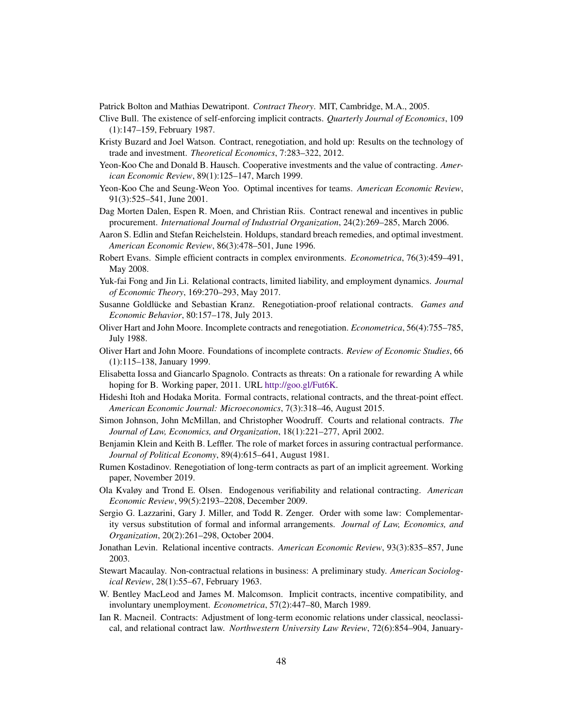<span id="page-48-20"></span>Patrick Bolton and Mathias Dewatripont. *Contract Theory*. MIT, Cambridge, M.A., 2005.

- <span id="page-48-10"></span>Clive Bull. The existence of self-enforcing implicit contracts. *Quarterly Journal of Economics*, 109 (1):147–159, February 1987.
- <span id="page-48-22"></span>Kristy Buzard and Joel Watson. Contract, renegotiation, and hold up: Results on the technology of trade and investment. *Theoretical Economics*, 7:283–322, 2012.
- <span id="page-48-19"></span>Yeon-Koo Che and Donald B. Hausch. Cooperative investments and the value of contracting. *American Economic Review*, 89(1):125–147, March 1999.
- <span id="page-48-3"></span>Yeon-Koo Che and Seung-Weon Yoo. Optimal incentives for teams. *American Economic Review*, 91(3):525–541, June 2001.
- <span id="page-48-6"></span>Dag Morten Dalen, Espen R. Moen, and Christian Riis. Contract renewal and incentives in public procurement. *International Journal of Industrial Organization*, 24(2):269–285, March 2006.
- <span id="page-48-16"></span>Aaron S. Edlin and Stefan Reichelstein. Holdups, standard breach remedies, and optimal investment. *American Economic Review*, 86(3):478–501, June 1996.
- <span id="page-48-21"></span>Robert Evans. Simple efficient contracts in complex environments. *Econometrica*, 76(3):459–491, May 2008.
- <span id="page-48-15"></span>Yuk-fai Fong and Jin Li. Relational contracts, limited liability, and employment dynamics. *Journal of Economic Theory*, 169:270–293, May 2017.
- <span id="page-48-12"></span>Susanne Goldlücke and Sebastian Kranz. Renegotiation-proof relational contracts. *Games and Economic Behavior*, 80:157–178, July 2013.
- <span id="page-48-17"></span>Oliver Hart and John Moore. Incomplete contracts and renegotiation. *Econometrica*, 56(4):755–785, July 1988.
- <span id="page-48-18"></span>Oliver Hart and John Moore. Foundations of incomplete contracts. *Review of Economic Studies*, 66 (1):115–138, January 1999.
- <span id="page-48-1"></span>Elisabetta Iossa and Giancarlo Spagnolo. Contracts as threats: On a rationale for rewarding A while hoping for B. Working paper, 2011. URL [http://goo.gl/Fut6K.](http://goo.gl/Fut6K)
- <span id="page-48-5"></span>Hideshi Itoh and Hodaka Morita. Formal contracts, relational contracts, and the threat-point effect. *American Economic Journal: Microeconomics*, 7(3):318–46, August 2015.
- <span id="page-48-7"></span>Simon Johnson, John McMillan, and Christopher Woodruff. Courts and relational contracts. *The Journal of Law, Economics, and Organization*, 18(1):221–277, April 2002.
- <span id="page-48-9"></span>Benjamin Klein and Keith B. Leffler. The role of market forces in assuring contractual performance. *Journal of Political Economy*, 89(4):615–641, August 1981.
- <span id="page-48-2"></span>Rumen Kostadinov. Renegotiation of long-term contracts as part of an implicit agreement. Working paper, November 2019.
- <span id="page-48-4"></span>Ola Kvaløy and Trond E. Olsen. Endogenous verifiability and relational contracting. *American Economic Review*, 99(5):2193–2208, December 2009.
- <span id="page-48-8"></span>Sergio G. Lazzarini, Gary J. Miller, and Todd R. Zenger. Order with some law: Complementarity versus substitution of formal and informal arrangements. *Journal of Law, Economics, and Organization*, 20(2):261–298, October 2004.
- <span id="page-48-0"></span>Jonathan Levin. Relational incentive contracts. *American Economic Review*, 93(3):835–857, June 2003.
- <span id="page-48-13"></span>Stewart Macaulay. Non-contractual relations in business: A preliminary study. *American Sociological Review*, 28(1):55–67, February 1963.
- <span id="page-48-11"></span>W. Bentley MacLeod and James M. Malcomson. Implicit contracts, incentive compatibility, and involuntary unemployment. *Econometrica*, 57(2):447–80, March 1989.
- <span id="page-48-14"></span>Ian R. Macneil. Contracts: Adjustment of long-term economic relations under classical, neoclassical, and relational contract law. *Northwestern University Law Review*, 72(6):854–904, January-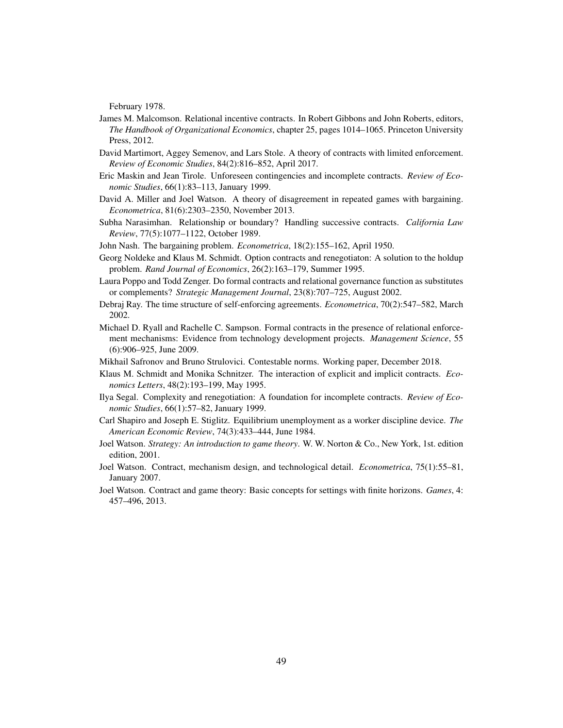February 1978.

- <span id="page-49-1"></span>James M. Malcomson. Relational incentive contracts. In Robert Gibbons and John Roberts, editors, *The Handbook of Organizational Economics*, chapter 25, pages 1014–1065. Princeton University Press, 2012.
- <span id="page-49-12"></span>David Martimort, Aggey Semenov, and Lars Stole. A theory of contracts with limited enforcement. *Review of Economic Studies*, 84(2):816–852, April 2017.
- <span id="page-49-15"></span>Eric Maskin and Jean Tirole. Unforeseen contingencies and incomplete contracts. *Review of Economic Studies*, 66(1):83–113, January 1999.
- <span id="page-49-0"></span>David A. Miller and Joel Watson. A theory of disagreement in repeated games with bargaining. *Econometrica*, 81(6):2303–2350, November 2013.
- <span id="page-49-6"></span>Subha Narasimhan. Relationship or boundary? Handling successive contracts. *California Law Review*, 77(5):1077–1122, October 1989.
- <span id="page-49-5"></span>John Nash. The bargaining problem. *Econometrica*, 18(2):155–162, April 1950.
- <span id="page-49-13"></span>Georg Noldeke and Klaus M. Schmidt. Option contracts and renegotiaton: A solution to the holdup problem. *Rand Journal of Economics*, 26(2):163–179, Summer 1995.
- <span id="page-49-7"></span>Laura Poppo and Todd Zenger. Do formal contracts and relational governance function as substitutes or complements? *Strategic Management Journal*, 23(8):707–725, August 2002.
- <span id="page-49-11"></span>Debraj Ray. The time structure of self-enforcing agreements. *Econometrica*, 70(2):547–582, March 2002.
- <span id="page-49-8"></span>Michael D. Ryall and Rachelle C. Sampson. Formal contracts in the presence of relational enforcement mechanisms: Evidence from technology development projects. *Management Science*, 55 (6):906–925, June 2009.
- <span id="page-49-10"></span>Mikhail Safronov and Bruno Strulovici. Contestable norms. Working paper, December 2018.
- <span id="page-49-4"></span>Klaus M. Schmidt and Monika Schnitzer. The interaction of explicit and implicit contracts. *Economics Letters*, 48(2):193–199, May 1995.
- <span id="page-49-14"></span>Ilya Segal. Complexity and renegotiation: A foundation for incomplete contracts. *Review of Economic Studies*, 66(1):57–82, January 1999.
- <span id="page-49-9"></span>Carl Shapiro and Joseph E. Stiglitz. Equilibrium unemployment as a worker discipline device. *The American Economic Review*, 74(3):433–444, June 1984.
- <span id="page-49-3"></span>Joel Watson. *Strategy: An introduction to game theory*. W. W. Norton & Co., New York, 1st. edition edition, 2001.
- <span id="page-49-16"></span>Joel Watson. Contract, mechanism design, and technological detail. *Econometrica*, 75(1):55–81, January 2007.
- <span id="page-49-2"></span>Joel Watson. Contract and game theory: Basic concepts for settings with finite horizons. *Games*, 4: 457–496, 2013.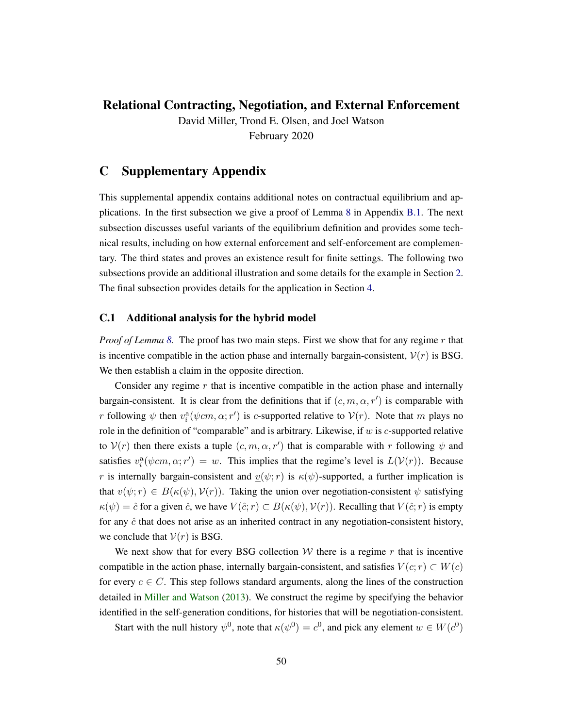# Relational Contracting, Negotiation, and External Enforcement

David Miller, Trond E. Olsen, and Joel Watson February 2020

# C Supplementary Appendix

This supplemental appendix contains additional notes on contractual equilibrium and applications. In the first subsection we give a proof of Lemma [8](#page-45-1) in Appendix [B.1.](#page-42-1) The next subsection discusses useful variants of the equilibrium definition and provides some technical results, including on how external enforcement and self-enforcement are complementary. The third states and proves an existence result for finite settings. The following two subsections provide an additional illustration and some details for the example in Section [2.](#page-10-0) The final subsection provides details for the application in Section [4.](#page-27-0)

### <span id="page-50-0"></span>C.1 Additional analysis for the hybrid model

*Proof of Lemma [8.](#page-45-1)* The proof has two main steps. First we show that for any regime r that is incentive compatible in the action phase and internally bargain-consistent,  $V(r)$  is BSG. We then establish a claim in the opposite direction.

Consider any regime  $r$  that is incentive compatible in the action phase and internally bargain-consistent. It is clear from the definitions that if  $(c, m, \alpha, r')$  is comparable with *r* following  $\psi$  then  $v_i^a(\psi cm, \alpha; r')$  is *c*-supported relative to  $V(r)$ . Note that *m* plays no role in the definition of "comparable" and is arbitrary. Likewise, if w is c-supported relative to  $V(r)$  then there exists a tuple  $(c, m, \alpha, r')$  that is comparable with r following  $\psi$  and satisfies  $v_i^{\text{a}}(\psi cm, \alpha; r') = w$ . This implies that the regime's level is  $L(\mathcal{V}(r))$ . Because r is internally bargain-consistent and  $v(\psi; r)$  is  $\kappa(\psi)$ -supported, a further implication is that  $v(\psi; r) \in B(\kappa(\psi), V(r))$ . Taking the union over negotiation-consistent  $\psi$  satisfying  $\kappa(\psi) = \hat{c}$  for a given  $\hat{c}$ , we have  $V(\hat{c}; r) \subset B(\kappa(\psi), V(r))$ . Recalling that  $V(\hat{c}; r)$  is empty for any  $\hat{c}$  that does not arise as an inherited contract in any negotiation-consistent history, we conclude that  $V(r)$  is BSG.

We next show that for every BSG collection  $W$  there is a regime r that is incentive compatible in the action phase, internally bargain-consistent, and satisfies  $V(c; r) \subset W(c)$ for every  $c \in C$ . This step follows standard arguments, along the lines of the construction detailed in [Miller and Watson](#page-49-0) [\(2013\)](#page-49-0). We construct the regime by specifying the behavior identified in the self-generation conditions, for histories that will be negotiation-consistent.

Start with the null history  $\psi^0$ , note that  $\kappa(\psi^0) = c^0$ , and pick any element  $w \in W(c^0)$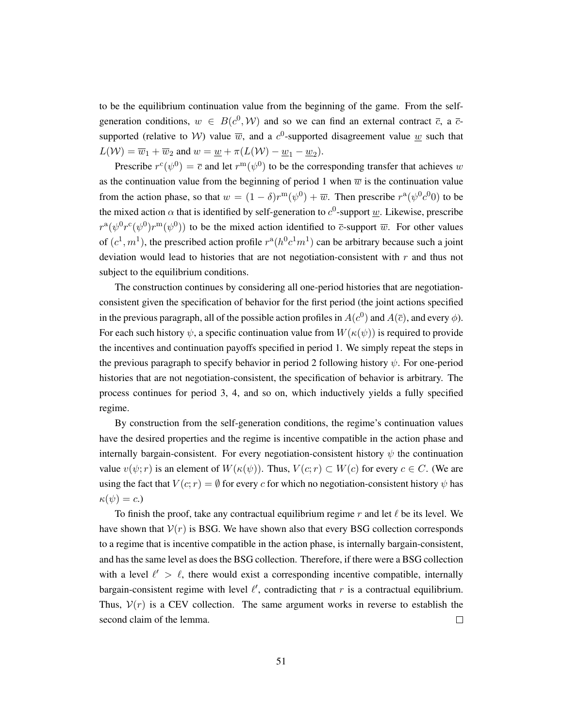to be the equilibrium continuation value from the beginning of the game. From the selfgeneration conditions,  $w \in B(c^0, W)$  and so we can find an external contract  $\bar{c}$ , a  $\bar{c}$ supported (relative to *W*) value  $\overline{w}$ , and a  $c^0$ -supported disagreement value <u>w</u> such that  $L(\mathcal{W}) = \overline{w}_1 + \overline{w}_2$  and  $w = \underline{w} + \pi(L(\mathcal{W}) - \underline{w}_1 - \underline{w}_2)$ .

Prescribe  $r^c(\psi^0) = \overline{c}$  and let  $r^m(\psi^0)$  to be the corresponding transfer that achieves w as the continuation value from the beginning of period 1 when  $\overline{w}$  is the continuation value from the action phase, so that  $w = (1 - \delta)r^{m}(\psi^{0}) + \overline{w}$ . Then prescribe  $r^{a}(\psi^{0}c^{0}0)$  to be the mixed action  $\alpha$  that is identified by self-generation to  $c^0$ -support  $\underline{w}$ . Likewise, prescribe  $r^{a}(\psi^{0}r^{c}(\psi^{0})r^{m}(\psi^{0}))$  to be the mixed action identified to  $\overline{c}$ -support  $\overline{w}$ . For other values of  $(c^1, m^1)$ , the prescribed action profile  $r^{\alpha}(h^0 c^1 m^1)$  can be arbitrary because such a joint deviation would lead to histories that are not negotiation-consistent with  $r$  and thus not subject to the equilibrium conditions.

The construction continues by considering all one-period histories that are negotiationconsistent given the specification of behavior for the first period (the joint actions specified in the previous paragraph, all of the possible action profiles in  $A(c^0)$  and  $A(\bar{c})$ , and every  $\phi$ ). For each such history  $\psi$ , a specific continuation value from  $W(\kappa(\psi))$  is required to provide the incentives and continuation payoffs specified in period 1. We simply repeat the steps in the previous paragraph to specify behavior in period 2 following history  $\psi$ . For one-period histories that are not negotiation-consistent, the specification of behavior is arbitrary. The process continues for period 3, 4, and so on, which inductively yields a fully specified regime.

By construction from the self-generation conditions, the regime's continuation values have the desired properties and the regime is incentive compatible in the action phase and internally bargain-consistent. For every negotiation-consistent history  $\psi$  the continuation value  $v(\psi; r)$  is an element of  $W(\kappa(\psi))$ . Thus,  $V(c; r) \subset W(c)$  for every  $c \in C$ . (We are using the fact that  $V(c; r) = \emptyset$  for every c for which no negotiation-consistent history  $\psi$  has  $\kappa(\psi) = c.$ 

To finish the proof, take any contractual equilibrium regime r and let  $\ell$  be its level. We have shown that  $V(r)$  is BSG. We have shown also that every BSG collection corresponds to a regime that is incentive compatible in the action phase, is internally bargain-consistent, and has the same level as does the BSG collection. Therefore, if there were a BSG collection with a level  $\ell' > \ell$ , there would exist a corresponding incentive compatible, internally bargain-consistent regime with level  $\ell'$ , contradicting that r is a contractual equilibrium. Thus,  $V(r)$  is a CEV collection. The same argument works in reverse to establish the  $\Box$ second claim of the lemma.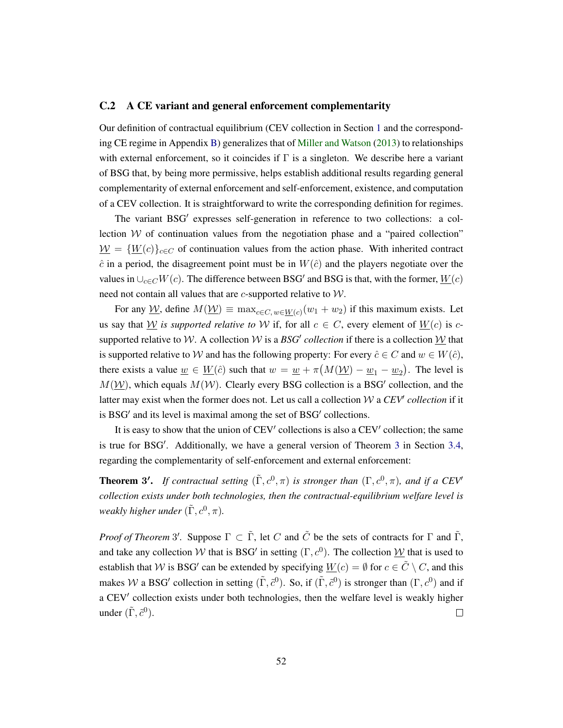### <span id="page-52-0"></span>C.2 A CE variant and general enforcement complementarity

Our definition of contractual equilibrium (CEV collection in Section [1](#page-4-0) and the corresponding CE regime in Appendix [B\)](#page-42-0) generalizes that of [Miller and Watson](#page-49-0) [\(2013\)](#page-49-0) to relationships with external enforcement, so it coincides if  $\Gamma$  is a singleton. We describe here a variant of BSG that, by being more permissive, helps establish additional results regarding general complementarity of external enforcement and self-enforcement, existence, and computation of a CEV collection. It is straightforward to write the corresponding definition for regimes.

The variant BSG' expresses self-generation in reference to two collections: a collection  $W$  of continuation values from the negotiation phase and a "paired collection"  $W = \{W(c)\}_{c \in C}$  of continuation values from the action phase. With inherited contract  $\hat{c}$  in a period, the disagreement point must be in  $W(\hat{c})$  and the players negotiate over the values in  $\bigcup_{c \in C} W(c)$ . The difference between BSG' and BSG is that, with the former,  $\underline{W}(c)$ need not contain all values that are  $c$ -supported relative to  $W$ .

For any  $\underline{\mathcal{W}}$ , define  $M(\underline{\mathcal{W}}) \equiv \max_{c \in C, w \in \underline{W}(c)} (w_1 + w_2)$  if this maximum exists. Let us say that W *is supported relative to* W if, for all  $c \in C$ , every element of  $W(c)$  is csupported relative to W. A collection W is a BSG' collection if there is a collection  $\underline{W}$  that is supported relative to W and has the following property: For every  $\hat{c} \in C$  and  $w \in W(\hat{c})$ , there exists a value  $\underline{w} \in \underline{W}(\hat{c})$  such that  $w = \underline{w} + \pi (M(\underline{W}) - \underline{w}_1 - \underline{w}_2)$ . The level is  $M(\underline{\mathcal{W}})$ , which equals  $M(\mathcal{W})$ . Clearly every BSG collection is a BSG' collection, and the latter may exist when the former does not. Let us call a collection  $W$  a  $CEV'$  collection if it is BSG' and its level is maximal among the set of BSG' collections.

It is easy to show that the union of CEV' collections is also a CEV' collection; the same is true for BSG'. Additionally, we have a general version of Theorem [3](#page-26-0) in Section [3.4,](#page-25-0) regarding the complementarity of self-enforcement and external enforcement:

**Theorem 3'.** If contractual setting  $(\tilde{\Gamma}, c^0, \pi)$  is stronger than  $(\Gamma, c^0, \pi)$ , and if a CEV<sup> $\prime$ </sup> *collection exists under both technologies, then the contractual-equilibrium welfare level is* weakly higher under  $(\tilde{\Gamma}, c^0, \pi)$ .

*Proof of Theorem* 3'. Suppose  $\Gamma \subset \tilde{\Gamma}$ , let C and  $\tilde{C}$  be the sets of contracts for  $\Gamma$  and  $\tilde{\Gamma}$ , and take any collection W that is BSG' in setting  $(\Gamma, c^0)$ . The collection  $\underline{\mathcal{W}}$  that is used to establish that W is BSG<sup>'</sup> can be extended by specifying  $\underline{W}(c) = \emptyset$  for  $c \in \tilde{C} \setminus C$ , and this makes W a BSG' collection in setting  $(\tilde{\Gamma}, \tilde{c}^0)$ . So, if  $(\tilde{\Gamma}, \tilde{c}^0)$  is stronger than  $(\Gamma, c^0)$  and if a CEV' collection exists under both technologies, then the welfare level is weakly higher under  $(\tilde{\Gamma}, \tilde{c}^0)$ .  $\Box$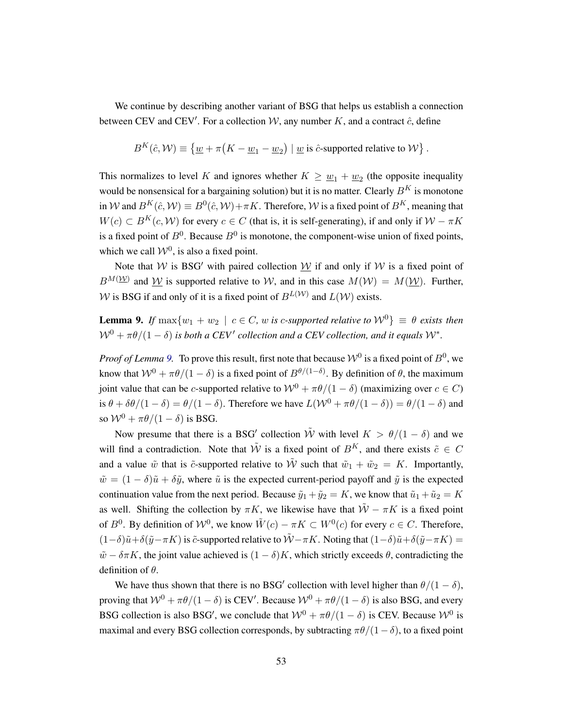We continue by describing another variant of BSG that helps us establish a connection between CEV and CEV'. For a collection  $W$ , any number K, and a contract  $\hat{c}$ , define

$$
B^{K}(\hat{c}, \mathcal{W}) \equiv \{ \underline{w} + \pi \big( K - \underline{w}_1 - \underline{w}_2 \big) \mid \underline{w} \text{ is } \hat{c}\text{-supported relative to } \mathcal{W} \}.
$$

This normalizes to level K and ignores whether  $K \geq \underline{w}_1 + \underline{w}_2$  (the opposite inequality would be nonsensical for a bargaining solution) but it is no matter. Clearly  $B<sup>K</sup>$  is monotone in W and  $B^K(\hat{c}, W) \equiv B^0(\hat{c}, W) + \pi K$ . Therefore, W is a fixed point of  $B^K$ , meaning that  $W(c) \subset B^{K}(c, \mathcal{W})$  for every  $c \in C$  (that is, it is self-generating), if and only if  $\mathcal{W} - \pi K$ is a fixed point of  $B^0$ . Because  $B^0$  is monotone, the component-wise union of fixed points, which we call  $W^0$ , is also a fixed point.

Note that W is BSG' with paired collection W if and only if W is a fixed point of  $B^{M}(\mathcal{W})$  and  $\mathcal{W}$  is supported relative to W, and in this case  $M(\mathcal{W}) = M(\mathcal{W})$ . Further, W is BSG if and only of it is a fixed point of  $B^{L(W)}$  and  $L(W)$  exists.

<span id="page-53-0"></span>**Lemma 9.** *If*  $\max\{w_1 + w_2 \mid c \in C, w \text{ is } c\text{-supported relative to } W^0\} \equiv \theta \text{ exists then}$  $\mathcal{W}^0 + \pi \theta / (1 - \delta)$  is both a CEV' collection and a CEV collection, and it equals  $\mathcal{W}^*$ .

*Proof of Lemma [9.](#page-53-0)* To prove this result, first note that because  $\mathcal{W}^0$  is a fixed point of  $B^0$ , we know that  $W^0 + \pi\theta/(1-\delta)$  is a fixed point of  $B^{\theta/(1-\delta)}$ . By definition of  $\theta$ , the maximum joint value that can be c-supported relative to  $W^0 + \pi \theta/(1 - \delta)$  (maximizing over  $c \in C$ ) is  $\theta + \delta\theta/(1 - \delta) = \theta/(1 - \delta)$ . Therefore we have  $L(\mathcal{W}^0 + \pi\theta/(1 - \delta)) = \theta/(1 - \delta)$  and so  $W^0 + \pi \theta/(1 - \delta)$  is BSG.

Now presume that there is a BSG' collection  $\tilde{W}$  with level  $K > \theta/(1 - \delta)$  and we will find a contradiction. Note that  $\tilde{W}$  is a fixed point of  $B^{K}$ , and there exists  $\tilde{c} \in C$ and a value  $\tilde{w}$  that is  $\tilde{c}$ -supported relative to  $\tilde{W}$  such that  $\tilde{w}_1 + \tilde{w}_2 = K$ . Importantly,  $\tilde{w} = (1 - \delta)\tilde{u} + \delta\tilde{y}$ , where  $\tilde{u}$  is the expected current-period payoff and  $\tilde{y}$  is the expected continuation value from the next period. Because  $\tilde{y}_1 + \tilde{y}_2 = K$ , we know that  $\tilde{u}_1 + \tilde{u}_2 = K$ as well. Shifting the collection by  $\pi K$ , we likewise have that  $\tilde{W} - \pi K$  is a fixed point of  $B^0$ . By definition of  $W^0$ , we know  $\tilde{W}(c) - \pi K \subset W^0(c)$  for every  $c \in C$ . Therefore,  $(1-\delta)\tilde{u}+\delta(\tilde{y}-\pi K)$  is  $\tilde{c}$ -supported relative to  $\tilde{W}-\pi K$ . Noting that  $(1-\delta)\tilde{u}+\delta(\tilde{y}-\pi K)$  =  $\tilde{w} - \delta \pi K$ , the joint value achieved is  $(1 - \delta)K$ , which strictly exceeds  $\theta$ , contradicting the definition of  $\theta$ .

We have thus shown that there is no BSG' collection with level higher than  $\theta/(1-\delta)$ , proving that  $W^0 + \pi\theta/(1-\delta)$  is CEV'. Because  $W^0 + \pi\theta/(1-\delta)$  is also BSG, and every BSG collection is also BSG', we conclude that  $W^0 + \pi \theta/(1 - \delta)$  is CEV. Because  $W^0$  is maximal and every BSG collection corresponds, by subtracting  $\pi\theta/(1-\delta)$ , to a fixed point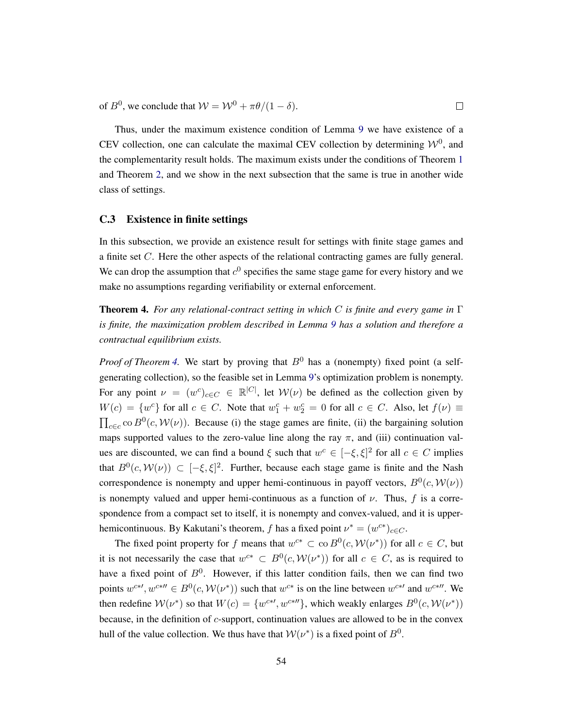of  $B^0$ , we conclude that  $W = W^0 + \pi \theta/(1 - \delta)$ .

Thus, under the maximum existence condition of Lemma [9](#page-53-0) we have existence of a CEV collection, one can calculate the maximal CEV collection by determining  $W^0$ , and the complementarity result holds. The maximum exists under the conditions of Theorem [1](#page-23-0) and Theorem [2,](#page-25-1) and we show in the next subsection that the same is true in another wide class of settings.

 $\Box$ 

### <span id="page-54-0"></span>C.3 Existence in finite settings

In this subsection, we provide an existence result for settings with finite stage games and a finite set C. Here the other aspects of the relational contracting games are fully general. We can drop the assumption that  $c^0$  specifies the same stage game for every history and we make no assumptions regarding verifiability or external enforcement.

<span id="page-54-1"></span>Theorem 4. *For any relational-contract setting in which* C *is finite and every game in* Γ *is finite, the maximization problem described in Lemma [9](#page-53-0) has a solution and therefore a contractual equilibrium exists.*

*Proof of Theorem [4.](#page-54-1)* We start by proving that  $B^0$  has a (nonempty) fixed point (a selfgenerating collection), so the feasible set in Lemma [9'](#page-53-0)s optimization problem is nonempty. For any point  $\nu = (w^c)_{c \in C} \in \mathbb{R}^{|C|}$ , let  $\mathcal{W}(\nu)$  be defined as the collection given by  $W(c) = \{w^c\}$  for all  $c \in C$ . Note that  $w_1^c + w_2^c = 0$  for all  $c \in C$ . Also, let  $f(v) \equiv$  $\prod_{c \in c}$  co  $B^0(c, \mathcal{W}(\nu))$ . Because (i) the stage games are finite, (ii) the bargaining solution maps supported values to the zero-value line along the ray  $\pi$ , and (iii) continuation values are discounted, we can find a bound  $\xi$  such that  $w^c \in [-\xi, \xi]^2$  for all  $c \in C$  implies that  $B^0(c, \mathcal{W}(\nu)) \subset [-\xi, \xi]^2$ . Further, because each stage game is finite and the Nash correspondence is nonempty and upper hemi-continuous in payoff vectors,  $B^0(c, \mathcal{W}(\nu))$ is nonempty valued and upper hemi-continuous as a function of  $\nu$ . Thus, f is a correspondence from a compact set to itself, it is nonempty and convex-valued, and it is upperhemicontinuous. By Kakutani's theorem, f has a fixed point  $\nu^* = (w^{c*})_{c \in C}$ .

The fixed point property for f means that  $w^{c*} \subset \text{co } B^0(c, \mathcal{W}(\nu^*))$  for all  $c \in C$ , but it is not necessarily the case that  $w^{c*} \subset B^0(c, \mathcal{W}(\nu^*))$  for all  $c \in C$ , as is required to have a fixed point of  $B^0$ . However, if this latter condition fails, then we can find two points  $w^{c*}$ ,  $w^{c*} \in B^0(c, \mathcal{W}(\nu^*))$  such that  $w^{c*}$  is on the line between  $w^{c*}$  and  $w^{c*}$ . We then redefine  $W(\nu^*)$  so that  $W(c) = \{w^{c*}, w^{c*} \}$ , which weakly enlarges  $B^0(c, \mathcal{W}(\nu^*))$ because, in the definition of c-support, continuation values are allowed to be in the convex hull of the value collection. We thus have that  $W(\nu^*)$  is a fixed point of  $B^0$ .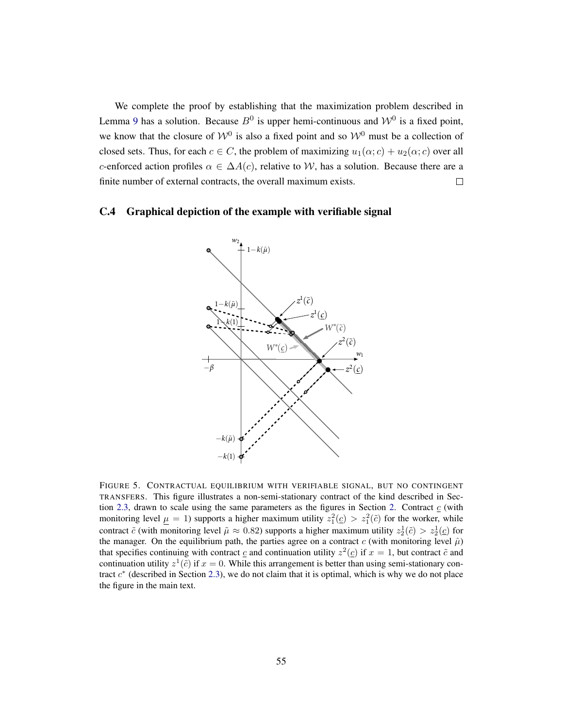We complete the proof by establishing that the maximization problem described in Lemma [9](#page-53-0) has a solution. Because  $B^0$  is upper hemi-continuous and  $\mathcal{W}^0$  is a fixed point, we know that the closure of  $W^0$  is also a fixed point and so  $W^0$  must be a collection of closed sets. Thus, for each  $c \in C$ , the problem of maximizing  $u_1(\alpha; c) + u_2(\alpha; c)$  over all c-enforced action profiles  $\alpha \in \Delta A(c)$ , relative to W, has a solution. Because there are a finite number of external contracts, the overall maximum exists.  $\Box$ 

### <span id="page-55-0"></span>C.4 Graphical depiction of the example with verifiable signal



FIGURE 5. CONTRACTUAL EQUILIBRIUM WITH VERIFIABLE SIGNAL, BUT NO CONTINGENT TRANSFERS. This figure illustrates a non-semi-stationary contract of the kind described in Sec-tion [2.3,](#page-16-1) drawn to scale using the same parameters as the figures in Section [2.](#page-10-0) Contract  $\epsilon$  (with monitoring level  $\mu = 1$ ) supports a higher maximum utility  $z_1^2(\underline{c}) > z_1^2(\tilde{c})$  for the worker, while contract  $\tilde{c}$  (with monitoring level  $\tilde{\mu} \approx 0.82$ ) supports a higher maximum utility  $z_2^1(\tilde{c}) > z_2^1(\tilde{c})$  for the manager. On the equilibrium path, the parties agree on a contract c (with monitoring level  $\hat{\mu}$ ) that specifies continuing with contract  $\underline{c}$  and continuation utility  $z^2(\underline{c})$  if  $x = 1$ , but contract  $\tilde{c}$  and continuation utility  $z^1(\tilde{c})$  if  $x = 0$ . While this arrangement is better than using semi-stationary contract  $c^*$  (described in Section [2.3\)](#page-16-1), we do not claim that it is optimal, which is why we do not place the figure in the main text.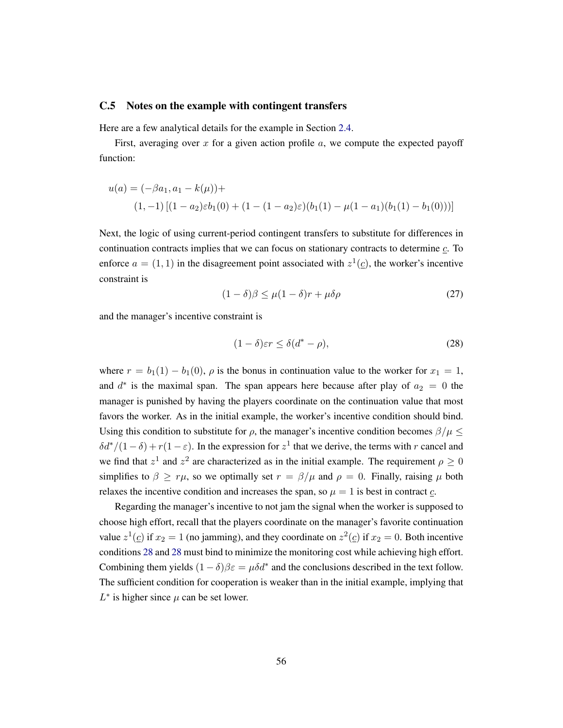### <span id="page-56-0"></span>C.5 Notes on the example with contingent transfers

Here are a few analytical details for the example in Section [2.4.](#page-18-0)

First, averaging over x for a given action profile  $a$ , we compute the expected payoff function:

$$
u(a) = (-\beta a_1, a_1 - k(\mu)) +
$$
  
(1, -1) [(1 - a\_2) \varepsilon b\_1(0) + (1 - (1 - a\_2) \varepsilon)(b\_1(1) - \mu(1 - a\_1)(b\_1(1) - b\_1(0)))]

Next, the logic of using current-period contingent transfers to substitute for differences in continuation contracts implies that we can focus on stationary contracts to determine c. To enforce  $a = (1, 1)$  in the disagreement point associated with  $z^1(\underline{c})$ , the worker's incentive constraint is

$$
(1 - \delta)\beta \le \mu(1 - \delta)r + \mu\delta\rho \tag{27}
$$

and the manager's incentive constraint is

<span id="page-56-1"></span>
$$
(1 - \delta)\varepsilon r \le \delta(d^* - \rho),\tag{28}
$$

where  $r = b_1(1) - b_1(0)$ ,  $\rho$  is the bonus in continuation value to the worker for  $x_1 = 1$ , and  $d^*$  is the maximal span. The span appears here because after play of  $a_2 = 0$  the manager is punished by having the players coordinate on the continuation value that most favors the worker. As in the initial example, the worker's incentive condition should bind. Using this condition to substitute for  $\rho$ , the manager's incentive condition becomes  $\beta/\mu \leq$  $\delta d^*/(1-\delta) + r(1-\varepsilon)$ . In the expression for  $z^1$  that we derive, the terms with r cancel and we find that  $z^1$  and  $z^2$  are characterized as in the initial example. The requirement  $\rho \ge 0$ simplifies to  $\beta \geq r\mu$ , so we optimally set  $r = \beta/\mu$  and  $\rho = 0$ . Finally, raising  $\mu$  both relaxes the incentive condition and increases the span, so  $\mu = 1$  is best in contract  $\sigma$ .

Regarding the manager's incentive to not jam the signal when the worker is supposed to choose high effort, recall that the players coordinate on the manager's favorite continuation value  $z^1(\underline{c})$  if  $x_2 = 1$  (no jamming), and they coordinate on  $z^2(\underline{c})$  if  $x_2 = 0$ . Both incentive conditions [28](#page-56-1) and [28](#page-56-1) must bind to minimize the monitoring cost while achieving high effort. Combining them yields  $(1 - \delta)\beta \varepsilon = \mu \delta d^*$  and the conclusions described in the text follow. The sufficient condition for cooperation is weaker than in the initial example, implying that  $L^*$  is higher since  $\mu$  can be set lower.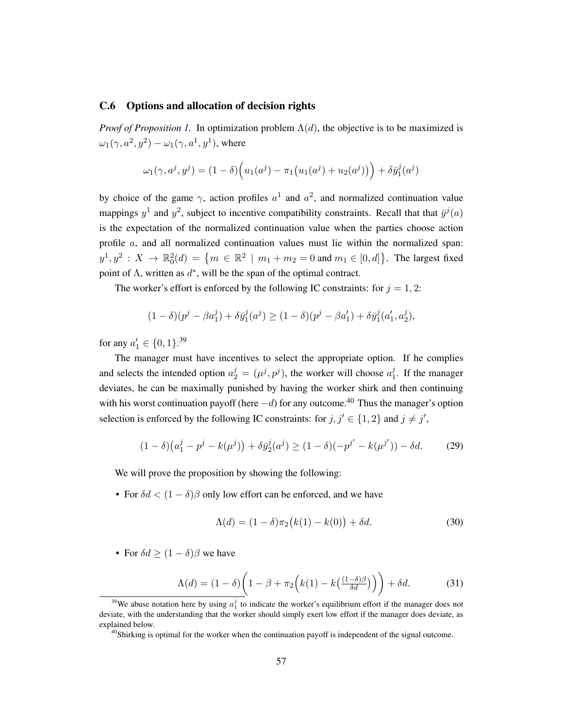### <span id="page-57-0"></span>C.6 Options and allocation of decision rights

*Proof of Proposition [1.](#page-28-2)* In optimization problem  $\Lambda(d)$ , the objective is to be maximized is  $\omega_1(\gamma,a^2,y^2) - \omega_1(\gamma,a^1,y^1)$ , where

$$
\omega_1(\gamma, a^j, y^j) = (1 - \delta) \Big( u_1(a^j) - \pi_1 \big( u_1(a^j) + u_2(a^j) \big) \Big) + \delta \bar{y}_1^j(a^j)
$$

by choice of the game  $\gamma$ , action profiles  $a^1$  and  $a^2$ , and normalized continuation value mappings  $y^1$  and  $y^2$ , subject to incentive compatibility constraints. Recall that that  $\bar{y}^j(a)$ is the expectation of the normalized continuation value when the parties choose action profile  $a$ , and all normalized continuation values must lie within the normalized span:  $y^1, y^2 : X \to \mathbb{R}_0^2(d) = \{ m \in \mathbb{R}^2 \mid m_1 + m_2 = 0 \text{ and } m_1 \in [0, d] \}.$  The largest fixed point of  $\Lambda$ , written as  $d^*$ , will be the span of the optimal contract.

The worker's effort is enforced by the following IC constraints: for  $j = 1, 2$ :

$$
(1 - \delta)(p^{j} - \beta a_1^{j}) + \delta \bar{y}_1^{j}(a^j) \ge (1 - \delta)(p^{j} - \beta a_1^{j}) + \delta \bar{y}_1^{j}(a_1', a_2^{j}),
$$

for any  $a'_1 \in \{0, 1\}$ .<sup>39</sup>

The manager must have incentives to select the appropriate option. If he complies and selects the intended option  $a_2^j = (\mu^j, p^j)$ , the worker will choose  $a_1^j$  $\int_1^{\mathcal{J}}$ . If the manager deviates, he can be maximally punished by having the worker shirk and then continuing with his worst continuation payoff (here  $-d$ ) for any outcome.<sup>40</sup> Thus the manager's option selection is enforced by the following IC constraints: for  $j, j' \in \{1, 2\}$  and  $j \neq j'$ ,

$$
(1 - \delta)\left(a_1^j - p^j - k(\mu^j)\right) + \delta \bar{y}_2^j(a^j) \ge (1 - \delta)(-p^{j'} - k(\mu^{j'})) - \delta d. \tag{29}
$$

We will prove the proposition by showing the following:

• For  $\delta d < (1 - \delta)\beta$  only low effort can be enforced, and we have

<span id="page-57-2"></span>
$$
\Lambda(d) = (1 - \delta)\pi_2(k(1) - k(0)) + \delta d.
$$
 (30)

• For  $\delta d > (1 - \delta)\beta$  we have

<span id="page-57-1"></span>
$$
\Lambda(d) = (1 - \delta) \left( 1 - \beta + \pi_2 \left( k(1) - k \left( \frac{(1 - \delta)\beta}{\delta d} \right) \right) \right) + \delta d. \tag{31}
$$

<sup>&</sup>lt;sup>39</sup>We abuse notation here by using  $a_1^j$  to indicate the worker's equilibrium effort if the manager does not deviate, with the understanding that the worker should simply exert low effort if the manager does deviate, as explained below.

<sup>&</sup>lt;sup>40</sup>Shirking is optimal for the worker when the continuation payoff is independent of the signal outcome.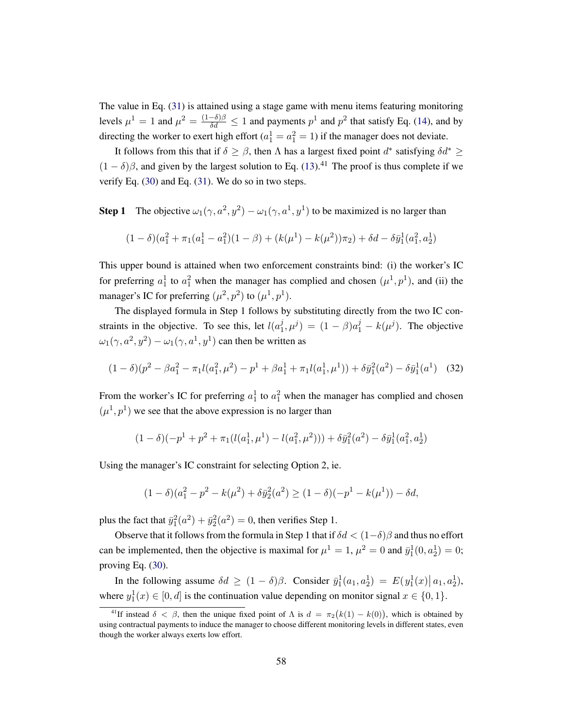The value in Eq. [\(31\)](#page-57-1) is attained using a stage game with menu items featuring monitoring levels  $\mu^1 = 1$  and  $\mu^2 = \frac{(1-\delta)\beta}{\delta d} \le 1$  and payments  $p^1$  and  $p^2$  that satisfy Eq. [\(14\)](#page-28-0), and by directing the worker to exert high effort  $(a_1^1 = a_1^2 = 1)$  if the manager does not deviate.

It follows from this that if  $\delta \geq \beta$ , then  $\Lambda$  has a largest fixed point  $d^*$  satisfying  $\delta d^* \geq$  $(1 - \delta)\beta$ , and given by the largest solution to Eq. [\(13\)](#page-28-1).<sup>41</sup> The proof is thus complete if we verify Eq. [\(30\)](#page-57-2) and Eq. [\(31\)](#page-57-1). We do so in two steps.

**Step 1** The objective  $\omega_1(\gamma, a^2, y^2) - \omega_1(\gamma, a^1, y^1)$  to be maximized is no larger than

$$
(1 - \delta)(a_1^2 + \pi_1(a_1^1 - a_1^2)(1 - \beta) + (k(\mu^1) - k(\mu^2))\pi_2) + \delta d - \delta \bar{y}_1^1(a_1^2, a_2^1)
$$

This upper bound is attained when two enforcement constraints bind: (i) the worker's IC for preferring  $a_1^1$  to  $a_1^2$  when the manager has complied and chosen  $(\mu^1, p^1)$ , and (ii) the manager's IC for preferring  $(\mu^2, p^2)$  to  $(\mu^1, p^1)$ .

The displayed formula in Step 1 follows by substituting directly from the two IC constraints in the objective. To see this, let  $l(a_1^j)$  $(\hat{p}_1^j, \mu^j) = (1 - \beta)a_1^j - k(\mu^j)$ . The objective  $\omega_1(\gamma, a^2, y^2) - \omega_1(\gamma, a^1, y^1)$  can then be written as

<span id="page-58-0"></span>
$$
(1 - \delta)(p^2 - \beta a_1^2 - \pi_1 l(a_1^2, \mu^2) - p^1 + \beta a_1^1 + \pi_1 l(a_1^1, \mu^1)) + \delta \bar{y}_1^2(a^2) - \delta \bar{y}_1^1(a^1)
$$
 (32)

From the worker's IC for preferring  $a_1^1$  to  $a_1^2$  when the manager has complied and chosen  $(\mu^1, p^1)$  we see that the above expression is no larger than

$$
(1 - \delta)(-p1 + p2 + \pi1(l(a11, \mu1) – l(a12, \mu2))) + \delta \bar{y}12(a2) – \delta \bar{y}11(a12, a21)
$$

Using the manager's IC constraint for selecting Option 2, ie.

$$
(1 - \delta)(a_1^2 - p^2 - k(\mu^2) + \delta \bar{y}_2^2(a^2) \ge (1 - \delta)(-p^1 - k(\mu^1)) - \delta d,
$$

plus the fact that  $\bar{y}_1^2(a^2) + \bar{y}_2^2(a^2) = 0$ , then verifies Step 1.

Observe that it follows from the formula in Step 1 that if  $\delta d < (1-\delta)\beta$  and thus no effort can be implemented, then the objective is maximal for  $\mu^1 = 1$ ,  $\mu^2 = 0$  and  $\bar{y}_1^1(0, a_2^1) = 0$ ; proving Eq. [\(30\)](#page-57-2).

In the following assume  $\delta d \ge (1 - \delta)\beta$ . Consider  $\bar{y}_1^1(a_1, a_2^1) = E(y_1^1(x) | a_1, a_2^1)$ , where  $y_1^1(x) \in [0, d]$  is the continuation value depending on monitor signal  $x \in \{0, 1\}$ .

<sup>&</sup>lt;sup>41</sup>If instead  $\delta < \beta$ , then the unique fixed point of  $\Lambda$  is  $d = \pi_2(k(1) - k(0))$ , which is obtained by using contractual payments to induce the manager to choose different monitoring levels in different states, even though the worker always exerts low effort.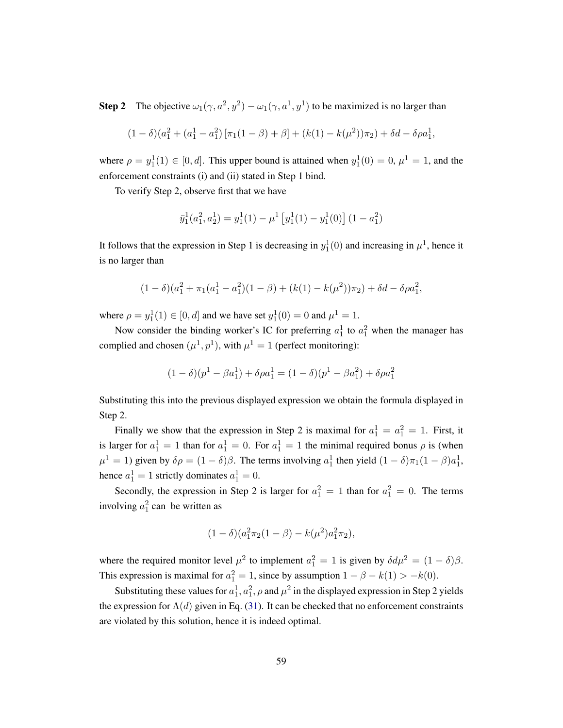**Step 2** The objective  $\omega_1(\gamma, a^2, y^2) - \omega_1(\gamma, a^1, y^1)$  to be maximized is no larger than

$$
(1 - \delta)(a_1^2 + (a_1^1 - a_1^2) [\pi_1(1 - \beta) + \beta] + (k(1) - k(\mu^2))\pi_2) + \delta d - \delta \rho a_1^1,
$$

where  $\rho = y_1^1(1) \in [0, d]$ . This upper bound is attained when  $y_1^1(0) = 0$ ,  $\mu^1 = 1$ , and the enforcement constraints (i) and (ii) stated in Step 1 bind.

To verify Step 2, observe first that we have

$$
\bar{y}_1^1(a_1^2, a_2^1) = y_1^1(1) - \mu^1 \left[ y_1^1(1) - y_1^1(0) \right] (1 - a_1^2)
$$

It follows that the expression in Step 1 is decreasing in  $y_1^1(0)$  and increasing in  $\mu^1$ , hence it is no larger than

$$
(1 - \delta)(a_1^2 + \pi_1(a_1^1 - a_1^2)(1 - \beta) + (k(1) - k(\mu^2))\pi_2) + \delta d - \delta \rho a_1^2,
$$

where  $\rho = y_1^1(1) \in [0, d]$  and we have set  $y_1^1(0) = 0$  and  $\mu^1 = 1$ .

Now consider the binding worker's IC for preferring  $a_1^1$  to  $a_1^2$  when the manager has complied and chosen  $(\mu^1, p^1)$ , with  $\mu^1 = 1$  (perfect monitoring):

$$
(1 - \delta)(p1 - \beta a11) + \delta \rho a11 = (1 - \delta)(p1 - \beta a12) + \delta \rho a12
$$

Substituting this into the previous displayed expression we obtain the formula displayed in Step 2.

Finally we show that the expression in Step 2 is maximal for  $a_1^1 = a_1^2 = 1$ . First, it is larger for  $a_1^1 = 1$  than for  $a_1^1 = 0$ . For  $a_1^1 = 1$  the minimal required bonus  $\rho$  is (when  $\mu^1 = 1$ ) given by  $\delta \rho = (1 - \delta)\beta$ . The terms involving  $a_1^1$  then yield  $(1 - \delta)\pi_1(1 - \beta)a_1^1$ , hence  $a_1^1 = 1$  strictly dominates  $a_1^1 = 0$ .

Secondly, the expression in Step 2 is larger for  $a_1^2 = 1$  than for  $a_1^2 = 0$ . The terms involving  $a_1^2$  can be written as

$$
(1 - \delta)(a_1^2 \pi_2 (1 - \beta) - k(\mu^2) a_1^2 \pi_2),
$$

where the required monitor level  $\mu^2$  to implement  $a_1^2 = 1$  is given by  $\delta d\mu^2 = (1 - \delta)\beta$ . This expression is maximal for  $a_1^2 = 1$ , since by assumption  $1 - \beta - k(1) > -k(0)$ .

Substituting these values for  $a_1^1, a_1^2, \rho$  and  $\mu^2$  in the displayed expression in Step 2 yields the expression for  $\Lambda(d)$  given in Eq. [\(31\)](#page-57-1). It can be checked that no enforcement constraints are violated by this solution, hence it is indeed optimal.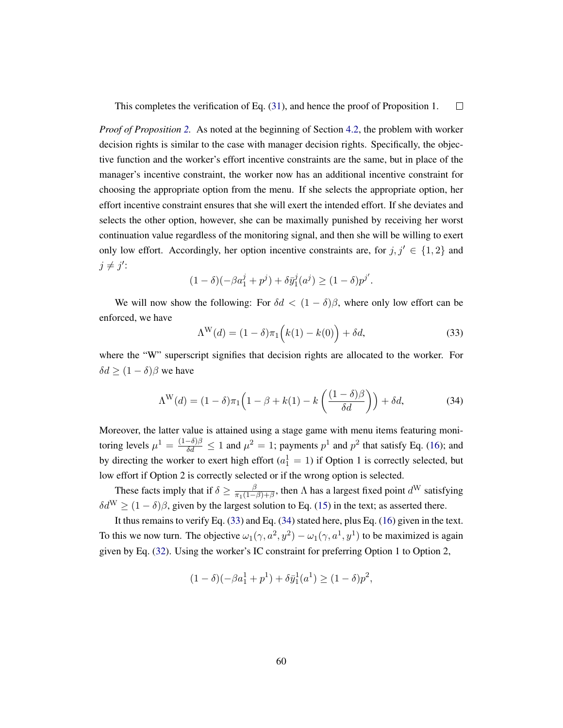$\Box$ This completes the verification of Eq. [\(31\)](#page-57-1), and hence the proof of Proposition 1.

*Proof of Proposition [2.](#page-31-2)* As noted at the beginning of Section [4.2,](#page-31-3) the problem with worker decision rights is similar to the case with manager decision rights. Specifically, the objective function and the worker's effort incentive constraints are the same, but in place of the manager's incentive constraint, the worker now has an additional incentive constraint for choosing the appropriate option from the menu. If she selects the appropriate option, her effort incentive constraint ensures that she will exert the intended effort. If she deviates and selects the other option, however, she can be maximally punished by receiving her worst continuation value regardless of the monitoring signal, and then she will be willing to exert only low effort. Accordingly, her option incentive constraints are, for  $j, j' \in \{1, 2\}$  and  $j \neq j'$ :

$$
(1 - \delta)(-\beta a_1^j + p^j) + \delta \bar{y}_1^j(a^j) \ge (1 - \delta)p^{j'}.
$$

We will now show the following: For  $\delta d < (1 - \delta)\beta$ , where only low effort can be enforced, we have

<span id="page-60-0"></span>
$$
\Lambda^{\mathcal{W}}(d) = (1 - \delta)\pi_1 \left( k(1) - k(0) \right) + \delta d,\tag{33}
$$

where the "W" superscript signifies that decision rights are allocated to the worker. For  $\delta d$  >  $(1 - \delta)\beta$  we have

<span id="page-60-1"></span>
$$
\Lambda^{\mathcal{W}}(d) = (1 - \delta)\pi_1 \left(1 - \beta + k(1) - k\left(\frac{(1 - \delta)\beta}{\delta d}\right)\right) + \delta d,\tag{34}
$$

Moreover, the latter value is attained using a stage game with menu items featuring monitoring levels  $\mu^1 = \frac{(1-\delta)\beta}{\delta d} \le 1$  and  $\mu^2 = 1$ ; payments  $p^1$  and  $p^2$  that satisfy Eq. [\(16\)](#page-31-0); and by directing the worker to exert high effort  $(a_1^1 = 1)$  if Option 1 is correctly selected, but low effort if Option 2 is correctly selected or if the wrong option is selected.

These facts imply that if  $\delta \ge \frac{\beta}{\pi_1(1-\beta)}$  $\frac{\beta}{\pi_1(1-\beta)+\beta}$ , then  $\Lambda$  has a largest fixed point  $d^W$  satisfying  $\delta d^{\rm W} \ge (1 - \delta)\beta$ , given by the largest solution to Eq. [\(15\)](#page-31-1) in the text; as asserted there.

It thus remains to verify Eq. [\(33\)](#page-60-0) and Eq. [\(34\)](#page-60-1) stated here, plus Eq. [\(16\)](#page-31-0) given in the text. To this we now turn. The objective  $\omega_1(\gamma, a^2, y^2) - \omega_1(\gamma, a^1, y^1)$  to be maximized is again given by Eq. [\(32\)](#page-58-0). Using the worker's IC constraint for preferring Option 1 to Option 2,

$$
(1 - \delta)(-\beta a_1^1 + p^1) + \delta \bar{y}_1^1(a^1) \ge (1 - \delta)p^2,
$$